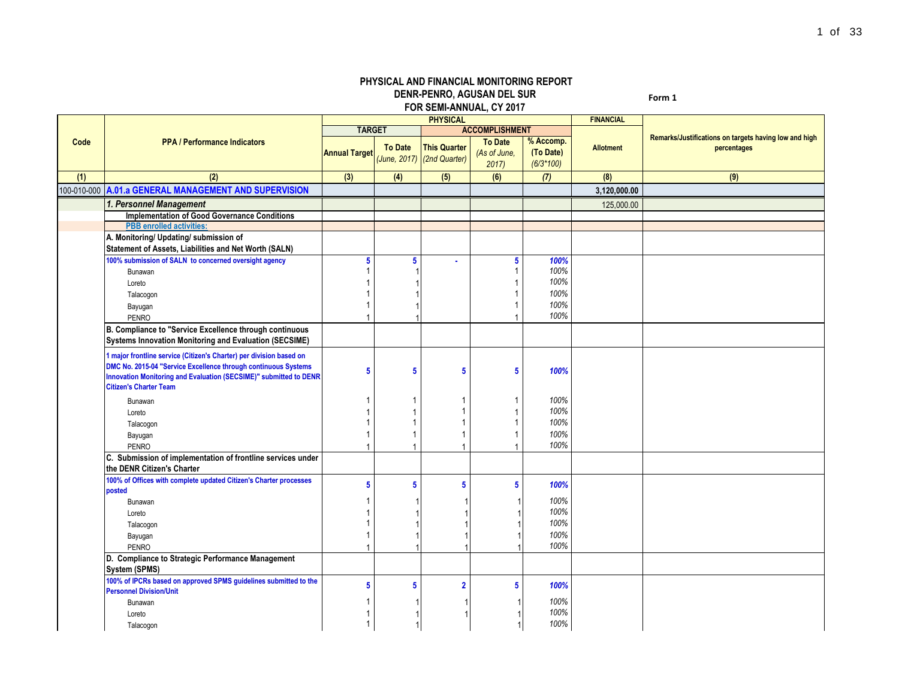## **PHYSICAL AND FINANCIAL MONITORING REPORT DENR-PENRO, AGUSAN DEL SUR FOR SEMI-ANNUAL, CY 2017**

**Form 1**

|      |                                                                                                 |                         |                | <b>PHYSICAL</b>            |                         |             | <b>FINANCIAL</b> |                                                       |
|------|-------------------------------------------------------------------------------------------------|-------------------------|----------------|----------------------------|-------------------------|-------------|------------------|-------------------------------------------------------|
|      |                                                                                                 | <b>TARGET</b>           |                |                            | <b>ACCOMPLISHMENT</b>   |             |                  |                                                       |
| Code | <b>PPA / Performance Indicators</b>                                                             |                         |                | <b>This Quarter</b>        | <b>To Date</b>          | % Accomp.   |                  | Remarks/Justifications on targets having low and high |
|      |                                                                                                 | <b>Annual Target</b>    | <b>To Date</b> | (June, 2017) (2nd Quarter) | (As of June,            | (To Date)   | <b>Allotment</b> | percentages                                           |
|      |                                                                                                 |                         |                |                            | 2017                    | $(6/3*100)$ |                  |                                                       |
| (1)  | (2)                                                                                             | (3)                     | (4)            | (5)                        | (6)                     | (7)         | (8)              | (9)                                                   |
|      | 100-010-000 A.01.a GENERAL MANAGEMENT AND SUPERVISION                                           |                         |                |                            |                         |             | 3,120,000.00     |                                                       |
|      | 1. Personnel Management                                                                         |                         |                |                            |                         |             | 125,000.00       |                                                       |
|      | <b>Implementation of Good Governance Conditions</b>                                             |                         |                |                            |                         |             |                  |                                                       |
|      | <b>PBB</b> enrolled activities:                                                                 |                         |                |                            |                         |             |                  |                                                       |
|      | A. Monitoring/ Updating/ submission of<br>Statement of Assets, Liabilities and Net Worth (SALN) |                         |                |                            |                         |             |                  |                                                       |
|      | 100% submission of SALN to concerned oversight agency                                           | 5                       | 5              |                            | 5                       | 100%        |                  |                                                       |
|      | Bunawan                                                                                         | 1                       |                |                            | $\mathbf{1}$            | 100%        |                  |                                                       |
|      | Loreto                                                                                          |                         |                |                            | -1                      | 100%        |                  |                                                       |
|      | Talacogon                                                                                       |                         |                |                            |                         | 100%        |                  |                                                       |
|      | Bayugan                                                                                         | 1                       |                |                            |                         | 100%        |                  |                                                       |
|      | <b>PENRO</b>                                                                                    |                         |                |                            |                         | 100%        |                  |                                                       |
|      | B. Compliance to "Service Excellence through continuous                                         |                         |                |                            |                         |             |                  |                                                       |
|      | <b>Systems Innovation Monitoring and Evaluation (SECSIME)</b>                                   |                         |                |                            |                         |             |                  |                                                       |
|      | 1 major frontline service (Citizen's Charter) per division based on                             |                         |                |                            |                         |             |                  |                                                       |
|      | DMC No. 2015-04 "Service Excellence through continuous Systems                                  | $\overline{\mathbf{5}}$ | $5\phantom{1}$ | 5                          | $\overline{\mathbf{5}}$ | 100%        |                  |                                                       |
|      | Innovation Monitoring and Evaluation (SECSIME)" submitted to DENR                               |                         |                |                            |                         |             |                  |                                                       |
|      | <b>Citizen's Charter Team</b>                                                                   |                         |                |                            |                         |             |                  |                                                       |
|      | Bunawan                                                                                         | 1                       |                |                            | $\mathbf{1}$            | 100%        |                  |                                                       |
|      | Loreto                                                                                          |                         |                |                            | $\overline{1}$          | 100%        |                  |                                                       |
|      | Talacogon                                                                                       | 1                       |                |                            | -1                      | 100%        |                  |                                                       |
|      | Bayugan                                                                                         | 1                       |                |                            | -1                      | 100%        |                  |                                                       |
|      | PENRO                                                                                           | $\overline{1}$          |                |                            |                         | 100%        |                  |                                                       |
|      | C. Submission of implementation of frontline services under                                     |                         |                |                            |                         |             |                  |                                                       |
|      | the DENR Citizen's Charter                                                                      |                         |                |                            |                         |             |                  |                                                       |
|      | 100% of Offices with complete updated Citizen's Charter processes<br>posted                     | 5                       | 5              | 5                          | 5                       | 100%        |                  |                                                       |
|      | Bunawan                                                                                         | 1                       |                |                            |                         | 100%        |                  |                                                       |
|      | Loreto                                                                                          |                         |                |                            |                         | 100%        |                  |                                                       |
|      | Talacogon                                                                                       | 1                       |                |                            |                         | 100%        |                  |                                                       |
|      | Bayugan                                                                                         | 1                       |                |                            |                         | 100%        |                  |                                                       |
|      | PENRO                                                                                           |                         |                |                            |                         | 100%        |                  |                                                       |
|      | D. Compliance to Strategic Performance Management                                               |                         |                |                            |                         |             |                  |                                                       |
|      | System (SPMS)                                                                                   |                         |                |                            |                         |             |                  |                                                       |
|      | 100% of IPCRs based on approved SPMS guidelines submitted to the                                |                         |                |                            |                         |             |                  |                                                       |
|      | <b>Personnel Division/Unit</b>                                                                  | 5                       | 5              | $\overline{2}$             | 5                       | 100%        |                  |                                                       |
|      | Bunawan                                                                                         | 1                       |                |                            |                         | 100%        |                  |                                                       |
|      | Loreto                                                                                          |                         |                |                            |                         | 100%        |                  |                                                       |
|      | Talacogon                                                                                       | 1                       |                |                            |                         | 100%        |                  |                                                       |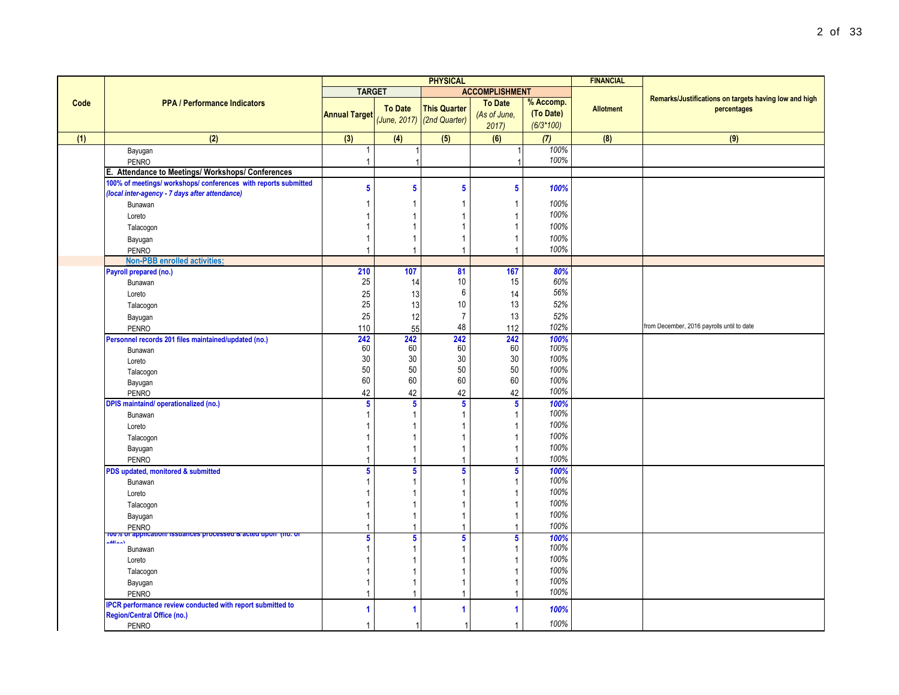|      |                                                                           | <b>PHYSICAL</b>      |                         |                                                   |                         | <b>FINANCIAL</b> |                  |                                                       |  |
|------|---------------------------------------------------------------------------|----------------------|-------------------------|---------------------------------------------------|-------------------------|------------------|------------------|-------------------------------------------------------|--|
|      |                                                                           | <b>TARGET</b>        |                         |                                                   | <b>ACCOMPLISHMENT</b>   |                  |                  |                                                       |  |
| Code | <b>PPA / Performance Indicators</b>                                       |                      |                         |                                                   | <b>To Date</b>          | % Accomp.        |                  | Remarks/Justifications on targets having low and high |  |
|      |                                                                           | <b>Annual Target</b> | <b>To Date</b>          | <b>This Quarter</b><br>(June, 2017) (2nd Quarter) | (As of June,            | (To Date)        | <b>Allotment</b> | percentages                                           |  |
|      |                                                                           |                      |                         |                                                   | 2017                    | $(6/3*100)$      |                  |                                                       |  |
| (1)  | (2)                                                                       | (3)                  | (4)                     | (5)                                               | (6)                     | (7)              | (8)              | (9)                                                   |  |
|      | Bayugan                                                                   | $\mathbf{1}$         |                         |                                                   |                         | 100%             |                  |                                                       |  |
|      | PENRO                                                                     | $\overline{1}$       |                         |                                                   |                         | 100%             |                  |                                                       |  |
|      | E. Attendance to Meetings/ Workshops/ Conferences                         |                      |                         |                                                   |                         |                  |                  |                                                       |  |
|      | 100% of meetings/ workshops/ conferences with reports submitted           | 5                    | ${\bf 5}$               | 5                                                 | $\overline{\mathbf{5}}$ | 100%             |                  |                                                       |  |
|      | (local inter-agency - 7 days after attendance)                            |                      |                         |                                                   |                         |                  |                  |                                                       |  |
|      | Bunawan                                                                   | $\mathbf{1}$         | $\mathbf 1$             | -1                                                | $\mathbf{1}$            | 100%             |                  |                                                       |  |
|      | Loreto                                                                    | $\mathbf{1}$         | $\mathbf{1}$            |                                                   | $\mathbf{1}$            | 100%             |                  |                                                       |  |
|      | Talacogon                                                                 | $\mathbf{1}$         | $\mathbf{1}$            |                                                   | $\mathbf{1}$            | 100%             |                  |                                                       |  |
|      | Bayugan                                                                   | $\mathbf{1}$         | $\mathbf{1}$            | $\mathbf{1}$                                      | $\mathbf{1}$            | 100%             |                  |                                                       |  |
|      | <b>PENRO</b>                                                              | 1                    | $\overline{1}$          | $\mathbf{1}$                                      | $\overline{1}$          | 100%             |                  |                                                       |  |
|      | <b>Non-PBB</b> enrolled activities:                                       |                      |                         |                                                   |                         |                  |                  |                                                       |  |
|      | Payroll prepared (no.)                                                    | 210                  | 107                     | 81                                                | 167                     | 80%              |                  |                                                       |  |
|      | Bunawan                                                                   | 25                   | 14                      | 10                                                | 15                      | 60%              |                  |                                                       |  |
|      | Loreto                                                                    | 25                   | 13                      | $\boldsymbol{6}$                                  | 14                      | 56%              |                  |                                                       |  |
|      | Talacogon                                                                 | 25                   | 13                      | $10$                                              | 13                      | 52%              |                  |                                                       |  |
|      | Bayugan                                                                   | 25                   | 12                      | $\overline{7}$                                    | 13                      | 52%              |                  |                                                       |  |
|      | PENRO                                                                     | 110                  | 55                      | 48                                                | 112                     | 102%             |                  | from December, 2016 payrolls until to date            |  |
|      | Personnel records 201 files maintained/updated (no.)                      | 242                  | 242                     | 242                                               | 242                     | 100%             |                  |                                                       |  |
|      | Bunawan                                                                   | 60                   | 60                      | 60                                                | 60                      | 100%             |                  |                                                       |  |
|      | Loreto                                                                    | 30                   | $30\,$                  | 30                                                | $30\,$                  | 100%             |                  |                                                       |  |
|      | Talacogon                                                                 | 50                   | 50                      | 50                                                | 50                      | 100%             |                  |                                                       |  |
|      | Bayugan                                                                   | 60                   | 60                      | 60                                                | 60                      | 100%             |                  |                                                       |  |
|      | PENRO                                                                     | 42                   | 42                      | 42                                                | 42                      | 100%             |                  |                                                       |  |
|      | <b>DPIS maintaind/ operationalized (no.)</b>                              | 5                    | $\overline{\mathbf{5}}$ | $5\phantom{.0}$                                   | $5\phantom{a}$          | 100%             |                  |                                                       |  |
|      | Bunawan                                                                   | $\mathbf{1}$         | $\mathbf{1}$            |                                                   | $\mathbf{1}$            | 100%             |                  |                                                       |  |
|      | Loreto                                                                    | $\mathbf{1}$         | $\overline{1}$          |                                                   | $\overline{1}$          | 100%             |                  |                                                       |  |
|      | Talacogon                                                                 | $\mathbf{1}$         | $\overline{1}$          |                                                   | $\mathbf{1}$            | 100%             |                  |                                                       |  |
|      | Bayugan                                                                   | $\overline{1}$       | $\mathbf 1$             | $\mathbf 1$                                       | $\mathbf{1}$            | 100%             |                  |                                                       |  |
|      | <b>PENRO</b>                                                              | $\overline{1}$       | $\overline{1}$          | $\overline{1}$                                    | $\overline{1}$          | 100%             |                  |                                                       |  |
|      | PDS updated, monitored & submitted                                        | 5 <sup>5</sup>       | ${\bf 5}$               | 5                                                 | $\sqrt{5}$              | 100%             |                  |                                                       |  |
|      | Bunawan                                                                   | $\mathbf{1}$         | $\mathbf{1}$            |                                                   | $\mathbf{1}$            | 100%             |                  |                                                       |  |
|      | Loreto                                                                    | $\mathbf{1}$         | $\overline{1}$          |                                                   | $\overline{1}$          | 100%             |                  |                                                       |  |
|      | Talacogon                                                                 | $\mathbf{1}$         | $\mathbf{1}$            | 1                                                 | $\mathbf{1}$            | 100%             |                  |                                                       |  |
|      | Bayugan                                                                   | $\mathbf{1}$         | $\mathbf{1}$            | $\mathbf{1}$                                      | $\mathbf{1}$            | 100%             |                  |                                                       |  |
|      | <b>PENRO</b>                                                              | $\overline{1}$       | $\mathbf 1$             |                                                   | 1                       | 100%             |                  |                                                       |  |
|      | 100% or application/ issuances processed a acted upon (no. or<br>$1 - 33$ | 5                    | $\overline{\mathbf{5}}$ | $5\phantom{.0}$                                   | $\overline{\mathbf{5}}$ | 100%             |                  |                                                       |  |
|      | Bunawan                                                                   | $\mathbf{1}$         | $\mathbf{1}$            |                                                   | $\mathbf{1}$            | 100%             |                  |                                                       |  |
|      | Loreto                                                                    | $\mathbf{1}$         | $\overline{1}$          |                                                   | $\mathbf{1}$            | 100%             |                  |                                                       |  |
|      | Talacogon                                                                 | $\mathbf{1}$         | $\overline{1}$          |                                                   | $\mathbf{1}$            | 100%             |                  |                                                       |  |
|      | Bayugan                                                                   | $\mathbf{1}$         | $\overline{1}$          | 1                                                 | $\mathbf{1}$            | 100%             |                  |                                                       |  |
|      | <b>PENRO</b>                                                              | $\overline{1}$       | $\overline{1}$          | $\mathbf{1}$                                      | $\mathbf{1}$            | 100%             |                  |                                                       |  |
|      | <b>IPCR performance review conducted with report submitted to</b>         | 1                    | 1                       | 1                                                 | 1                       | 100%             |                  |                                                       |  |
|      | Region/Central Office (no.)                                               |                      |                         |                                                   |                         |                  |                  |                                                       |  |
|      | <b>PENRO</b>                                                              | $\mathbf{1}$         | -1                      | -1                                                | $\overline{1}$          | 100%             |                  |                                                       |  |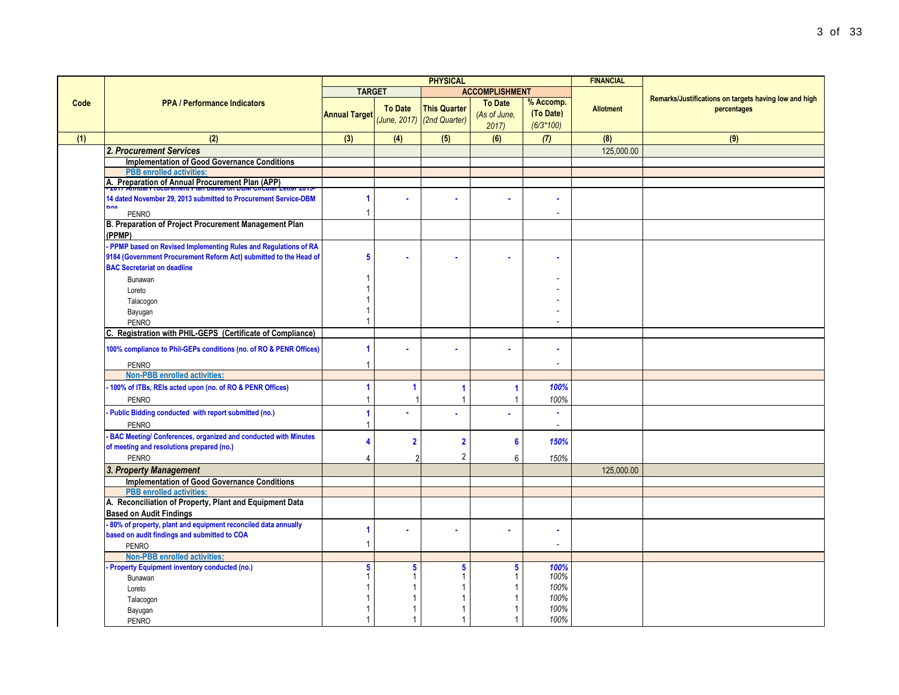|      |                                                                                                                      |                      |                | <b>PHYSICAL</b>                                   |                                        |                                          | <b>FINANCIAL</b> |                                                                      |
|------|----------------------------------------------------------------------------------------------------------------------|----------------------|----------------|---------------------------------------------------|----------------------------------------|------------------------------------------|------------------|----------------------------------------------------------------------|
|      |                                                                                                                      | <b>TARGET</b>        |                |                                                   | <b>ACCOMPLISHMENT</b>                  |                                          |                  |                                                                      |
| Code | <b>PPA / Performance Indicators</b>                                                                                  | <b>Annual Target</b> | <b>To Date</b> | <b>This Quarter</b><br>(June, 2017) (2nd Quarter) | <b>To Date</b><br>(As of June,<br>2017 | % Accomp.<br>(To Date)<br>$(6/3*100)$    | <b>Allotment</b> | Remarks/Justifications on targets having low and high<br>percentages |
| (1)  | (2)                                                                                                                  | (3)                  | (4)            | (5)                                               | (6)                                    | (7)                                      | (8)              | (9)                                                                  |
|      | 2. Procurement Services                                                                                              |                      |                |                                                   |                                        |                                          | 125,000.00       |                                                                      |
|      | <b>Implementation of Good Governance Conditions</b>                                                                  |                      |                |                                                   |                                        |                                          |                  |                                                                      |
|      | <b>PBB</b> enrolled activities:                                                                                      |                      |                |                                                   |                                        |                                          |                  |                                                                      |
|      | A. Preparation of Annual Procurement Plan (APP)<br>- 2017 Annual Procurement Plan based on DBM Circular Letter 2013- |                      |                |                                                   |                                        |                                          |                  |                                                                      |
|      | 14 dated November 29, 2013 submitted to Procurement Service-DBM                                                      | 1                    |                | ä                                                 |                                        |                                          |                  |                                                                      |
|      | DOO<br><b>PENRO</b>                                                                                                  | 1                    |                |                                                   |                                        |                                          |                  |                                                                      |
|      | B. Preparation of Project Procurement Management Plan<br>(PPMP)                                                      |                      |                |                                                   |                                        |                                          |                  |                                                                      |
|      | PPMP based on Revised Implementing Rules and Regulations of RA                                                       |                      |                |                                                   |                                        |                                          |                  |                                                                      |
|      | 9184 (Government Procurement Reform Act) submitted to the Head of                                                    | 5                    |                | ×                                                 |                                        |                                          |                  |                                                                      |
|      | <b>BAC Secretariat on deadline</b>                                                                                   |                      |                |                                                   |                                        |                                          |                  |                                                                      |
|      | Bunawan                                                                                                              |                      |                |                                                   |                                        |                                          |                  |                                                                      |
|      | Loreto                                                                                                               |                      |                |                                                   |                                        |                                          |                  |                                                                      |
|      | Talacogon                                                                                                            |                      |                |                                                   |                                        |                                          |                  |                                                                      |
|      | Bayugan<br><b>PENRO</b>                                                                                              |                      |                |                                                   |                                        |                                          |                  |                                                                      |
|      | C. Registration with PHIL-GEPS (Certificate of Compliance)                                                           |                      |                |                                                   |                                        |                                          |                  |                                                                      |
|      | 100% compliance to Phil-GEPs conditions (no. of RO & PENR Offices)<br><b>PENRO</b>                                   | 1<br>1               |                |                                                   |                                        | $\overline{\phantom{a}}$                 |                  |                                                                      |
|      | <b>Non-PBB enrolled activities:</b>                                                                                  |                      |                |                                                   |                                        |                                          |                  |                                                                      |
|      | 100% of ITBs, REIs acted upon (no. of RO & PENR Offices)                                                             | ۶                    |                | 1                                                 | 1                                      | 100%                                     |                  |                                                                      |
|      | <b>PENRO</b>                                                                                                         |                      |                | $\overline{1}$                                    | 1                                      | 100%                                     |                  |                                                                      |
|      | Public Bidding conducted with report submitted (no.)<br><b>PENRO</b>                                                 | 1<br>1               |                | ä                                                 |                                        | $\mathbf{r}$<br>$\overline{\phantom{a}}$ |                  |                                                                      |
|      | - BAC Meeting/ Conferences, organized and conducted with Minutes                                                     | Δ                    | $\overline{2}$ | $\overline{2}$                                    | 6                                      | 150%                                     |                  |                                                                      |
|      | of meeting and resolutions prepared (no.)                                                                            |                      |                |                                                   |                                        |                                          |                  |                                                                      |
|      | <b>PENRO</b>                                                                                                         | 4                    | $\mathfrak{p}$ | $\overline{2}$                                    | 6                                      | 150%                                     |                  |                                                                      |
|      | 3. Property Management                                                                                               |                      |                |                                                   |                                        |                                          | 125,000.00       |                                                                      |
|      | <b>Implementation of Good Governance Conditions</b><br><b>PBB</b> enrolled activities:                               |                      |                |                                                   |                                        |                                          |                  |                                                                      |
|      | A. Reconciliation of Property, Plant and Equipment Data                                                              |                      |                |                                                   |                                        |                                          |                  |                                                                      |
|      | <b>Based on Audit Findings</b>                                                                                       |                      |                |                                                   |                                        |                                          |                  |                                                                      |
|      | 80% of property, plant and equipment reconciled data annually                                                        | 1                    |                |                                                   |                                        |                                          |                  |                                                                      |
|      | based on audit findings and submitted to COA                                                                         | $\overline{1}$       |                |                                                   |                                        | $\overline{\phantom{a}}$                 |                  |                                                                      |
|      | <b>PENRO</b><br>Non-PBB enrolled activities:                                                                         |                      |                |                                                   |                                        |                                          |                  |                                                                      |
|      | Property Equipment inventory conducted (no.)                                                                         | 5                    | 5              | 5                                                 | 5                                      | 100%                                     |                  |                                                                      |
|      | Bunawan                                                                                                              |                      |                | -1                                                |                                        | 100%                                     |                  |                                                                      |
|      | Loreto                                                                                                               |                      | $\mathbf{1}$   | $\overline{1}$                                    |                                        | 100%                                     |                  |                                                                      |
|      | Talacogon                                                                                                            |                      |                |                                                   |                                        | 100%                                     |                  |                                                                      |
|      | Bayugan                                                                                                              |                      |                |                                                   |                                        | 100%                                     |                  |                                                                      |
|      | <b>PENRO</b>                                                                                                         |                      |                |                                                   |                                        | 100%                                     |                  |                                                                      |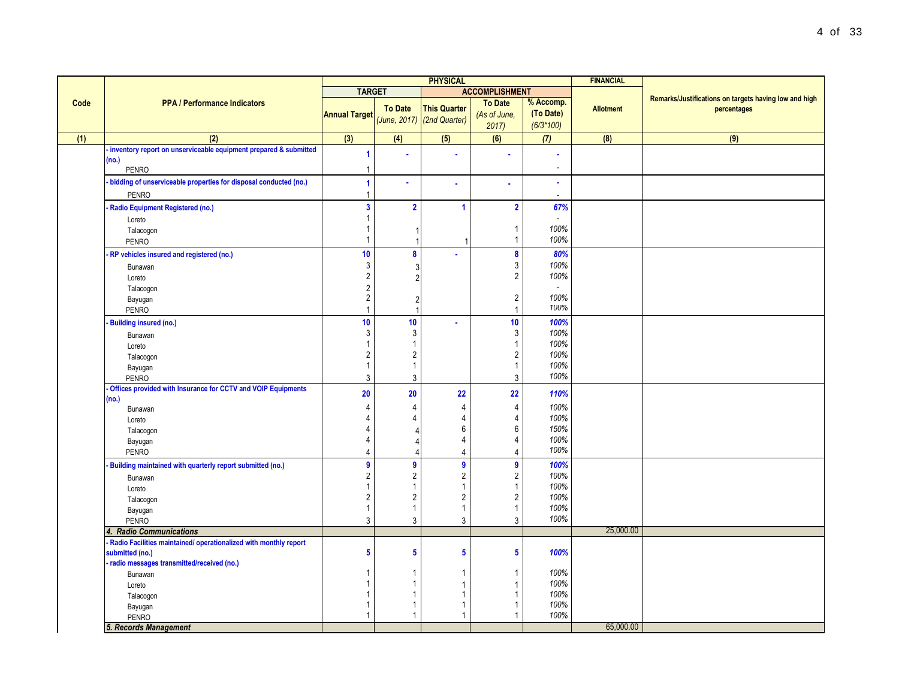|      |                                                                                                                                                                    | <b>PHYSICAL</b>                                                                  |                                                                                      |                                                   | <b>FINANCIAL</b>                                                     |                                              |                  |                                                                      |
|------|--------------------------------------------------------------------------------------------------------------------------------------------------------------------|----------------------------------------------------------------------------------|--------------------------------------------------------------------------------------|---------------------------------------------------|----------------------------------------------------------------------|----------------------------------------------|------------------|----------------------------------------------------------------------|
|      |                                                                                                                                                                    | <b>TARGET</b>                                                                    |                                                                                      |                                                   | <b>ACCOMPLISHMENT</b>                                                |                                              |                  |                                                                      |
| Code | <b>PPA / Performance Indicators</b>                                                                                                                                | <b>Annual Target</b>                                                             | <b>To Date</b>                                                                       | <b>This Quarter</b><br>(June, 2017) (2nd Quarter) | <b>To Date</b><br>(As of June,<br>2017                               | % Accomp.<br>(To Date)<br>$(6/3*100)$        | <b>Allotment</b> | Remarks/Justifications on targets having low and high<br>percentages |
| (1)  | (2)                                                                                                                                                                | (3)                                                                              | (4)                                                                                  | (5)                                               | (6)                                                                  | (7)                                          | (8)              | (9)                                                                  |
|      | inventory report on unserviceable equipment prepared & submitted<br>(no.)<br><b>PENRO</b>                                                                          | 1                                                                                |                                                                                      |                                                   |                                                                      |                                              |                  |                                                                      |
|      | bidding of unserviceable properties for disposal conducted (no.)<br><b>PENRO</b>                                                                                   | 1<br>$\mathbf{1}$                                                                | ä,                                                                                   | ä                                                 |                                                                      | $\bullet$                                    |                  |                                                                      |
|      | Radio Equipment Registered (no.)<br>Loreto<br>Talacogon<br><b>PENRO</b>                                                                                            | $\overline{\mathbf{3}}$<br>1<br>1<br>$\mathbf{1}$                                | $\overline{2}$<br>-1                                                                 | $\blacktriangleleft$<br>-1                        | $\overline{\mathbf{2}}$<br>-1<br>$\mathbf{1}$                        | 67%<br>100%<br>100%                          |                  |                                                                      |
|      | RP vehicles insured and registered (no.)<br>Bunawan<br>Loreto<br>Talacogon<br>Bayugan<br>PENRO                                                                     | 10 <sup>1</sup><br>3<br>$\sqrt{2}$<br>$\sqrt{2}$<br>$\sqrt{2}$<br>$\overline{1}$ | 8<br>3<br>$\overline{2}$<br>$\overline{2}$                                           | ä                                                 | 8<br>3<br>$\sqrt{2}$<br>$\sqrt{2}$<br>$\overline{1}$                 | 80%<br>100%<br>100%<br>100%<br>100%          |                  |                                                                      |
|      | Building insured (no.)<br>Bunawan<br>Loreto<br>Talacogon<br>Bayugan<br><b>PENRO</b>                                                                                | 10<br>3<br>$\overline{1}$<br>$\overline{2}$<br>$\mathbf{1}$<br>$\overline{3}$    | 10<br>$\mathbf{3}$<br>$\mathbf{1}$<br>$\overline{2}$<br>$\mathbf{1}$<br>$\mathbf{3}$ | ä,                                                | 10<br>3<br>1<br>$\overline{2}$<br>$\mathbf{1}$<br>$\mathbf{3}$       | 100%<br>100%<br>100%<br>100%<br>100%<br>100% |                  |                                                                      |
|      | Offices provided with Insurance for CCTV and VOIP Equipments<br>(no.)<br>Bunawan<br>Loreto<br>Talacogon<br>Bayugan<br><b>PENRO</b>                                 | 20<br>4<br>4<br>$\overline{4}$<br>4<br>$\overline{4}$                            | 20<br>$\overline{4}$<br>$\overline{4}$<br>$\Delta$<br>$\Delta$                       | 22<br>4<br>4<br>6<br>4<br>$\overline{4}$          | 22<br>$\overline{4}$<br>4<br>6<br>4<br>$\overline{4}$                | 110%<br>100%<br>100%<br>150%<br>100%<br>100% |                  |                                                                      |
|      | Building maintained with quarterly report submitted (no.)<br>Bunawan<br>Loreto<br>Talacogon<br>Bayugan<br>PENRO                                                    | $\overline{9}$<br>$\sqrt{2}$<br>$\mathbf{1}$<br>$\sqrt{2}$<br>$\mathbf{1}$<br>3  | $\boldsymbol{9}$<br>$\sqrt{2}$<br>$\mathbf{1}$<br>$\sqrt{2}$<br>$\overline{1}$<br>3  | $\overline{9}$<br>2<br>2<br>$\mathbf{3}$          | 9<br>$\sqrt{2}$<br>$\overline{1}$<br>$\sqrt{2}$<br>$\mathbf{1}$<br>3 | 100%<br>100%<br>100%<br>100%<br>100%<br>100% |                  |                                                                      |
|      | 4. Radio Communications                                                                                                                                            |                                                                                  |                                                                                      |                                                   |                                                                      |                                              | 25,000.00        |                                                                      |
|      | Radio Facilities maintained/ operationalized with monthly report<br>submitted (no.)<br>radio messages transmitted/received (no.)<br>Bunawan<br>Loreto<br>Talacogon | 5<br>1<br>$\overline{1}$<br>$\overline{1}$                                       | $\overline{\mathbf{5}}$<br>1<br>$\mathbf 1$<br>$\mathbf{1}$                          | $\overline{\mathbf{5}}$                           | 5<br>1<br>$\overline{1}$<br>$\overline{1}$                           | 100%<br>100%<br>100%<br>100%                 |                  |                                                                      |
|      | Bayugan<br><b>PENRO</b><br>5. Records Management                                                                                                                   | $\mathbf{1}$<br>$\mathbf{1}$                                                     | $\mathbf{1}$<br>$\mathbf{1}$                                                         | $\overline{1}$                                    | $\mathbf{1}$<br>1                                                    | 100%<br>100%                                 | 65,000.00        |                                                                      |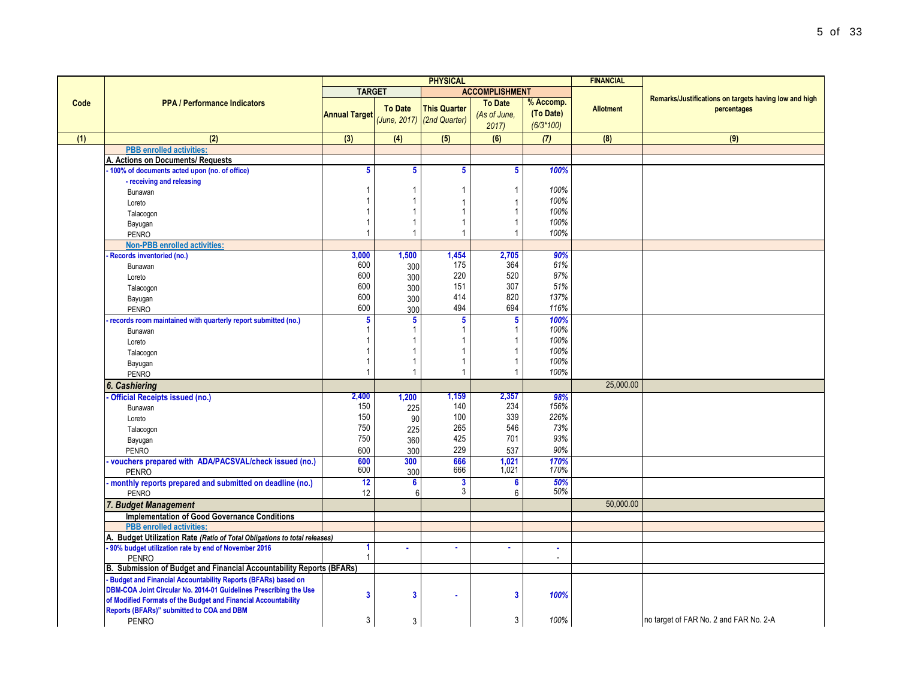|      |                                                                             |                         |                              | <b>PHYSICAL</b>     |                              |                          | <b>FINANCIAL</b> |                                                                      |
|------|-----------------------------------------------------------------------------|-------------------------|------------------------------|---------------------|------------------------------|--------------------------|------------------|----------------------------------------------------------------------|
|      |                                                                             | <b>TARGET</b>           |                              |                     | <b>ACCOMPLISHMENT</b>        |                          |                  |                                                                      |
| Code | <b>PPA / Performance Indicators</b>                                         |                         | <b>To Date</b>               | <b>This Quarter</b> | <b>To Date</b>               | % Accomp.                | <b>Allotment</b> | Remarks/Justifications on targets having low and high<br>percentages |
|      |                                                                             | <b>Annual Target</b>    | (June, 2017)                 | (2nd Quarter)       | (As of June,                 | (To Date)                |                  |                                                                      |
|      |                                                                             |                         |                              |                     | 2017                         | $(6/3*100)$              |                  |                                                                      |
| (1)  | (2)                                                                         | (3)                     | (4)                          | (5)                 | (6)                          | (7)                      | (8)              | (9)                                                                  |
|      | <b>PBB</b> enrolled activities:                                             |                         |                              |                     |                              |                          |                  |                                                                      |
|      | A. Actions on Documents/ Requests                                           |                         |                              |                     |                              |                          |                  |                                                                      |
|      | 100% of documents acted upon (no. of office)                                | 5                       | 5                            | 5                   | 5                            | 100%                     |                  |                                                                      |
|      | - receiving and releasing<br>Bunawan                                        |                         | $\mathbf{1}$                 |                     | $\mathbf{1}$                 | 100%                     |                  |                                                                      |
|      | Loreto                                                                      |                         | 1                            |                     | 1                            | 100%                     |                  |                                                                      |
|      | Talacogon                                                                   |                         | $\mathbf{1}$                 |                     | 1                            | 100%                     |                  |                                                                      |
|      | Bayugan                                                                     |                         | $\mathbf{1}$                 |                     | $\mathbf{1}$                 | 100%                     |                  |                                                                      |
|      | <b>PENRO</b>                                                                | $\overline{1}$          | 1                            | -1                  | $\mathbf{1}$                 | 100%                     |                  |                                                                      |
|      | <b>Non-PBB enrolled activities:</b>                                         |                         |                              |                     |                              |                          |                  |                                                                      |
|      | <b>Records inventoried (no.)</b>                                            | 3.000                   | 1,500                        | 1,454               | 2,705                        | 90%                      |                  |                                                                      |
|      | Bunawan                                                                     | 600                     | 300                          | 175                 | 364                          | 61%                      |                  |                                                                      |
|      | Loreto                                                                      | 600                     | 300                          | 220                 | 520                          | 87%                      |                  |                                                                      |
|      | Talacogon                                                                   | 600                     | 300                          | 151                 | 307                          | 51%                      |                  |                                                                      |
|      | Bayugan                                                                     | 600                     | 300                          | 414                 | 820                          | 137%                     |                  |                                                                      |
|      | <b>PENRO</b>                                                                | 600                     | 300                          | 494                 | 694                          | 116%                     |                  |                                                                      |
|      | records room maintained with quarterly report submitted (no.)               | 5                       | 5                            | 5                   | 5                            | 100%                     |                  |                                                                      |
|      | Bunawan                                                                     |                         | $\mathbf{1}$                 |                     | $\mathbf{1}$                 | 100%                     |                  |                                                                      |
|      | Loreto                                                                      |                         | $\mathbf{1}$<br>$\mathbf{1}$ |                     | $\mathbf{1}$<br>$\mathbf{1}$ | 100%<br>100%             |                  |                                                                      |
|      | Talacogon                                                                   |                         | 1                            |                     | $\mathbf{1}$                 | 100%                     |                  |                                                                      |
|      | Bayugan<br><b>PENRO</b>                                                     |                         | $\mathbf{1}$                 | 1                   | 1                            | 100%                     |                  |                                                                      |
|      | 6. Cashiering                                                               |                         |                              |                     |                              |                          | 25.000.00        |                                                                      |
|      | Official Receipts issued (no.)                                              | 2,400                   | 1,200                        | 1,159               | 2,357                        | 98%                      |                  |                                                                      |
|      | Bunawan                                                                     | 150                     | 225                          | 140                 | 234                          | 156%                     |                  |                                                                      |
|      | Loreto                                                                      | 150                     | 90                           | 100                 | 339                          | 226%                     |                  |                                                                      |
|      | Talacogon                                                                   | 750                     | 225                          | 265                 | 546                          | 73%                      |                  |                                                                      |
|      | Bayugan                                                                     | 750                     | 360                          | 425                 | 701                          | 93%                      |                  |                                                                      |
|      | <b>PENRO</b>                                                                | 600                     | 300                          | 229                 | 537                          | 90%                      |                  |                                                                      |
|      | vouchers prepared with ADA/PACSVAL/check issued (no.)                       | 600                     | 300                          | 666                 | 1,021                        | 170%                     |                  |                                                                      |
|      | <b>PENRO</b>                                                                | 600                     | 300                          | 666                 | 1,021                        | 170%                     |                  |                                                                      |
|      | monthly reports prepared and submitted on deadline (no.)                    | 12                      | $6\phantom{a}$               | 3<br>3              | 6                            | 50%<br>50%               |                  |                                                                      |
|      | <b>PENRO</b>                                                                | 12                      | 6                            |                     | 6                            |                          | 50.000.00        |                                                                      |
|      | 7. Budget Management<br><b>Implementation of Good Governance Conditions</b> |                         |                              |                     |                              |                          |                  |                                                                      |
|      | <b>PBB</b> enrolled activities:                                             |                         |                              |                     |                              |                          |                  |                                                                      |
|      | A. Budget Utilization Rate (Ratio of Total Obligations to total releases)   |                         |                              |                     |                              |                          |                  |                                                                      |
|      | 90% budget utilization rate by end of November 2016                         |                         |                              | $\bullet$           |                              | ٠                        |                  |                                                                      |
|      | <b>PENRO</b>                                                                |                         |                              |                     |                              | $\overline{\phantom{a}}$ |                  |                                                                      |
|      | B. Submission of Budget and Financial Accountability Reports (BFARs)        |                         |                              |                     |                              |                          |                  |                                                                      |
|      | <b>Budget and Financial Accountability Reports (BFARs) based on</b>         |                         |                              |                     |                              |                          |                  |                                                                      |
|      | DBM-COA Joint Circular No. 2014-01 Guidelines Prescribing the Use           | $\overline{\mathbf{3}}$ | 3                            |                     | $\overline{\mathbf{3}}$      | 100%                     |                  |                                                                      |
|      | of Modified Formats of the Budget and Financial Accountability              |                         |                              |                     |                              |                          |                  |                                                                      |
|      | Reports (BFARs)" submitted to COA and DBM                                   | 3                       |                              |                     | 3                            | 100%                     |                  | no target of FAR No. 2 and FAR No. 2-A                               |
|      | <b>PENRO</b>                                                                |                         | 3                            |                     |                              |                          |                  |                                                                      |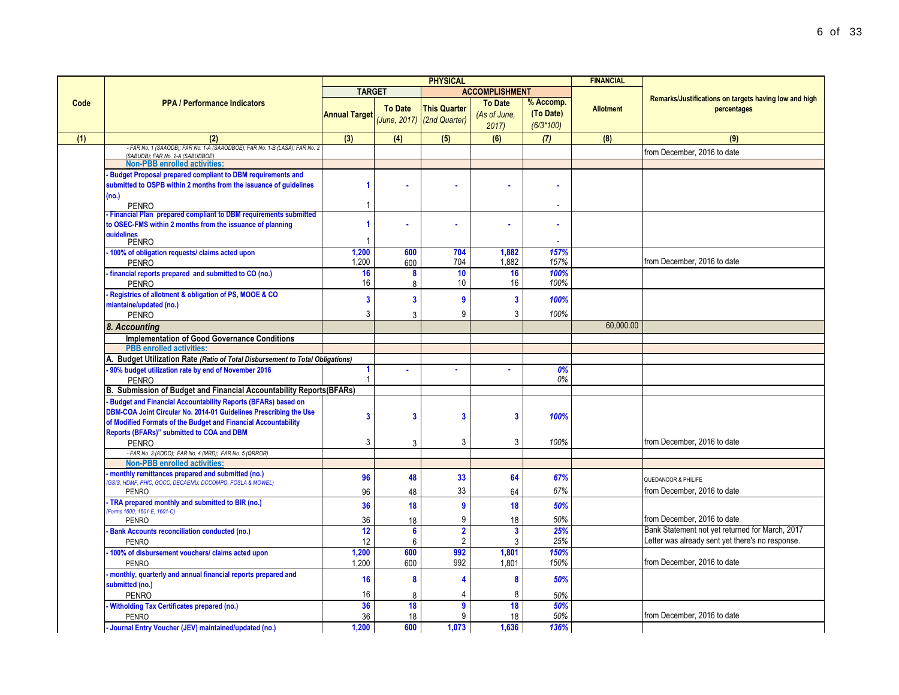|                                                                                                                  | <b>PHYSICAL</b>         |                | <b>FINANCIAL</b>                                  |                         |                          |                  |                                                       |
|------------------------------------------------------------------------------------------------------------------|-------------------------|----------------|---------------------------------------------------|-------------------------|--------------------------|------------------|-------------------------------------------------------|
|                                                                                                                  | <b>TARGET</b>           |                |                                                   | <b>ACCOMPLISHMENT</b>   |                          |                  |                                                       |
| <b>PPA / Performance Indicators</b>                                                                              |                         |                |                                                   | <b>To Date</b>          | % Accomp.                |                  | Remarks/Justifications on targets having low and high |
|                                                                                                                  | <b>Annual Target</b>    | <b>To Date</b> | <b>This Quarter</b><br>(June, 2017) (2nd Quarter) | (As of June,<br>2017    | (To Date)<br>$(6/3*100)$ | <b>Allotment</b> | percentages                                           |
| (2)                                                                                                              | (3)                     | (4)            | (5)                                               | (6)                     | (7)                      | (8)              | (9)                                                   |
| - FAR No. 1 (SAAODB); FAR No. 1-A (SAAODBOE); FAR No. 1-B (LASA); FAR No. 2<br>(SABUDB): FAR No. 2-A (SABUDBOE)  |                         |                |                                                   |                         |                          |                  | from December, 2016 to date                           |
| <b>Non-PBB enrolled activities:</b>                                                                              |                         |                |                                                   |                         |                          |                  |                                                       |
| <b>Budget Proposal prepared compliant to DBM requirements and</b>                                                |                         |                |                                                   |                         |                          |                  |                                                       |
| submitted to OSPB within 2 months from the issuance of guidelines                                                | 1                       |                |                                                   |                         |                          |                  |                                                       |
| (no.)                                                                                                            |                         |                |                                                   |                         |                          |                  |                                                       |
| <b>PENRO</b>                                                                                                     | 1                       |                |                                                   |                         | $\overline{\phantom{a}}$ |                  |                                                       |
| - Financial Plan prepared compliant to DBM requirements submitted                                                | $\overline{1}$          |                |                                                   |                         |                          |                  |                                                       |
| to OSEC-FMS within 2 months from the issuance of planning<br>quidelines                                          |                         |                |                                                   |                         |                          |                  |                                                       |
| <b>PENRO</b>                                                                                                     | -1                      |                |                                                   |                         |                          |                  |                                                       |
| 100% of obligation requests/ claims acted upon                                                                   | 1,200                   | 600            | 704                                               | 1,882                   | 157%                     |                  |                                                       |
| <b>PENRO</b>                                                                                                     | 1,200                   | 600            | 704                                               | 1,882                   | 157%                     |                  | from December, 2016 to date                           |
| financial reports prepared and submitted to CO (no.)                                                             | 16                      | 8              | 10                                                | 16                      | 100%                     |                  |                                                       |
| <b>PENRO</b>                                                                                                     | 16                      | 8              | 10                                                | 16                      | 100%                     |                  |                                                       |
| Registries of allotment & obligation of PS, MOOE & CO                                                            | $\overline{\mathbf{3}}$ | $\overline{3}$ | $\overline{9}$                                    | $\overline{\mathbf{3}}$ | 100%                     |                  |                                                       |
| miantaine/updated (no.)                                                                                          | 3                       |                | 9                                                 | 3                       |                          |                  |                                                       |
| <b>PENRO</b>                                                                                                     |                         | $\mathbf{R}$   |                                                   |                         | 100%                     | 60,000.00        |                                                       |
| 8. Accounting                                                                                                    |                         |                |                                                   |                         |                          |                  |                                                       |
| <b>Implementation of Good Governance Conditions</b>                                                              |                         |                |                                                   |                         |                          |                  |                                                       |
| <b>PBB</b> enrolled activities:<br>A. Budget Utilization Rate (Ratio of Total Disbursement to Total Obligations) |                         |                |                                                   |                         |                          |                  |                                                       |
| 90% budget utilization rate by end of November 2016                                                              | 1                       |                |                                                   |                         | 0%                       |                  |                                                       |
| <b>PENRO</b>                                                                                                     | $\mathbf{1}$            |                |                                                   |                         | 0%                       |                  |                                                       |
| B. Submission of Budget and Financial Accountability Reports(BFARs)                                              |                         |                |                                                   |                         |                          |                  |                                                       |
| <b>Budget and Financial Accountability Reports (BFARs) based on</b>                                              |                         |                |                                                   |                         |                          |                  |                                                       |
| DBM-COA Joint Circular No. 2014-01 Guidelines Prescribing the Use                                                |                         |                |                                                   |                         |                          |                  |                                                       |
| of Modified Formats of the Budget and Financial Accountability                                                   | 3                       | 3              | 3                                                 | 3                       | 100%                     |                  |                                                       |
| Reports (BFARs)" submitted to COA and DBM                                                                        |                         |                |                                                   |                         |                          |                  |                                                       |
| <b>PENRO</b>                                                                                                     | 3                       | $\mathbf{R}$   | 3                                                 | 3                       | 100%                     |                  | from December, 2016 to date                           |
| - FAR No. 3 (ADDO); FAR No. 4 (MRD); FAR No. 5 (QRROR)                                                           |                         |                |                                                   |                         |                          |                  |                                                       |
| <b>Non-PBB enrolled activities:</b>                                                                              |                         |                |                                                   |                         |                          |                  |                                                       |
| monthly remittances prepared and submitted (no.)<br>GSIS, HDMF, PHIC, GOCC, DECAEMU, DCCOMPO, FOSLA & MOWEL)     | 96                      | 48             | 33                                                | 64                      | 67%                      |                  | QUEDANCOR & PHILIFE                                   |
| <b>PENRO</b>                                                                                                     | 96                      | 48             | 33                                                | 64                      | 67%                      |                  | from December, 2016 to date                           |
| TRA prepared monthly and submitted to BIR (no.)                                                                  | 36                      | 18             | 9                                                 | 18                      | 50%                      |                  |                                                       |
| Forms 1600, 1601-E, 1601-C)                                                                                      |                         |                |                                                   |                         |                          |                  |                                                       |
| <b>PENRO</b>                                                                                                     | 36                      | 18             | 9                                                 | 18                      | 50%                      |                  | from December, 2016 to date                           |
| <b>Bank Accounts reconciliation conducted (no.)</b>                                                              | 12                      | 6              | $\overline{\mathbf{2}}$                           | $\overline{3}$          | 25%                      |                  | Bank Statement not yet returned for March, 2017       |
| <b>PENRO</b>                                                                                                     | 12                      | 6              | $\overline{2}$                                    | 3                       | 25%                      |                  | Letter was already sent yet there's no response.      |
| 100% of disbursement vouchers/ claims acted upon                                                                 | 1,200<br>1.200          | 600            | 992<br>992                                        | 1,801<br>1.801          | 150%<br>150%             |                  | from December, 2016 to date                           |
| <b>PENRO</b>                                                                                                     |                         | 600            |                                                   |                         |                          |                  |                                                       |
| monthly, quarterly and annual financial reports prepared and<br>submitted (no.)                                  | 16                      | 8              | 4                                                 | 8                       | 50%                      |                  |                                                       |
| <b>PENRO</b>                                                                                                     | 16                      | 8              | 4                                                 | 8                       | 50%                      |                  |                                                       |
| Witholding Tax Certificates prepared (no.)                                                                       | 36                      | 18             | 9                                                 | 18                      | 50%                      |                  |                                                       |
| <b>PENRO</b>                                                                                                     | 36                      | 18             | 9                                                 | 18                      | 50%                      |                  | from December, 2016 to date                           |
| - Journal Entry Voucher (JEV) maintained/updated (no.)                                                           | 1.200                   | 600            | 1.073                                             | 1.636                   | 136%                     |                  |                                                       |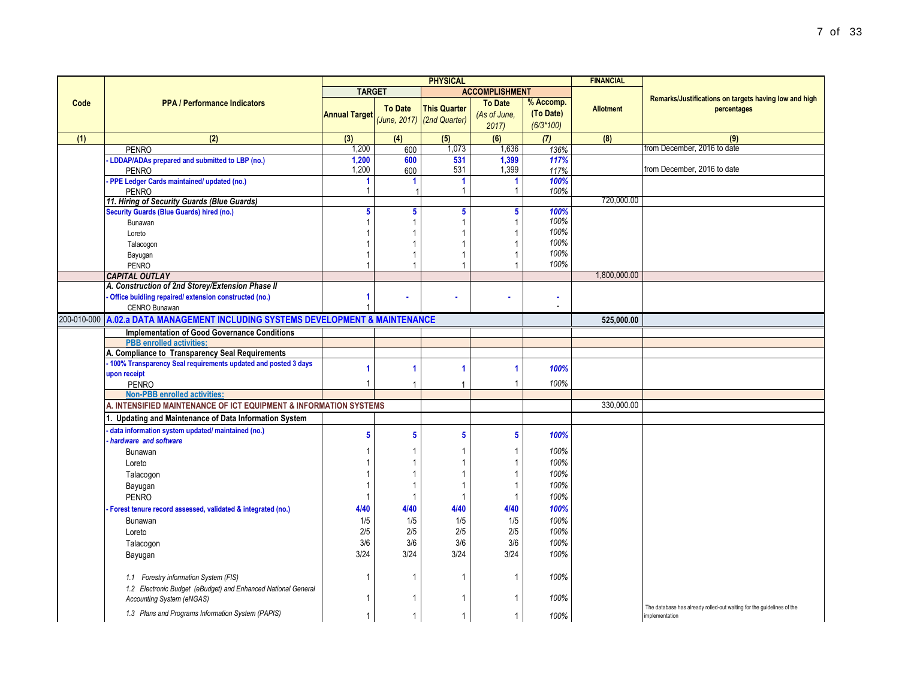|             |                                                                                                          |                      |                | <b>PHYSICAL</b>                                   |                                        |                                       | <b>FINANCIAL</b> |                                                                       |
|-------------|----------------------------------------------------------------------------------------------------------|----------------------|----------------|---------------------------------------------------|----------------------------------------|---------------------------------------|------------------|-----------------------------------------------------------------------|
|             |                                                                                                          | <b>TARGET</b>        |                |                                                   | <b>ACCOMPLISHMENT</b>                  |                                       |                  |                                                                       |
| Code        | <b>PPA / Performance Indicators</b>                                                                      | <b>Annual Target</b> | <b>To Date</b> | <b>This Quarter</b><br>(June, 2017) (2nd Quarter) | <b>To Date</b><br>(As of June,<br>2017 | % Accomp.<br>(To Date)<br>$(6/3*100)$ | <b>Allotment</b> | Remarks/Justifications on targets having low and high<br>percentages  |
| (1)         | (2)                                                                                                      | (3)                  | (4)            | (5)                                               | (6)                                    | (7)                                   | (8)              | (9)                                                                   |
|             | <b>PENRO</b>                                                                                             | 1,200                | 600            | 1,073                                             | 1,636                                  | 136%                                  |                  | from December. 2016 to date                                           |
|             | LDDAP/ADAs prepared and submitted to LBP (no.)                                                           | 1,200                | 600            | 531                                               | 1,399                                  | 117%                                  |                  |                                                                       |
|             | <b>PENRO</b>                                                                                             | 1,200                | 600            | 531                                               | 1,399                                  | 117%                                  |                  | from December, 2016 to date                                           |
|             | PPE Ledger Cards maintained/ updated (no.)                                                               | 1                    |                | -1                                                | $\blacktriangleleft$                   | 100%                                  |                  |                                                                       |
|             | <b>PENRO</b>                                                                                             | 1                    |                | -1                                                |                                        | 100%                                  |                  |                                                                       |
|             | 11. Hiring of Security Guards (Blue Guards)                                                              |                      |                |                                                   |                                        |                                       | 720,000.00       |                                                                       |
|             | <b>Security Guards (Blue Guards) hired (no.)</b>                                                         | 5 <sup>5</sup>       | 5              | ${\bf 5}$                                         | $5\phantom{.0}$                        | 100%                                  |                  |                                                                       |
|             | Bunawan                                                                                                  |                      | 1              |                                                   |                                        | 100%                                  |                  |                                                                       |
|             | Loreto                                                                                                   |                      |                |                                                   | 1                                      | 100%                                  |                  |                                                                       |
|             | Talacogon                                                                                                |                      | 1              | 1                                                 | 1                                      | 100%                                  |                  |                                                                       |
|             | Bayugan                                                                                                  |                      | 1              | 1                                                 |                                        | 100%<br>100%                          |                  |                                                                       |
|             | <b>PENRO</b>                                                                                             | 1                    | 1              | 1                                                 |                                        |                                       |                  |                                                                       |
|             | <b>CAPITAL OUTLAY</b>                                                                                    |                      |                |                                                   |                                        |                                       | 1,800,000.00     |                                                                       |
|             | A. Construction of 2nd Storey/Extension Phase II<br>Office buidling repaired/extension constructed (no.) | 1                    |                |                                                   |                                        | ٠                                     |                  |                                                                       |
|             | CENRO Bunawan                                                                                            |                      |                |                                                   |                                        |                                       |                  |                                                                       |
| 200-010-000 | A.02.a DATA MANAGEMENT INCLUDING SYSTEMS DEVELOPMENT & MAINTENANCE                                       |                      |                |                                                   |                                        |                                       |                  |                                                                       |
|             |                                                                                                          |                      |                |                                                   |                                        |                                       | 525,000.00       |                                                                       |
|             | <b>Implementation of Good Governance Conditions</b>                                                      |                      |                |                                                   |                                        |                                       |                  |                                                                       |
|             | <b>PBB</b> enrolled activities:                                                                          |                      |                |                                                   |                                        |                                       |                  |                                                                       |
|             | A. Compliance to Transparency Seal Requirements                                                          |                      |                |                                                   |                                        |                                       |                  |                                                                       |
|             | 100% Transparency Seal requirements updated and posted 3 days<br>upon receipt                            | 1                    | 1              | 1                                                 | -1                                     | 100%                                  |                  |                                                                       |
|             | <b>PENRO</b>                                                                                             | 1                    | 1              | 1                                                 |                                        | 100%                                  |                  |                                                                       |
|             | <b>Non-PBB enrolled activities:</b>                                                                      |                      |                |                                                   |                                        |                                       |                  |                                                                       |
|             | A. INTENSIFIED MAINTENANCE OF ICT EQUIPMENT & INFORMATION SYSTEMS                                        |                      |                |                                                   |                                        |                                       | 330,000.00       |                                                                       |
|             | 1. Updating and Maintenance of Data Information System                                                   |                      |                |                                                   |                                        |                                       |                  |                                                                       |
|             | data information system updated/maintained (no.)                                                         |                      |                |                                                   |                                        |                                       |                  |                                                                       |
|             | hardware and software                                                                                    | 5                    | 5              | 5                                                 | 5                                      | 100%                                  |                  |                                                                       |
|             | Bunawan                                                                                                  |                      | 1              | 1                                                 |                                        | 100%                                  |                  |                                                                       |
|             | Loreto                                                                                                   |                      | 1              | 1                                                 | $\mathbf{1}$                           | 100%                                  |                  |                                                                       |
|             | Talacogon                                                                                                |                      | 1              | 1                                                 | 1                                      | 100%                                  |                  |                                                                       |
|             | Bayugan                                                                                                  |                      | 1              | 1                                                 | $\mathbf{1}$                           | 100%                                  |                  |                                                                       |
|             | <b>PENRO</b>                                                                                             | -1                   | $\mathbf 1$    | $\mathbf{1}$                                      | $\mathbf{1}$                           | 100%                                  |                  |                                                                       |
|             |                                                                                                          | 4/40                 |                | 4/40                                              | 4/40                                   | 100%                                  |                  |                                                                       |
|             | Forest tenure record assessed, validated & integrated (no.)                                              |                      | 4/40           |                                                   |                                        |                                       |                  |                                                                       |
|             | Bunawan                                                                                                  | 1/5                  | 1/5            | 1/5                                               | 1/5                                    | 100%                                  |                  |                                                                       |
|             | Loreto                                                                                                   | 2/5                  | 2/5            | 2/5                                               | 2/5                                    | 100%                                  |                  |                                                                       |
|             | Talacogon                                                                                                | 3/6                  | 3/6            | 3/6                                               | 3/6                                    | 100%                                  |                  |                                                                       |
|             | Bayugan                                                                                                  | 3/24                 | 3/24           | 3/24                                              | 3/24                                   | 100%                                  |                  |                                                                       |
|             | 1.1 Forestry information System (FIS)<br>1.2 Electronic Budget (eBudget) and Enhanced National General   | 1                    | -1             | $\mathbf{1}$                                      | $\mathbf{1}$                           | 100%                                  |                  |                                                                       |
|             | <b>Accounting System (eNGAS)</b>                                                                         | -1                   | 1              | 1                                                 |                                        | 100%                                  |                  | The database has already rolled-out waiting for the guidelines of the |
|             | 1.3 Plans and Programs Information System (PAPIS)                                                        | 1                    | 1              | $\mathbf{1}$                                      |                                        | 100%                                  |                  | implementation                                                        |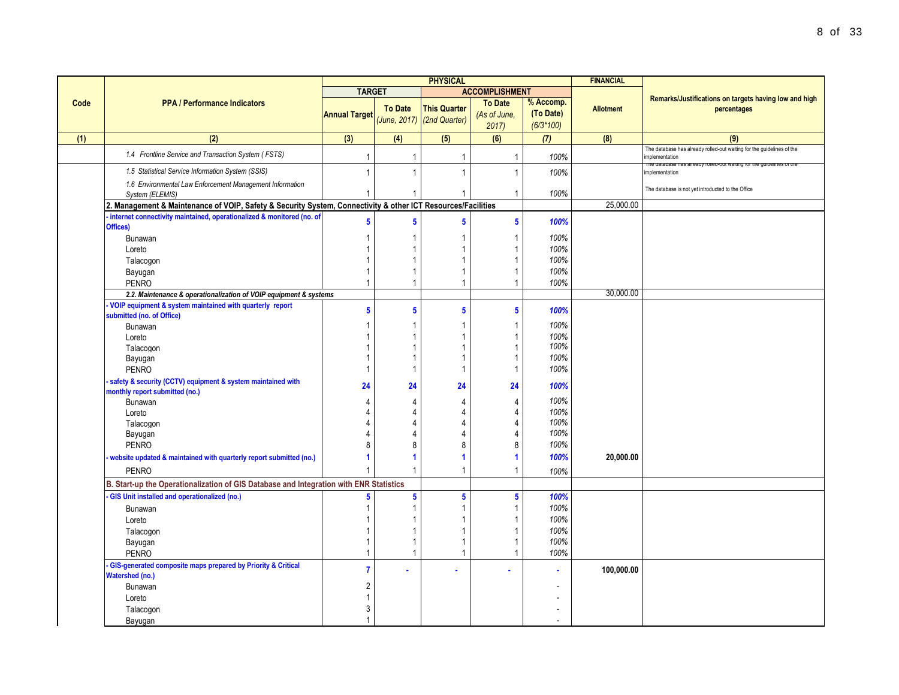|      |                                                                                                              | <b>PHYSICAL</b>         |                |                                                     | <b>FINANCIAL</b>                       |                                       |                  |                                                                                         |
|------|--------------------------------------------------------------------------------------------------------------|-------------------------|----------------|-----------------------------------------------------|----------------------------------------|---------------------------------------|------------------|-----------------------------------------------------------------------------------------|
|      |                                                                                                              | <b>TARGET</b>           |                |                                                     | <b>ACCOMPLISHMENT</b>                  |                                       |                  |                                                                                         |
| Code | <b>PPA / Performance Indicators</b>                                                                          | <b>Annual Target</b>    | <b>To Date</b> | <b>This Quarter</b><br>$(June, 2017)$ (2nd Quarter) | <b>To Date</b><br>(As of June,<br>2017 | % Accomp.<br>(To Date)<br>$(6/3*100)$ | <b>Allotment</b> | Remarks/Justifications on targets having low and high<br>percentages                    |
| (1)  | (2)                                                                                                          | (3)                     | (4)            | (5)                                                 | (6)                                    | (7)                                   | (8)              | (9)                                                                                     |
|      | 1.4 Frontline Service and Transaction System (FSTS)                                                          | $\overline{1}$          | $\mathbf{1}$   | 1                                                   | $\overline{1}$                         | 100%                                  |                  | The database has already rolled-out waiting for the guidelines of the<br>implementation |
|      | 1.5 Statistical Service Information System (SSIS)                                                            | 1                       | $\mathbf{1}$   | $\mathbf{1}$                                        | $\overline{1}$                         | 100%                                  |                  | The database has already rolled-out waiting for the guidelines of th<br>implementation  |
|      | 1.6 Environmental Law Enforcement Management Information<br>System (ELEMIS)                                  |                         |                |                                                     | $\overline{1}$                         | 100%                                  |                  | The database is not yet introducted to the Office                                       |
|      | 2. Management & Maintenance of VOIP, Safety & Security System, Connectivity & other ICT Resources/Facilities |                         |                |                                                     |                                        |                                       | 25,000.00        |                                                                                         |
|      | - internet connectivity maintained, operationalized & monitored (no. of<br>Offices)                          | $5\phantom{.0}$         | $\sqrt{5}$     | 5                                                   | $\overline{\mathbf{5}}$                | 100%                                  |                  |                                                                                         |
|      | Bunawan                                                                                                      | 1                       |                |                                                     | $\overline{1}$                         | 100%                                  |                  |                                                                                         |
|      | Loreto                                                                                                       | 1                       | $\overline{1}$ |                                                     | 1                                      | 100%                                  |                  |                                                                                         |
|      | Talacogon                                                                                                    | 1                       |                |                                                     | 1                                      | 100%                                  |                  |                                                                                         |
|      | Bayugan                                                                                                      | $\mathbf{1}$            | $\mathbf 1$    |                                                     | $\overline{1}$                         | 100%                                  |                  |                                                                                         |
|      | <b>PENRO</b>                                                                                                 | $\overline{1}$          | $\mathbf{1}$   |                                                     | $\overline{1}$                         | 100%                                  |                  |                                                                                         |
|      | 2.2. Maintenance & operationalization of VOIP equipment & systems                                            |                         |                |                                                     |                                        |                                       | 30.000.00        |                                                                                         |
|      | VOIP equipment & system maintained with quarterly report<br>submitted (no. of Office)                        | $5\phantom{a}$          | $5\phantom{a}$ | $5\phantom{.0}$                                     | 5                                      | 100%                                  |                  |                                                                                         |
|      | Bunawan                                                                                                      | 1                       | $\mathbf 1$    |                                                     | $\overline{1}$                         | 100%                                  |                  |                                                                                         |
|      | Loreto                                                                                                       | 1                       | $\overline{1}$ |                                                     | $\overline{1}$                         | 100%                                  |                  |                                                                                         |
|      | Talacogon                                                                                                    | 1                       | $\overline{1}$ |                                                     | 1                                      | 100%                                  |                  |                                                                                         |
|      | Bayugan                                                                                                      | -1                      | $\mathbf{1}$   |                                                     | $\overline{1}$                         | 100%                                  |                  |                                                                                         |
|      | <b>PENRO</b>                                                                                                 | $\overline{1}$          | $\mathbf{1}$   | $\mathbf{1}$                                        | $\mathbf{1}$                           | 100%                                  |                  |                                                                                         |
|      | safety & security (CCTV) equipment & system maintained with<br>monthly report submitted (no.)                | 24                      | 24             | 24                                                  | 24                                     | 100%                                  |                  |                                                                                         |
|      | Bunawan                                                                                                      | $\overline{4}$          | 4              | 4                                                   | 4                                      | 100%                                  |                  |                                                                                         |
|      | Loreto                                                                                                       | 4                       | 4              | 4                                                   | 4                                      | 100%                                  |                  |                                                                                         |
|      | Talacogon                                                                                                    | 4                       | $\overline{4}$ |                                                     | 4                                      | 100%                                  |                  |                                                                                         |
|      | Bayugan                                                                                                      | 4                       | 4              |                                                     | 4                                      | 100%                                  |                  |                                                                                         |
|      | <b>PENRO</b>                                                                                                 | 8                       | 8              | 8                                                   | 8                                      | 100%                                  |                  |                                                                                         |
|      | website updated & maintained with quarterly report submitted (no.)                                           | 1                       | 1              |                                                     | $\mathbf{1}$                           | 100%                                  | 20,000.00        |                                                                                         |
|      | <b>PENRO</b>                                                                                                 |                         | $\overline{1}$ |                                                     | $\overline{1}$                         | 100%                                  |                  |                                                                                         |
|      | B. Start-up the Operationalization of GIS Database and Integration with ENR Statistics                       |                         |                |                                                     |                                        |                                       |                  |                                                                                         |
|      | GIS Unit installed and operationalized (no.)                                                                 | 5                       | ${\bf 5}$      | $5\phantom{.0}$                                     | $\overline{\mathbf{5}}$                | 100%                                  |                  |                                                                                         |
|      | <b>Bunawan</b>                                                                                               | $\mathbf{1}$            | $\mathbf 1$    | 1                                                   | $\mathbf{1}$                           | 100%                                  |                  |                                                                                         |
|      | Loreto                                                                                                       | 1                       | $\mathbf 1$    |                                                     | -1                                     | 100%                                  |                  |                                                                                         |
|      | Talacogon                                                                                                    | 1                       | $\mathbf 1$    |                                                     | $\overline{1}$                         | 100%                                  |                  |                                                                                         |
|      | Bayugan                                                                                                      | $\mathbf{1}$            | $\mathbf{1}$   |                                                     | $\overline{1}$                         | 100%                                  |                  |                                                                                         |
|      | <b>PENRO</b>                                                                                                 | $\overline{1}$          | $\mathbf{1}$   | $\mathbf{1}$                                        | $\overline{1}$                         | 100%                                  |                  |                                                                                         |
|      | - GIS-generated composite maps prepared by Priority & Critical<br><b>Watershed (no.)</b>                     | $\overline{7}$          |                |                                                     |                                        |                                       | 100,000.00       |                                                                                         |
|      | Bunawan                                                                                                      | $\overline{\mathbf{c}}$ |                |                                                     |                                        |                                       |                  |                                                                                         |
|      | Loreto                                                                                                       | $\mathbf{1}$            |                |                                                     |                                        |                                       |                  |                                                                                         |
|      | Talacogon                                                                                                    | 3                       |                |                                                     |                                        |                                       |                  |                                                                                         |
|      | Bayugan                                                                                                      | $\mathbf{1}$            |                |                                                     |                                        |                                       |                  |                                                                                         |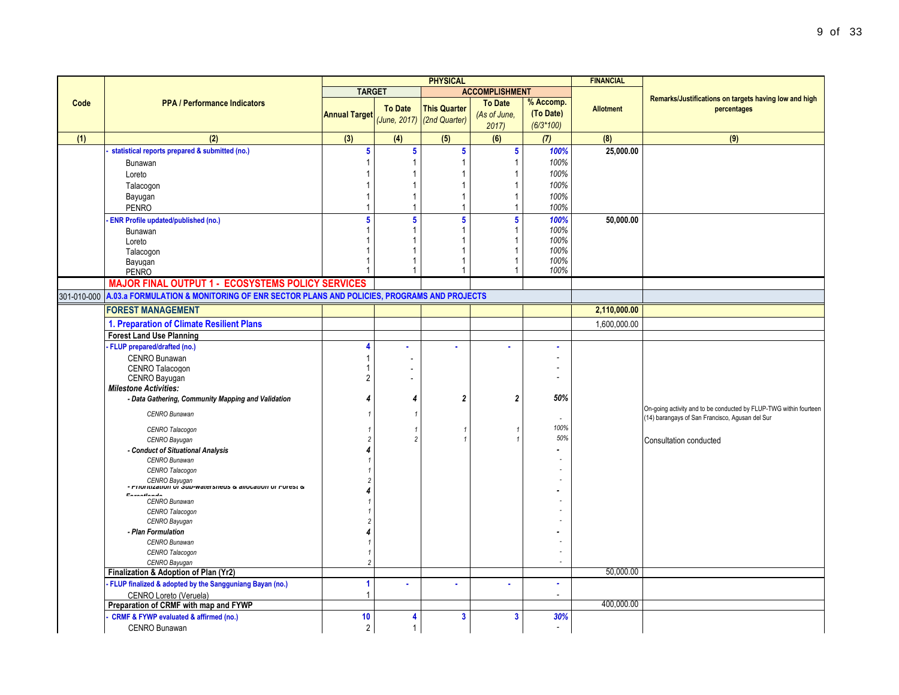|             |                                                                                         | <b>PHYSICAL</b>         |                         |                            |                         | <b>FINANCIAL</b> |                  |                                                                   |
|-------------|-----------------------------------------------------------------------------------------|-------------------------|-------------------------|----------------------------|-------------------------|------------------|------------------|-------------------------------------------------------------------|
|             |                                                                                         | <b>TARGET</b>           |                         |                            | <b>ACCOMPLISHMENT</b>   |                  |                  |                                                                   |
| Code        | <b>PPA / Performance Indicators</b>                                                     |                         |                         |                            | <b>To Date</b>          | % Accomp.        |                  | Remarks/Justifications on targets having low and high             |
|             |                                                                                         | <b>Annual Target</b>    | <b>To Date</b>          | <b>This Quarter</b>        | (As of June,            | (To Date)        | <b>Allotment</b> | percentages                                                       |
|             |                                                                                         |                         |                         | (June, 2017) (2nd Quarter) | 2017                    | $(6/3*100)$      |                  |                                                                   |
| (1)         | (2)                                                                                     | (3)                     | (4)                     | (5)                        | (6)                     | (7)              | (8)              | (9)                                                               |
|             | statistical reports prepared & submitted (no.)                                          | $\overline{\mathbf{5}}$ | 5 <sup>5</sup>          | $\overline{\mathbf{5}}$    | $5\phantom{a}$          | 100%             | 25,000.00        |                                                                   |
|             | Bunawan                                                                                 |                         | 1                       | $\overline{1}$             | $\mathbf{1}$            | 100%             |                  |                                                                   |
|             | Loreto                                                                                  |                         |                         | 1                          | 1                       | 100%             |                  |                                                                   |
|             | Talacogon                                                                               |                         |                         | $\mathbf{1}$               | 1                       | 100%             |                  |                                                                   |
|             | Bayugan                                                                                 |                         | 1                       | $\overline{1}$             | 1                       | 100%             |                  |                                                                   |
|             | <b>PENRO</b>                                                                            |                         | 1                       | $\overline{1}$             | $\mathbf{1}$            | 100%             |                  |                                                                   |
|             | <b>ENR Profile updated/published (no.)</b>                                              | 5                       | $\overline{\mathbf{5}}$ | $\overline{\mathbf{5}}$    | $\overline{\mathbf{5}}$ | 100%             | 50,000.00        |                                                                   |
|             | Bunawan                                                                                 |                         | 1                       | $\overline{1}$             | 1                       | 100%             |                  |                                                                   |
|             | Loreto                                                                                  |                         |                         | 1                          |                         | 100%             |                  |                                                                   |
|             | Talacogon                                                                               |                         |                         | 1                          |                         | 100%             |                  |                                                                   |
|             | Bayugan                                                                                 |                         |                         | 1                          |                         | 100%             |                  |                                                                   |
|             | <b>PENRO</b>                                                                            |                         |                         | $\mathbf{1}$               | 1                       | 100%             |                  |                                                                   |
|             | <b>MAJOR FINAL OUTPUT 1 - ECOSYSTEMS POLICY SERVICES</b>                                |                         |                         |                            |                         |                  |                  |                                                                   |
| 301-010-000 | A.03.a FORMULATION & MONITORING OF ENR SECTOR PLANS AND POLICIES, PROGRAMS AND PROJECTS |                         |                         |                            |                         |                  |                  |                                                                   |
|             | <b>FOREST MANAGEMENT</b>                                                                |                         |                         |                            |                         |                  | 2,110,000.00     |                                                                   |
|             | 1. Preparation of Climate Resilient Plans                                               |                         |                         |                            |                         |                  | 1,600,000.00     |                                                                   |
|             | <b>Forest Land Use Planning</b>                                                         |                         |                         |                            |                         |                  |                  |                                                                   |
|             | - FLUP prepared/drafted (no.)                                                           | Δ                       |                         |                            |                         | ä,               |                  |                                                                   |
|             | CENRO Bunawan                                                                           |                         |                         |                            |                         |                  |                  |                                                                   |
|             | CENRO Talacogon                                                                         |                         |                         |                            |                         |                  |                  |                                                                   |
|             | CENRO Bayugan                                                                           | $\overline{2}$          |                         |                            |                         |                  |                  |                                                                   |
|             | <b>Milestone Activities:</b>                                                            |                         |                         |                            |                         |                  |                  |                                                                   |
|             | - Data Gathering, Community Mapping and Validation                                      | 4                       | 4                       | $\boldsymbol{2}$           | $\boldsymbol{2}$        | 50%              |                  |                                                                   |
|             | CENRO Bunawan                                                                           |                         | $\mathbf{1}$            |                            |                         |                  |                  | On-going activity and to be conducted by FLUP-TWG within fourteen |
|             |                                                                                         |                         |                         |                            |                         |                  |                  | (14) barangays of San Francisco, Agusan del Sur                   |
|             | CENRO Talacogon                                                                         |                         | $\mathbf{1}$            |                            | $\overline{1}$          | 100%             |                  |                                                                   |
|             | CENRO Bayugan                                                                           |                         | $\overline{2}$          |                            |                         | 50%              |                  | Consultation conducted                                            |
|             | - Conduct of Situational Analysis                                                       |                         |                         |                            |                         |                  |                  |                                                                   |
|             | CENRO Bunawan                                                                           |                         |                         |                            |                         |                  |                  |                                                                   |
|             | CENRO Talacogon                                                                         |                         |                         |                            |                         |                  |                  |                                                                   |
|             | CENRO Bayugan<br>• דווטוווובמנוטוו טו שטבי שמופי שומות של היוונוגמנוטוו טו דיטופאנ      |                         |                         |                            |                         |                  |                  |                                                                   |
|             | Enventionale                                                                            |                         |                         |                            |                         |                  |                  |                                                                   |
|             | CENRO Bunawan<br>CENRO Talacogon                                                        |                         |                         |                            |                         |                  |                  |                                                                   |
|             | CENRO Bayugan                                                                           |                         |                         |                            |                         |                  |                  |                                                                   |
|             | - Plan Formulation                                                                      |                         |                         |                            |                         |                  |                  |                                                                   |
|             | CENRO Bunawan                                                                           |                         |                         |                            |                         |                  |                  |                                                                   |
|             | CENRO Talacogon                                                                         |                         |                         |                            |                         |                  |                  |                                                                   |
|             | CENRO Bayugan                                                                           |                         |                         |                            |                         |                  |                  |                                                                   |
|             | Finalization & Adoption of Plan (Yr2)                                                   |                         |                         |                            |                         |                  | 50,000.00        |                                                                   |
|             | FLUP finalized & adopted by the Sangguniang Bayan (no.)                                 | 1                       | ×.                      | $\mathbf{r}$               |                         | $\mathbf{r}$     |                  |                                                                   |
|             | CENRO Loreto (Veruela)                                                                  |                         |                         |                            |                         | $\sim$           |                  |                                                                   |
|             | Preparation of CRMF with map and FYWP                                                   |                         |                         |                            |                         |                  | 400.000.00       |                                                                   |
|             | <b>CRMF &amp; FYWP evaluated &amp; affirmed (no.)</b>                                   | 10                      | 4                       | 3                          | $\overline{\mathbf{3}}$ | 30%              |                  |                                                                   |
|             | <b>CENRO Bunawan</b>                                                                    | $\overline{2}$          | $\mathbf{1}$            |                            |                         |                  |                  |                                                                   |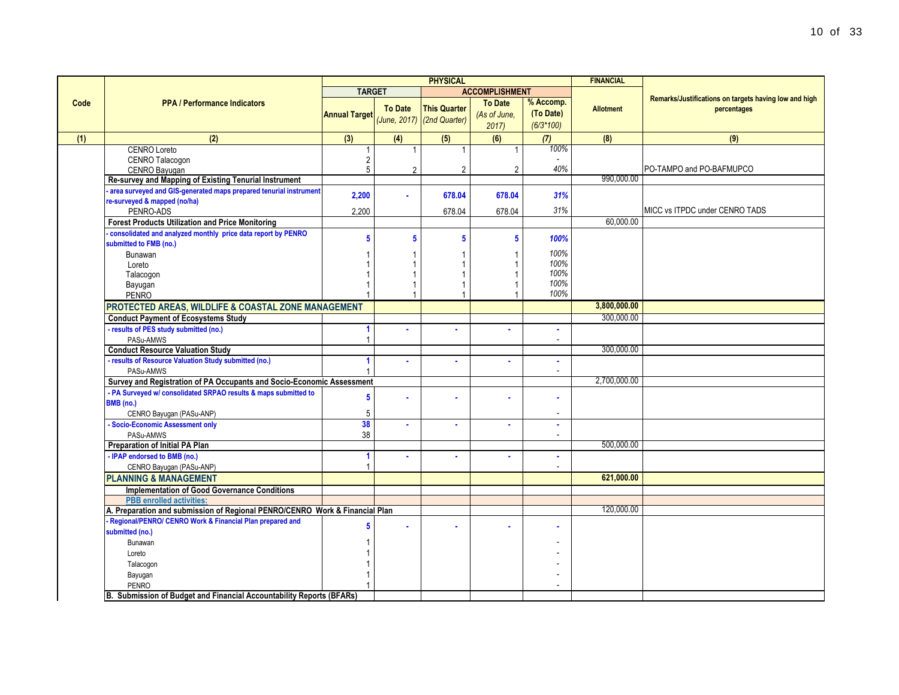|      |                                                                                                                | <b>PHYSICAL</b>      |                 |                                                     |                                        | <b>FINANCIAL</b>                      |                  |                                                                      |
|------|----------------------------------------------------------------------------------------------------------------|----------------------|-----------------|-----------------------------------------------------|----------------------------------------|---------------------------------------|------------------|----------------------------------------------------------------------|
|      |                                                                                                                | <b>TARGET</b>        |                 |                                                     | <b>ACCOMPLISHMENT</b>                  |                                       |                  |                                                                      |
| Code | <b>PPA / Performance Indicators</b>                                                                            | <b>Annual Target</b> | <b>To Date</b>  | <b>This Quarter</b><br>$(June, 2017)$ (2nd Quarter) | <b>To Date</b><br>(As of June.<br>2017 | % Accomp.<br>(To Date)<br>$(6/3*100)$ | <b>Allotment</b> | Remarks/Justifications on targets having low and high<br>percentages |
| (1)  | (2)                                                                                                            | (3)                  | (4)             | (5)                                                 | (6)                                    | (7)                                   | (8)              | (9)                                                                  |
|      | <b>CENRO Loreto</b><br>CENRO Talacogon<br>CENRO Bayugan                                                        | 2<br>5               | $\overline{2}$  | $\overline{2}$                                      | 2                                      | 100%<br>40%                           |                  | PO-TAMPO and PO-BAFMUPCO                                             |
|      | Re-survey and Mapping of Existing Tenurial Instrument                                                          |                      |                 |                                                     |                                        |                                       | 990,000.00       |                                                                      |
|      | area surveyed and GIS-generated maps prepared tenurial instrument<br>re-surveyed & mapped (no/ha)<br>PENRO-ADS | 2,200<br>2,200       |                 | 678.04<br>678.04                                    | 678.04<br>678.04                       | 31%<br>31%                            |                  | MICC vs ITPDC under CENRO TADS                                       |
|      | <b>Forest Products Utilization and Price Monitoring</b>                                                        |                      |                 |                                                     |                                        |                                       | 60.000.00        |                                                                      |
|      | consolidated and analyzed monthly price data report by PENRO<br>submitted to FMB (no.)                         | 5                    | $5\phantom{.0}$ | 5                                                   | 5                                      | 100%<br>100%                          |                  |                                                                      |
|      | Bunawan<br>Loreto<br>Talacogon                                                                                 |                      |                 |                                                     |                                        | 100%<br>100%                          |                  |                                                                      |
|      | Bayugan<br><b>PENRO</b>                                                                                        |                      |                 |                                                     |                                        | 100%<br>100%                          |                  |                                                                      |
|      | PROTECTED AREAS, WILDLIFE & COASTAL ZONE MANAGEMENT                                                            |                      |                 |                                                     |                                        |                                       | 3,800,000.00     |                                                                      |
|      | <b>Conduct Payment of Ecosystems Study</b>                                                                     |                      |                 |                                                     |                                        |                                       | 300,000.00       |                                                                      |
|      | - results of PES study submitted (no.)<br>PASu-AMWS                                                            | 1<br>1               |                 |                                                     |                                        | ٠<br>$\overline{\phantom{a}}$         |                  |                                                                      |
|      | <b>Conduct Resource Valuation Study</b>                                                                        |                      |                 |                                                     |                                        |                                       | 300,000.00       |                                                                      |
|      | - results of Resource Valuation Study submitted (no.)<br>PASu-AMWS                                             | 1                    |                 |                                                     |                                        | ×<br>$\overline{\phantom{a}}$         |                  |                                                                      |
|      | Survey and Registration of PA Occupants and Socio-Economic Assessment                                          |                      |                 |                                                     |                                        |                                       | 2,700,000.00     |                                                                      |
|      | - PA Surveyed w/ consolidated SRPAO results & maps submitted to<br>BMB (no.)<br>CENRO Bayugan (PASu-ANP)       | 5<br>5               |                 |                                                     |                                        | ×<br>$\overline{\phantom{a}}$         |                  |                                                                      |
|      | - Socio-Economic Assessment only<br>PASu-AMWS                                                                  | 38<br>38             |                 | ×                                                   |                                        | ٠<br>$\overline{\phantom{a}}$         |                  |                                                                      |
|      | <b>Preparation of Initial PA Plan</b>                                                                          |                      |                 |                                                     |                                        |                                       | 500,000.00       |                                                                      |
|      | - IPAP endorsed to BMB (no.)<br>CENRO Bayugan (PASu-ANP)                                                       | 1                    |                 | ä                                                   |                                        | ×                                     |                  |                                                                      |
|      | <b>PLANNING &amp; MANAGEMENT</b>                                                                               |                      |                 |                                                     |                                        |                                       | 621,000.00       |                                                                      |
|      | Implementation of Good Governance Conditions                                                                   |                      |                 |                                                     |                                        |                                       |                  |                                                                      |
|      | <b>PBB</b> enrolled activities:                                                                                |                      |                 |                                                     |                                        |                                       |                  |                                                                      |
|      | A. Preparation and submission of Regional PENRO/CENRO Work & Financial Plan                                    |                      |                 |                                                     |                                        |                                       | 120,000.00       |                                                                      |
|      | Regional/PENRO/ CENRO Work & Financial Plan prepared and<br>submitted (no.)                                    | 5                    |                 |                                                     |                                        |                                       |                  |                                                                      |
|      | Bunawan<br>Loreto                                                                                              |                      |                 |                                                     |                                        |                                       |                  |                                                                      |
|      | Talacogon<br>Bayugan                                                                                           |                      |                 |                                                     |                                        |                                       |                  |                                                                      |
|      | PENRO<br>B. Submission of Budget and Financial Accountability Reports (BFARs)                                  |                      |                 |                                                     |                                        |                                       |                  |                                                                      |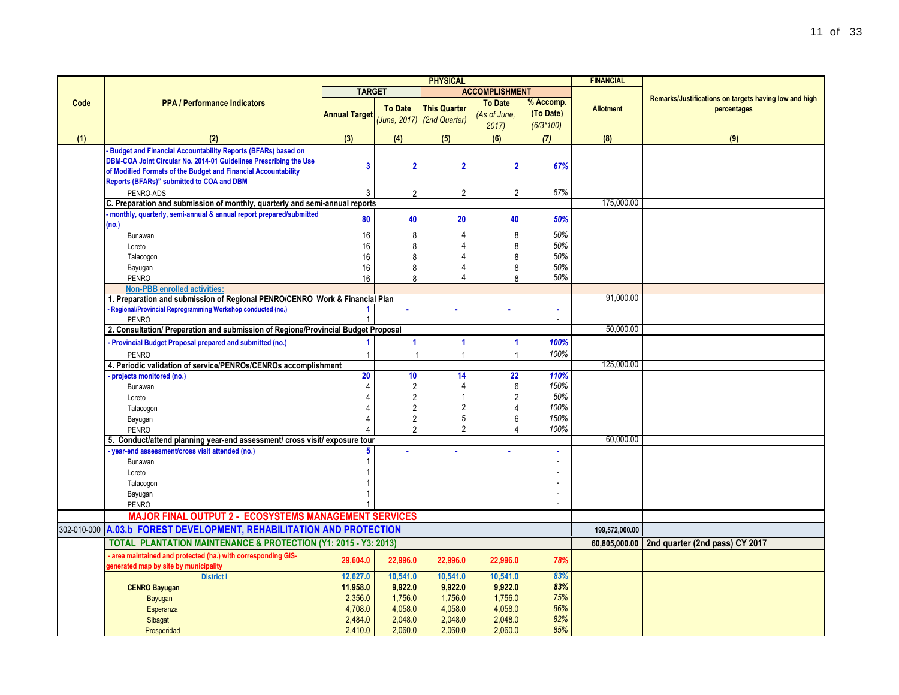|             |                                                                                                                    |                      |                | <b>PHYSICAL</b>            |                       |             | <b>FINANCIAL</b> |                                                       |
|-------------|--------------------------------------------------------------------------------------------------------------------|----------------------|----------------|----------------------------|-----------------------|-------------|------------------|-------------------------------------------------------|
|             |                                                                                                                    | <b>TARGET</b>        |                |                            | <b>ACCOMPLISHMENT</b> |             |                  |                                                       |
| Code        | <b>PPA / Performance Indicators</b>                                                                                |                      | <b>To Date</b> | <b>This Quarter</b>        | <b>To Date</b>        | % Accomp.   |                  | Remarks/Justifications on targets having low and high |
|             |                                                                                                                    | <b>Annual Target</b> |                | (June, 2017) (2nd Quarter) | (As of June,          | (To Date)   | <b>Allotment</b> | percentages                                           |
|             |                                                                                                                    |                      |                |                            | 2017                  | $(6/3*100)$ |                  |                                                       |
| (1)         | (2)                                                                                                                | (3)                  | (4)            | (5)                        | (6)                   | (7)         | (8)              | (9)                                                   |
|             | <b>Budget and Financial Accountability Reports (BFARs) based on</b>                                                |                      |                |                            |                       |             |                  |                                                       |
|             | DBM-COA Joint Circular No. 2014-01 Guidelines Prescribing the Use                                                  |                      |                |                            |                       |             |                  |                                                       |
|             | of Modified Formats of the Budget and Financial Accountability                                                     | 3                    | $\overline{2}$ | $\overline{\mathbf{2}}$    | $\overline{2}$        | 67%         |                  |                                                       |
|             | Reports (BFARs)" submitted to COA and DBM                                                                          |                      |                |                            |                       |             |                  |                                                       |
|             | PENRO-ADS                                                                                                          | 3                    | $\overline{2}$ | $\overline{2}$             | $\overline{2}$        | 67%         |                  |                                                       |
|             | C. Preparation and submission of monthly, quarterly and semi-annual reports                                        |                      |                |                            |                       |             | 175,000.00       |                                                       |
|             | monthly, quarterly, semi-annual & annual report prepared/submitted                                                 | 80                   | 40             | 20                         | 40                    | 50%         |                  |                                                       |
|             | (no.)                                                                                                              |                      |                |                            |                       |             |                  |                                                       |
|             | Bunawan                                                                                                            | 16                   | 8              | 4                          | 8                     | 50%         |                  |                                                       |
|             | Loreto                                                                                                             | 16                   | 8              |                            | 8                     | 50%         |                  |                                                       |
|             | Talacogon                                                                                                          | 16                   | 8              |                            | 8                     | 50%         |                  |                                                       |
|             | Bayugan                                                                                                            | 16                   | 8              | 4                          | 8                     | 50%         |                  |                                                       |
|             | <b>PENRO</b>                                                                                                       | 16                   | $\mathsf{R}$   | 4                          | $\mathbf{8}$          | 50%         |                  |                                                       |
|             | <b>Non-PBB enrolled activities:</b><br>1. Preparation and submission of Regional PENRO/CENRO Work & Financial Plan |                      |                |                            |                       |             | 91,000.00        |                                                       |
|             | Regional/Provincial Reprogramming Workshop conducted (no.)                                                         |                      |                |                            |                       | ä,          |                  |                                                       |
|             | <b>PENRO</b>                                                                                                       | 1                    |                |                            |                       |             |                  |                                                       |
|             | 2. Consultation/ Preparation and submission of Regiona/Provincial Budget Proposal                                  |                      |                |                            |                       |             | 50,000.00        |                                                       |
|             | Provincial Budget Proposal prepared and submitted (no.)                                                            | 1                    | 1              | 1                          | $\blacktriangleleft$  | 100%        |                  |                                                       |
|             | <b>PENRO</b>                                                                                                       | $\mathbf{1}$         |                | 1                          | -1                    | 100%        |                  |                                                       |
|             | 4. Periodic validation of service/PENROs/CENROs accomplishment                                                     |                      |                |                            |                       |             | 125,000.00       |                                                       |
|             | projects monitored (no.)                                                                                           | 20                   | 10             | 14                         | 22                    | 110%        |                  |                                                       |
|             | Bunawan                                                                                                            | 4                    | 2              | 4                          | 6                     | 150%        |                  |                                                       |
|             | Loreto                                                                                                             |                      | $\overline{2}$ | 1                          | $\overline{2}$        | 50%         |                  |                                                       |
|             | Talacogon                                                                                                          |                      | $\overline{2}$ | $\overline{2}$             | $\overline{4}$        | 100%        |                  |                                                       |
|             | Bayugan                                                                                                            |                      | $\overline{2}$ | 5                          | 6                     | 150%        |                  |                                                       |
|             | <b>PENRO</b>                                                                                                       |                      | $\overline{2}$ | $\overline{2}$             | $\overline{4}$        | 100%        |                  |                                                       |
|             | 5. Conduct/attend planning year-end assessment/ cross visit/ exposure tour                                         |                      |                |                            |                       |             | 60,000.00        |                                                       |
|             | - year-end assessment/cross visit attended (no.)                                                                   |                      |                |                            |                       |             |                  |                                                       |
|             | Bunawan                                                                                                            |                      |                |                            |                       |             |                  |                                                       |
|             | Loreto                                                                                                             |                      |                |                            |                       |             |                  |                                                       |
|             | Talacogon                                                                                                          |                      |                |                            |                       |             |                  |                                                       |
|             | Bayugan                                                                                                            |                      |                |                            |                       |             |                  |                                                       |
|             | <b>PENRO</b>                                                                                                       |                      |                |                            |                       |             |                  |                                                       |
|             | <b>MAJOR FINAL OUTPUT 2 - ECOSYSTEMS MANAGEMENT SERVICES</b>                                                       |                      |                |                            |                       |             |                  |                                                       |
| 302-010-000 | A.03.b FOREST DEVELOPMENT, REHABILITATION AND PROTECTION                                                           |                      |                |                            |                       |             | 199,572,000.00   |                                                       |
|             | <b>TOTAL PLANTATION MAINTENANCE &amp; PROTECTION (Y1: 2015 - Y3: 2013)</b>                                         |                      |                |                            |                       |             |                  | 60,805,000.00 2nd quarter (2nd pass) CY 2017          |
|             | area maintained and protected (ha.) with corresponding GIS-                                                        |                      |                |                            |                       |             |                  |                                                       |
|             | generated map by site by municipality                                                                              | 29,604.0             | 22,996.0       | 22,996.0                   | 22,996.0              | 78%         |                  |                                                       |
|             | <b>District I</b>                                                                                                  | 12,627.0             | 10,541.0       | 10,541.0                   | 10,541.0              | 83%         |                  |                                                       |
|             | <b>CENRO Bayugan</b>                                                                                               | 11,958.0             | 9,922.0        | 9,922.0                    | 9,922.0               | 83%         |                  |                                                       |
|             | Bayugan                                                                                                            | 2,356.0              | 1,756.0        | 1,756.0                    | 1,756.0               | 75%         |                  |                                                       |
|             | Esperanza                                                                                                          | 4,708.0              | 4,058.0        | 4,058.0                    | 4,058.0               | 86%         |                  |                                                       |
|             | Sibagat                                                                                                            | 2,484.0              | 2,048.0        | 2,048.0                    | 2,048.0               | 82%         |                  |                                                       |
|             | Prosperidad                                                                                                        | 2,410.0              | 2,060.0        | 2,060.0                    | 2,060.0               | 85%         |                  |                                                       |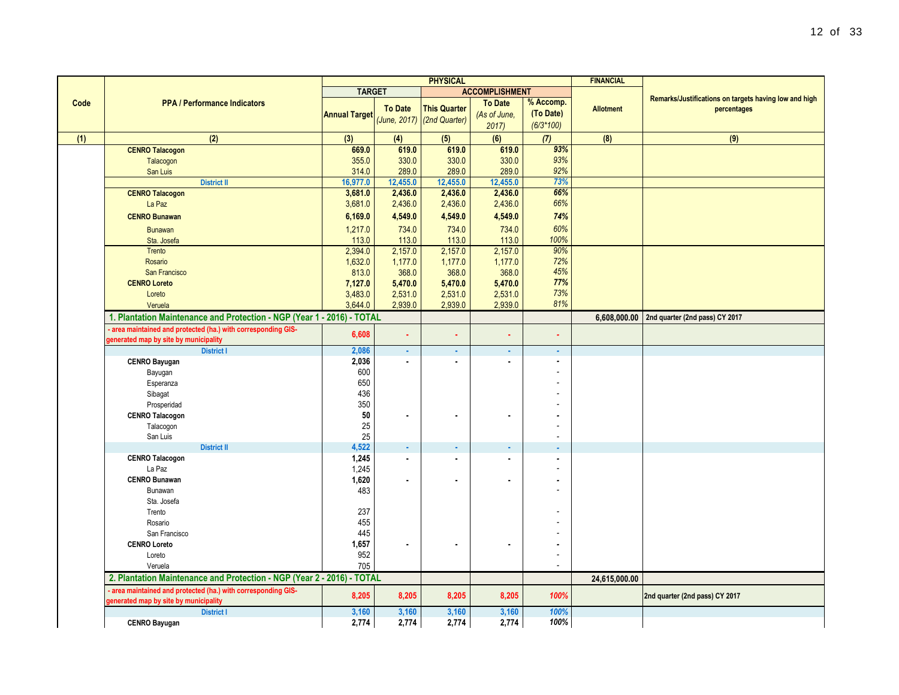|      |                                                                        | <b>PHYSICAL</b>      |                | <b>FINANCIAL</b>                                  |                       |                          |                  |                                                       |
|------|------------------------------------------------------------------------|----------------------|----------------|---------------------------------------------------|-----------------------|--------------------------|------------------|-------------------------------------------------------|
|      |                                                                        | <b>TARGET</b>        |                |                                                   | <b>ACCOMPLISHMENT</b> |                          |                  |                                                       |
| Code | <b>PPA / Performance Indicators</b>                                    |                      |                |                                                   | <b>To Date</b>        | % Accomp.                |                  | Remarks/Justifications on targets having low and high |
|      |                                                                        | <b>Annual Target</b> | <b>To Date</b> | <b>This Quarter</b><br>(June, 2017) (2nd Quarter) | (As of June,          | (To Date)                | <b>Allotment</b> | percentages                                           |
|      |                                                                        |                      |                |                                                   | 2017                  | $(6/3*100)$              |                  |                                                       |
| (1)  | (2)                                                                    | (3)                  | (4)            | (5)                                               | (6)                   | (7)                      | (8)              | (9)                                                   |
|      | <b>CENRO Talacogon</b>                                                 | 669.0                | 619.0          | 619.0                                             | 619.0                 | 93%                      |                  |                                                       |
|      | Talacogon                                                              | 355.0                | 330.0          | 330.0                                             | 330.0                 | 93%                      |                  |                                                       |
|      | San Luis                                                               | 314.0                | 289.0          | 289.0                                             | 289.0                 | 92%                      |                  |                                                       |
|      | <b>District II</b>                                                     | 16,977.0             | 12,455.0       | 12,455.0                                          | 12,455.0              | 73%                      |                  |                                                       |
|      | <b>CENRO Talacogon</b>                                                 | 3,681.0              | 2,436.0        | 2,436.0                                           | 2,436.0               | 66%                      |                  |                                                       |
|      | La Paz                                                                 | 3,681.0              | 2,436.0        | 2,436.0                                           | 2,436.0               | 66%                      |                  |                                                       |
|      | <b>CENRO Bunawan</b>                                                   | 6,169.0              | 4,549.0        | 4,549.0                                           | 4,549.0               | 74%                      |                  |                                                       |
|      | <b>Bunawan</b>                                                         | 1,217.0              | 734.0          | 734.0                                             | 734.0                 | 60%                      |                  |                                                       |
|      | Sta. Josefa                                                            | 113.0                | 113.0          | 113.0                                             | 113.0                 | 100%                     |                  |                                                       |
|      | Trento                                                                 | 2,394.0              | 2,157.0        | 2,157.0                                           | 2,157.0               | 90%                      |                  |                                                       |
|      | Rosario                                                                | 1,632.0              | 1,177.0        | 1,177.0                                           | 1,177.0               | 72%                      |                  |                                                       |
|      | San Francisco                                                          | 813.0                | 368.0          | 368.0                                             | 368.0                 | 45%                      |                  |                                                       |
|      | <b>CENRO Loreto</b>                                                    | 7,127.0              | 5,470.0        | 5,470.0                                           | 5,470.0               | 77%                      |                  |                                                       |
|      | Loreto                                                                 | 3,483.0              | 2,531.0        | 2,531.0                                           | 2,531.0               | 73%                      |                  |                                                       |
|      | Veruela                                                                | 3,644.0              | 2,939.0        | 2,939.0                                           | 2,939.0               | 81%                      |                  |                                                       |
|      | 1. Plantation Maintenance and Protection - NGP (Year 1 - 2016) - TOTAL |                      |                |                                                   |                       |                          | 6,608,000.00     | 2nd quarter (2nd pass) CY 2017                        |
|      | - area maintained and protected (ha.) with corresponding GIS-          | 6,608                | ä,             |                                                   | ä,                    | ä,                       |                  |                                                       |
|      | generated map by site by municipality                                  |                      |                | ٠                                                 |                       |                          |                  |                                                       |
|      | <b>District I</b>                                                      | 2,086                | a.             | ×.                                                | ÷.                    | ä,                       |                  |                                                       |
|      | <b>CENRO Bayugan</b>                                                   | 2,036                | $\blacksquare$ | $\blacksquare$                                    | $\mathbf{r}$          | $\overline{\phantom{a}}$ |                  |                                                       |
|      | Bayugan                                                                | 600                  |                |                                                   |                       |                          |                  |                                                       |
|      | Esperanza                                                              | 650                  |                |                                                   |                       |                          |                  |                                                       |
|      | Sibagat                                                                | 436                  |                |                                                   |                       |                          |                  |                                                       |
|      | Prosperidad                                                            | 350                  |                |                                                   |                       |                          |                  |                                                       |
|      | <b>CENRO Talacogon</b>                                                 | 50                   |                |                                                   |                       |                          |                  |                                                       |
|      | Talacogon                                                              | 25                   |                |                                                   |                       | $\overline{a}$           |                  |                                                       |
|      | San Luis                                                               | 25                   |                |                                                   |                       | $\overline{a}$           |                  |                                                       |
|      | <b>District II</b>                                                     | 4,522                | ×.             |                                                   | ×.                    | ÷                        |                  |                                                       |
|      | <b>CENRO Talacogon</b>                                                 | 1,245                | $\blacksquare$ | $\blacksquare$                                    | $\blacksquare$        | $\blacksquare$           |                  |                                                       |
|      | La Paz                                                                 | 1,245                |                |                                                   |                       |                          |                  |                                                       |
|      | <b>CENRO Bunawan</b>                                                   | 1,620                |                | $\blacksquare$                                    | ä,                    |                          |                  |                                                       |
|      | Bunawan<br>Sta. Josefa                                                 | 483                  |                |                                                   |                       |                          |                  |                                                       |
|      | Trento                                                                 | 237                  |                |                                                   |                       |                          |                  |                                                       |
|      | Rosario                                                                | 455                  |                |                                                   |                       |                          |                  |                                                       |
|      | San Francisco                                                          | 445                  |                |                                                   |                       |                          |                  |                                                       |
|      | <b>CENRO Loreto</b>                                                    | 1,657                | $\blacksquare$ | $\blacksquare$                                    |                       |                          |                  |                                                       |
|      | Loreto                                                                 | 952                  |                |                                                   |                       |                          |                  |                                                       |
|      | Veruela                                                                | 705                  |                |                                                   |                       | $\tilde{\phantom{a}}$    |                  |                                                       |
|      | 2. Plantation Maintenance and Protection - NGP (Year 2 - 2016) - TOTAL |                      |                |                                                   |                       |                          | 24,615,000.00    |                                                       |
|      | area maintained and protected (ha.) with corresponding GIS-            |                      |                |                                                   |                       |                          |                  |                                                       |
|      | generated map by site by municipality                                  | 8,205                | 8,205          | 8,205                                             | 8,205                 | 100%                     |                  | 2nd quarter (2nd pass) CY 2017                        |
|      | <b>District I</b>                                                      | 3,160                | 3,160          | 3,160                                             | 3,160                 | 100%                     |                  |                                                       |
|      | <b>CENRO Bayugan</b>                                                   | 2,774                | 2,774          | 2,774                                             | 2,774                 | 100%                     |                  |                                                       |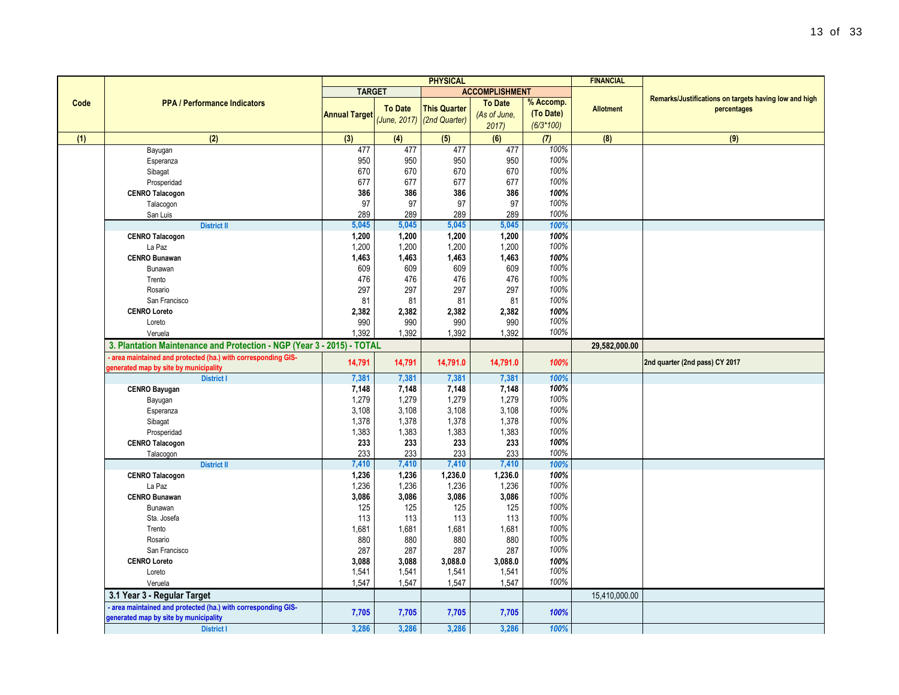| <b>PHYSICAL</b> |                                                                                                        |                      |                |                                                   |                                        |                                       | <b>FINANCIAL</b> |                                                                      |
|-----------------|--------------------------------------------------------------------------------------------------------|----------------------|----------------|---------------------------------------------------|----------------------------------------|---------------------------------------|------------------|----------------------------------------------------------------------|
|                 |                                                                                                        | <b>TARGET</b>        |                |                                                   | <b>ACCOMPLISHMENT</b>                  |                                       |                  |                                                                      |
| Code            | <b>PPA / Performance Indicators</b>                                                                    | <b>Annual Target</b> | <b>To Date</b> | <b>This Quarter</b><br>(June, 2017) (2nd Quarter) | <b>To Date</b><br>(As of June,<br>2017 | % Accomp.<br>(To Date)<br>$(6/3*100)$ | <b>Allotment</b> | Remarks/Justifications on targets having low and high<br>percentages |
| (1)             | (2)                                                                                                    | (3)                  | (4)            | (5)                                               | (6)                                    | (7)                                   | (8)              | (9)                                                                  |
|                 | Bayugan                                                                                                | 477                  | 477            | 477                                               | 477                                    | 100%                                  |                  |                                                                      |
|                 | Esperanza                                                                                              | 950                  | 950            | 950                                               | 950                                    | 100%                                  |                  |                                                                      |
|                 | Sibagat                                                                                                | 670                  | 670            | 670                                               | 670                                    | 100%                                  |                  |                                                                      |
|                 | Prosperidad                                                                                            | 677                  | 677            | 677                                               | 677                                    | 100%                                  |                  |                                                                      |
|                 | <b>CENRO Talacogon</b>                                                                                 | 386                  | 386            | 386                                               | 386                                    | 100%                                  |                  |                                                                      |
|                 | Talacogon                                                                                              | 97                   | 97             | 97                                                | 97                                     | 100%                                  |                  |                                                                      |
|                 | San Luis                                                                                               | 289                  | 289            | 289                                               | 289                                    | 100%                                  |                  |                                                                      |
|                 | <b>District II</b>                                                                                     | 5,045                | 5,045          | 5,045                                             | 5,045                                  | 100%                                  |                  |                                                                      |
|                 | <b>CENRO Talacogon</b>                                                                                 | 1,200                | 1,200          | 1,200                                             | 1,200                                  | 100%                                  |                  |                                                                      |
|                 | La Paz                                                                                                 | 1,200                | 1,200          | 1,200                                             | 1,200                                  | 100%                                  |                  |                                                                      |
|                 | <b>CENRO Bunawan</b>                                                                                   | 1,463                | 1,463          | 1,463                                             | 1,463                                  | 100%                                  |                  |                                                                      |
|                 | Bunawan                                                                                                | 609                  | 609            | 609                                               | 609                                    | 100%                                  |                  |                                                                      |
|                 | Trento                                                                                                 | 476                  | 476            | 476                                               | 476                                    | 100%                                  |                  |                                                                      |
|                 | Rosario                                                                                                | 297                  | 297            | 297                                               | 297                                    | 100%                                  |                  |                                                                      |
|                 | San Francisco                                                                                          | 81                   | 81             | 81                                                | 81                                     | 100%                                  |                  |                                                                      |
|                 | <b>CENRO Loreto</b>                                                                                    | 2,382                | 2,382          | 2,382                                             | 2,382                                  | 100%                                  |                  |                                                                      |
|                 | Loreto                                                                                                 | 990                  | 990            | 990                                               | 990                                    | 100%                                  |                  |                                                                      |
|                 | Veruela                                                                                                | 1,392                | 1,392          | 1,392                                             | 1,392                                  | 100%                                  |                  |                                                                      |
|                 | 3. Plantation Maintenance and Protection - NGP (Year 3 - 2015) - TOTAL                                 |                      |                |                                                   |                                        |                                       | 29,582,000.00    |                                                                      |
|                 | - area maintained and protected (ha.) with corresponding GIS-<br>generated map by site by municipality | 14,791               | 14,791         | 14,791.0                                          | 14,791.0                               | 100%                                  |                  | 2nd quarter (2nd pass) CY 2017                                       |
|                 | <b>District I</b>                                                                                      | 7,381                | 7,381          | 7,381                                             | 7,381                                  | 100%                                  |                  |                                                                      |
|                 | <b>CENRO Bayugan</b>                                                                                   | 7,148                | 7,148          | 7,148                                             | 7,148                                  | 100%                                  |                  |                                                                      |
|                 | Bayugan                                                                                                | 1,279                | 1,279          | 1,279                                             | 1,279                                  | 100%                                  |                  |                                                                      |
|                 | Esperanza                                                                                              | 3,108                | 3,108          | 3,108                                             | 3,108                                  | 100%                                  |                  |                                                                      |
|                 | Sibagat                                                                                                | 1,378                | 1,378          | 1,378                                             | 1,378                                  | 100%                                  |                  |                                                                      |
|                 | Prosperidad                                                                                            | 1,383                | 1,383          | 1,383                                             | 1,383                                  | 100%                                  |                  |                                                                      |
|                 | <b>CENRO Talacogon</b>                                                                                 | 233                  | 233            | 233                                               | 233                                    | 100%                                  |                  |                                                                      |
|                 | Talacogon                                                                                              | 233                  | 233            | 233                                               | 233                                    | 100%                                  |                  |                                                                      |
|                 | <b>District II</b>                                                                                     | 7,410                | 7,410          | 7,410                                             | 7,410                                  | 100%                                  |                  |                                                                      |
|                 | <b>CENRO Talacogon</b>                                                                                 | 1,236                | 1,236          | 1,236.0                                           | 1,236.0                                | 100%                                  |                  |                                                                      |
|                 | La Paz                                                                                                 | 1,236                | 1,236          | 1,236                                             | 1,236                                  | 100%                                  |                  |                                                                      |
|                 | <b>CENRO Bunawan</b>                                                                                   | 3,086                | 3,086          | 3,086                                             | 3,086                                  | 100%                                  |                  |                                                                      |
|                 | Bunawan                                                                                                | 125                  | 125            | 125                                               | 125                                    | 100%                                  |                  |                                                                      |
|                 | Sta. Josefa                                                                                            | 113                  | 113            | 113                                               | 113                                    | 100%                                  |                  |                                                                      |
|                 | Trento                                                                                                 | 1,681                | 1,681          | 1,681                                             | 1,681                                  | 100%                                  |                  |                                                                      |
|                 | Rosario                                                                                                | 880                  | 880            | 880                                               | 880                                    | 100%                                  |                  |                                                                      |
|                 | San Francisco                                                                                          | 287                  | 287            | 287                                               | 287                                    | 100%                                  |                  |                                                                      |

**CENRO Loreto 100%**<br> **1.541 1.541 1.541 1.541 1.541 1.541 1.541 1.541 1.541 1.00%**  Loreto 1,541 1,541 1,541 1,541 *100%* Veruela 1,547 1,547 1,547 1,547 *100%* **3.1 Year 3 - Regular Target** 15,410,000.00

 **District I 3,286 3,286 3,286 3,286** *100%*

**generated map by site by municipality 7,705 7,705 7,705 7,705** *100%*

 **- area maintained and protected (ha.) with corresponding GIS-**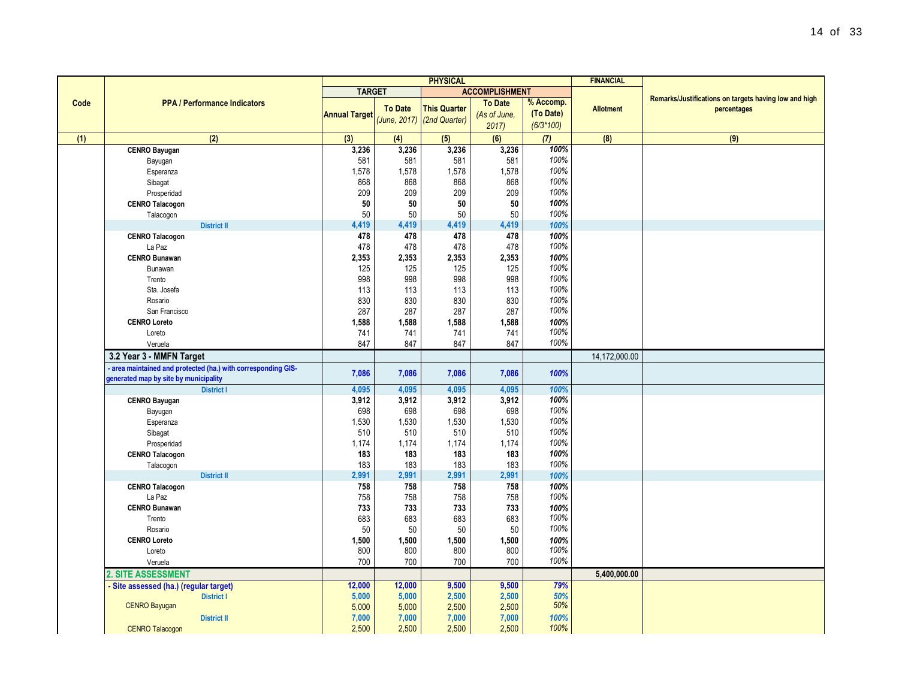|                                                               |                      |                | <b>PHYSICAL</b>            |                       |             | <b>FINANCIAL</b>    |                                                       |
|---------------------------------------------------------------|----------------------|----------------|----------------------------|-----------------------|-------------|---------------------|-------------------------------------------------------|
|                                                               | <b>TARGET</b>        |                |                            | <b>ACCOMPLISHMENT</b> |             |                     | Remarks/Justifications on targets having low and high |
| <b>PPA / Performance Indicators</b>                           |                      | <b>To Date</b> | <b>This Quarter</b>        | <b>To Date</b>        | % Accomp.   | <b>Allotment</b>    | percentages                                           |
|                                                               | <b>Annual Target</b> |                | (June, 2017) (2nd Quarter) | (As of June,          | (To Date)   |                     |                                                       |
|                                                               |                      |                |                            | 2017                  | $(6/3*100)$ |                     |                                                       |
| (2)                                                           | (3)                  | (4)            | (5)                        | (6)                   | (7)         | (8)                 | (9)                                                   |
| <b>CENRO Bayugan</b>                                          | 3,236                | 3,236          | 3,236                      | 3,236                 | 100%        |                     |                                                       |
| Bayugan                                                       | 581                  | 581            | 581                        | 581                   | 100%        |                     |                                                       |
| Esperanza                                                     | 1,578                | 1,578          | 1,578                      | 1,578                 | 100%        |                     |                                                       |
| Sibagat                                                       | 868                  | 868            | 868                        | 868                   | 100%        |                     |                                                       |
| Prosperidad                                                   | 209                  | 209            | 209                        | 209                   | 100%        |                     |                                                       |
| <b>CENRO Talacogon</b>                                        | 50                   | 50             | 50                         | 50                    | 100%        |                     |                                                       |
| Talacogon                                                     | 50                   | 50             | 50                         | 50                    | 100%        |                     |                                                       |
| <b>District II</b>                                            | 4,419                | 4,419          | 4,419                      | 4,419                 | 100%        |                     |                                                       |
| <b>CENRO Talacogon</b>                                        | 478                  | 478            | 478                        | 478                   | 100%        |                     |                                                       |
| La Paz                                                        | 478                  | 478            | 478                        | 478                   | 100%        |                     |                                                       |
| <b>CENRO Bunawan</b>                                          | 2,353                | 2,353          | 2,353                      | 2,353                 | 100%        |                     |                                                       |
| Bunawan                                                       | 125                  | 125            | 125                        | 125                   | 100%        |                     |                                                       |
| Trento                                                        | 998                  | 998            | 998                        | 998                   | 100%        |                     |                                                       |
| Sta. Josefa                                                   | 113                  | 113            | 113                        | 113                   | 100%        |                     |                                                       |
| Rosario                                                       | 830                  | 830            | 830                        | 830                   | 100%        |                     |                                                       |
| San Francisco                                                 | 287                  | 287            | 287                        | 287                   | 100%        |                     |                                                       |
| <b>CENRO Loreto</b>                                           | 1,588                | 1,588          | 1,588                      | 1,588                 | 100%        |                     |                                                       |
| Loreto                                                        | 741                  | 741            | 741                        | 741                   | 100%        |                     |                                                       |
| Veruela                                                       | 847                  | 847            | 847                        | 847                   | 100%        |                     |                                                       |
| 3.2 Year 3 - MMFN Target                                      |                      |                |                            |                       |             | 14,172,000.00       |                                                       |
| - area maintained and protected (ha.) with corresponding GIS- |                      |                |                            |                       |             |                     |                                                       |
| generated map by site by municipality                         | 7,086                | 7,086          | 7,086                      | 7,086                 | 100%        |                     |                                                       |
| <b>District I</b>                                             | 4,095                | 4,095          | 4,095                      | 4,095                 | 100%        |                     |                                                       |
| <b>CENRO Bayugan</b>                                          | 3,912                | 3,912          | 3,912                      | 3,912                 | 100%        |                     |                                                       |
| Bayugan                                                       | 698                  | 698            | 698                        | 698                   | 100%        |                     |                                                       |
| Esperanza                                                     | 1,530                | 1,530          | 1,530                      | 1,530                 | 100%        |                     |                                                       |
| Sibagat                                                       | 510                  | 510            | 510                        | 510                   | 100%        |                     |                                                       |
| Prosperidad                                                   | 1,174                | 1,174          | 1,174                      | 1,174                 | 100%        |                     |                                                       |
| <b>CENRO Talacogon</b>                                        | 183                  | 183            | 183                        | 183                   | 100%        |                     |                                                       |
| Talacogon                                                     | 183                  | 183            | 183                        | 183                   | 100%        |                     |                                                       |
| <b>District II</b>                                            | 2,991                | 2,991          | 2,991                      | 2,991                 | 100%        |                     |                                                       |
| <b>CENRO Talacogon</b>                                        | 758                  | 758            | 758                        | 758                   | 100%        |                     |                                                       |
| La Paz                                                        | 758                  | 758            | 758                        | 758                   | 100%        |                     |                                                       |
| <b>CENRO Bunawan</b>                                          | 733                  | 733            | 733                        | 733                   | 100%        |                     |                                                       |
| Trento                                                        | 683                  | 683            | 683                        | 683                   | 100%        |                     |                                                       |
| Rosario                                                       | 50                   | 50             | 50                         | 50                    | 100%        |                     |                                                       |
| <b>CENRO Loreto</b>                                           | 1,500                | 1,500          | 1,500                      | 1,500                 | 100%        |                     |                                                       |
| Loreto                                                        | 800                  | 800            | 800                        | 800                   | 100%        |                     |                                                       |
| Veruela                                                       | 700                  | 700            | 700                        | 700                   | 100%        |                     |                                                       |
| <b>2 CITE ACCECCMENT</b>                                      |                      |                |                            |                       |             | <b>E 400,000.00</b> |                                                       |

 **District II 7,000 7,000 7,000 7,000** *100%*

CENRO Talacogon **2,500 2,500 2,500 2,500 2,500 2,500** 

**Code**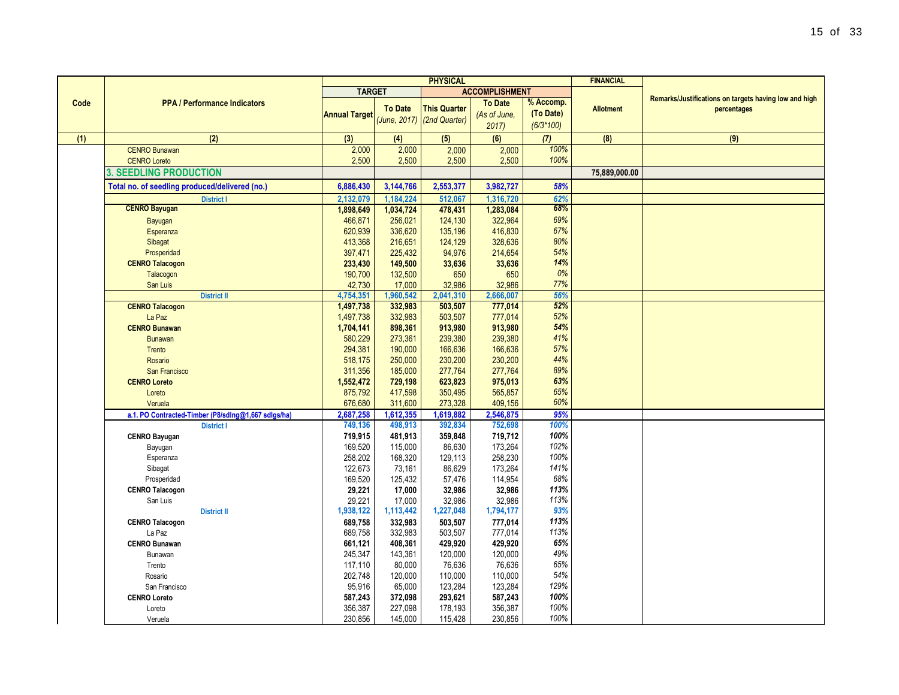|      |                                                     | <b>PHYSICAL</b>      |                |                            | <b>FINANCIAL</b>      |             |                  |                                                       |
|------|-----------------------------------------------------|----------------------|----------------|----------------------------|-----------------------|-------------|------------------|-------------------------------------------------------|
|      |                                                     | <b>TARGET</b>        |                |                            | <b>ACCOMPLISHMENT</b> |             |                  |                                                       |
| Code | <b>PPA / Performance Indicators</b>                 |                      |                |                            | <b>To Date</b>        | % Accomp.   |                  | Remarks/Justifications on targets having low and high |
|      |                                                     | <b>Annual Target</b> | <b>To Date</b> | <b>This Quarter</b>        | (As of June,          | (To Date)   | <b>Allotment</b> | percentages                                           |
|      |                                                     |                      |                | (June, 2017) (2nd Quarter) | 2017                  | $(6/3*100)$ |                  |                                                       |
| (1)  | (2)                                                 | (3)                  | (4)            | (5)                        | (6)                   | (7)         | (8)              | (9)                                                   |
|      | <b>CENRO Bunawan</b>                                | 2,000                | 2,000          | 2,000                      | 2,000                 | 100%        |                  |                                                       |
|      | <b>CENRO Loreto</b>                                 | 2,500                | 2,500          | 2,500                      | 2,500                 | 100%        |                  |                                                       |
|      | <b>3. SEEDLING PRODUCTION</b>                       |                      |                |                            |                       |             | 75,889,000.00    |                                                       |
|      | Total no. of seedling produced/delivered (no.)      | 6,886,430            | 3,144,766      | 2,553,377                  | 3,982,727             | 58%         |                  |                                                       |
|      | <b>District I</b>                                   | 2,132,079            | 1,184,224      | 512,067                    | 1,316,720             | 62%         |                  |                                                       |
|      | <b>CENRO Bayugan</b>                                | 1,898,649            | 1,034,724      | 478,431                    | 1,283,084             | 68%         |                  |                                                       |
|      | Bayugan                                             | 466,871              | 256,021        | 124,130                    | 322,964               | 69%         |                  |                                                       |
|      | Esperanza                                           | 620,939              | 336,620        | 135,196                    | 416,830               | 67%         |                  |                                                       |
|      | Sibagat                                             | 413,368              | 216,651        | 124,129                    | 328,636               | 80%         |                  |                                                       |
|      | Prosperidad                                         | 397,471              | 225,432        | 94,976                     | 214,654               | 54%         |                  |                                                       |
|      | <b>CENRO Talacogon</b>                              | 233,430              | 149,500        | 33,636                     | 33,636                | 14%         |                  |                                                       |
|      | Talacogon                                           | 190,700              | 132,500        | 650                        | 650                   | 0%          |                  |                                                       |
|      | San Luis                                            | 42,730               | 17,000         | 32,986                     | 32,986                | 77%         |                  |                                                       |
|      | <b>District II</b>                                  | 4,754,351            | 1,960,542      | 2,041,310                  | 2,666,007             | 56%         |                  |                                                       |
|      | <b>CENRO Talacogon</b>                              | 1,497,738            | 332,983        | 503,507                    | 777,014               | 52%         |                  |                                                       |
|      | La Paz                                              | 1,497,738            | 332,983        | 503,507                    | 777,014               | 52%         |                  |                                                       |
|      | <b>CENRO Bunawan</b>                                | 1,704,141            | 898,361        | 913,980                    | 913,980               | 54%         |                  |                                                       |
|      | <b>Bunawan</b>                                      | 580,229              | 273,361        | 239,380                    | 239,380               | 41%         |                  |                                                       |
|      | Trento                                              | 294,381              | 190,000        | 166,636                    | 166,636               | 57%         |                  |                                                       |
|      | Rosario                                             | 518,175              | 250,000        | 230,200                    | 230,200               | 44%         |                  |                                                       |
|      | <b>San Francisco</b>                                | 311,356              | 185,000        | 277,764                    | 277,764               | 89%         |                  |                                                       |
|      | <b>CENRO Loreto</b>                                 | 1,552,472            | 729,198        | 623,823                    | 975,013               | 63%         |                  |                                                       |
|      | Loreto                                              | 875,792              | 417,598        | 350,495                    | 565,857               | 65%         |                  |                                                       |
|      | Veruela                                             | 676,680              | 311,600        | 273,328                    | 409,156               | 60%         |                  |                                                       |
|      | a.1. PO Contracted-Timber (P8/sdlng@1,667 sdlgs/ha) | 2,687,258            | 1,612,355      | 1,619,882                  | 2,546,875             | 95%         |                  |                                                       |
|      | <b>District I</b>                                   | 749,136              | 498,913        | 392,834                    | 752,698               | 100%        |                  |                                                       |
|      | <b>CENRO Bayugan</b>                                | 719,915              | 481,913        | 359,848                    | 719,712               | 100%        |                  |                                                       |
|      | Bayugan                                             | 169,520              | 115,000        | 86,630                     | 173,264               | 102%        |                  |                                                       |
|      | Esperanza                                           | 258,202              | 168,320        | 129,113                    | 258,230               | 100%        |                  |                                                       |
|      | Sibagat                                             | 122,673              | 73,161         | 86,629                     | 173,264               | 141%        |                  |                                                       |
|      | Prosperidad                                         | 169,520              | 125,432        | 57,476                     | 114,954               | 68%         |                  |                                                       |
|      | <b>CENRO Talacogon</b>                              | 29,221               | 17,000         | 32,986                     | 32,986                | 113%        |                  |                                                       |
|      | San Luis                                            | 29,221               | 17,000         | 32,986                     | 32,986                | 113%        |                  |                                                       |
|      | <b>District II</b>                                  | 1,938,122            | 1,113,442      | 1,227,048                  | 1,794,177             | 93%         |                  |                                                       |
|      | <b>CENRO Talacogon</b>                              | 689,758              | 332,983        | 503,507                    | 777,014               | 113%        |                  |                                                       |
|      | La Paz                                              | 689,758              | 332,983        | 503,507                    | 777,014               | 113%        |                  |                                                       |
|      | <b>CENRO Bunawan</b>                                | 661,121              | 408,361        | 429,920                    | 429,920               | 65%         |                  |                                                       |
|      | Bunawan                                             | 245,347              | 143,361        | 120,000                    | 120,000               | 49%         |                  |                                                       |
|      | Trento                                              | 117,110              | 80,000         | 76,636                     | 76,636                | 65%         |                  |                                                       |
|      | Rosario                                             | 202,748              | 120,000        | 110,000                    | 110,000               | 54%         |                  |                                                       |
|      | San Francisco                                       | 95,916               | 65,000         | 123,284                    | 123,284               | 129%        |                  |                                                       |
|      | <b>CENRO Loreto</b>                                 | 587,243              | 372,098        | 293,621                    | 587,243               | 100%        |                  |                                                       |
|      | Loreto                                              | 356,387              | 227,098        | 178,193                    | 356,387               | 100%        |                  |                                                       |
|      | Veruela                                             | 230,856              | 145,000        | 115,428                    | 230,856               | 100%        |                  |                                                       |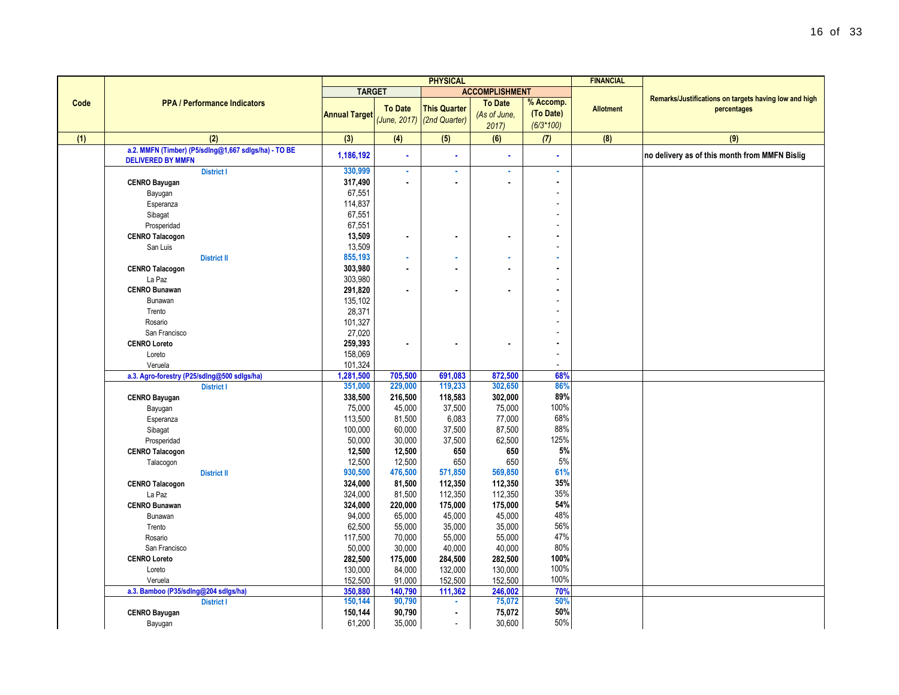|      |                                                                                  |                      |                  | <b>PHYSICAL</b>                                   |                                        |                                       | <b>FINANCIAL</b> |                                                                      |
|------|----------------------------------------------------------------------------------|----------------------|------------------|---------------------------------------------------|----------------------------------------|---------------------------------------|------------------|----------------------------------------------------------------------|
|      |                                                                                  | <b>TARGET</b>        |                  |                                                   | <b>ACCOMPLISHMENT</b>                  |                                       |                  |                                                                      |
| Code | <b>PPA / Performance Indicators</b>                                              | <b>Annual Target</b> | <b>To Date</b>   | <b>This Quarter</b><br>(June, 2017) (2nd Quarter) | <b>To Date</b><br>(As of June,<br>2017 | % Accomp.<br>(To Date)<br>$(6/3*100)$ | <b>Allotment</b> | Remarks/Justifications on targets having low and high<br>percentages |
| (1)  | (2)                                                                              | (3)                  | (4)              | (5)                                               | (6)                                    | (7)                                   | (8)              | (9)                                                                  |
|      | a.2. MMFN (Timber) (P5/sdlng@1,667 sdlgs/ha) - TO BE<br><b>DELIVERED BY MMFN</b> | 1,186,192            |                  | ä,                                                |                                        |                                       |                  | no delivery as of this month from MMFN Bislig                        |
|      | <b>District I</b>                                                                | 330,999              |                  |                                                   |                                        |                                       |                  |                                                                      |
|      | <b>CENRO Bayugan</b>                                                             | 317,490              |                  |                                                   |                                        |                                       |                  |                                                                      |
|      | Bayugan                                                                          | 67,551               |                  |                                                   |                                        |                                       |                  |                                                                      |
|      | Esperanza                                                                        | 114,837              |                  |                                                   |                                        |                                       |                  |                                                                      |
|      | Sibagat                                                                          | 67,551               |                  |                                                   |                                        |                                       |                  |                                                                      |
|      | Prosperidad                                                                      | 67,551               |                  |                                                   |                                        |                                       |                  |                                                                      |
|      | <b>CENRO Talacogon</b>                                                           | 13,509               |                  |                                                   |                                        |                                       |                  |                                                                      |
|      | San Luis                                                                         | 13,509               |                  |                                                   |                                        |                                       |                  |                                                                      |
|      | <b>District II</b>                                                               | 855,193              |                  |                                                   |                                        |                                       |                  |                                                                      |
|      | <b>CENRO Talacogon</b>                                                           | 303,980              | $\blacksquare$   |                                                   |                                        |                                       |                  |                                                                      |
|      | La Paz                                                                           | 303,980              |                  |                                                   |                                        |                                       |                  |                                                                      |
|      | <b>CENRO Bunawan</b>                                                             | 291,820              | ٠                |                                                   |                                        |                                       |                  |                                                                      |
|      | Bunawan                                                                          | 135,102              |                  |                                                   |                                        |                                       |                  |                                                                      |
|      | Trento                                                                           | 28,371               |                  |                                                   |                                        |                                       |                  |                                                                      |
|      | Rosario                                                                          | 101,327              |                  |                                                   |                                        |                                       |                  |                                                                      |
|      | San Francisco                                                                    | 27,020               |                  |                                                   |                                        |                                       |                  |                                                                      |
|      | <b>CENRO Loreto</b>                                                              | 259,393              |                  | ٠                                                 |                                        |                                       |                  |                                                                      |
|      | Loreto                                                                           | 158,069              |                  |                                                   |                                        |                                       |                  |                                                                      |
|      | Veruela                                                                          | 101,324              |                  |                                                   |                                        |                                       |                  |                                                                      |
|      | a.3. Agro-forestry (P25/sdlng@500 sdlgs/ha)                                      | 1,281,500            | 705,500          | 691.083                                           | 872.500                                | 68%                                   |                  |                                                                      |
|      | <b>District I</b>                                                                | 351,000              | 229,000          | 119,233                                           | 302,650                                | 86%<br>89%                            |                  |                                                                      |
|      | <b>CENRO Bayugan</b>                                                             | 338,500              | 216,500          | 118,583                                           | 302,000<br>75,000                      | 100%                                  |                  |                                                                      |
|      | Bayugan                                                                          | 75,000<br>113,500    | 45,000<br>81,500 | 37,500<br>6,083                                   | 77,000                                 | 68%                                   |                  |                                                                      |
|      | Esperanza<br>Sibagat                                                             | 100,000              | 60,000           | 37,500                                            | 87,500                                 | 88%                                   |                  |                                                                      |
|      | Prosperidad                                                                      | 50,000               | 30,000           | 37,500                                            | 62,500                                 | 125%                                  |                  |                                                                      |
|      | <b>CENRO Talacogon</b>                                                           | 12,500               | 12,500           | 650                                               | 650                                    | 5%                                    |                  |                                                                      |
|      | Talacogon                                                                        | 12,500               | 12,500           | 650                                               | 650                                    | 5%                                    |                  |                                                                      |
|      | <b>District II</b>                                                               | 930,500              | 476,500          | 571,850                                           | 569,850                                | 61%                                   |                  |                                                                      |
|      | <b>CENRO Talacogon</b>                                                           | 324,000              | 81,500           | 112,350                                           | 112,350                                | 35%                                   |                  |                                                                      |
|      | La Paz                                                                           | 324,000              | 81,500           | 112,350                                           | 112,350                                | 35%                                   |                  |                                                                      |
|      | <b>CENRO Bunawan</b>                                                             | 324,000              | 220,000          | 175,000                                           | 175,000                                | 54%                                   |                  |                                                                      |
|      | Bunawan                                                                          | 94,000               | 65,000           | 45,000                                            | 45,000                                 | 48%                                   |                  |                                                                      |
|      | Trento                                                                           | 62,500               | 55,000           | 35,000                                            | 35,000                                 | 56%                                   |                  |                                                                      |
|      | Rosario                                                                          | 117,500              | 70,000           | 55,000                                            | 55,000                                 | 47%                                   |                  |                                                                      |
|      | San Francisco                                                                    | 50,000               | 30,000           | 40,000                                            | 40,000                                 | 80%                                   |                  |                                                                      |
|      | <b>CENRO Loreto</b>                                                              | 282,500              | 175,000          | 284,500                                           | 282,500                                | 100%                                  |                  |                                                                      |
|      | Loreto                                                                           | 130,000              | 84,000           | 132,000                                           | 130,000                                | 100%                                  |                  |                                                                      |
|      | Veruela                                                                          | 152,500              | 91,000           | 152,500                                           | 152,500                                | 100%                                  |                  |                                                                      |
|      | a.3. Bamboo (P35/sdlng@204 sdlgs/ha)                                             | 350,880              | 140,790          | 111,362                                           | 246,002                                | 70%                                   |                  |                                                                      |
|      | <b>District I</b>                                                                | 150,144              | 90,790           |                                                   | 75,072                                 | 50%                                   |                  |                                                                      |
|      | <b>CENRO Bayugan</b>                                                             | 150,144              | 90,790           | $\blacksquare$                                    | 75,072                                 | 50%                                   |                  |                                                                      |
|      | Bayugan                                                                          | 61,200               | 35,000           | $\overline{a}$                                    | 30,600                                 | 50%                                   |                  |                                                                      |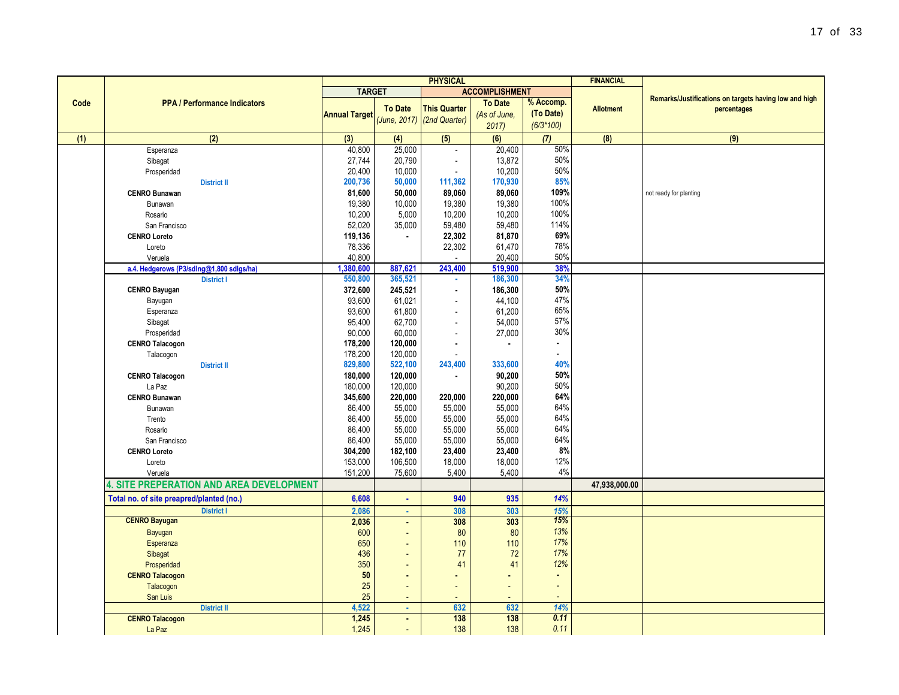|      |                                                               | <b>PHYSICAL</b>      |                |                              | <b>FINANCIAL</b>      |                |                  |                                                       |
|------|---------------------------------------------------------------|----------------------|----------------|------------------------------|-----------------------|----------------|------------------|-------------------------------------------------------|
|      |                                                               | <b>TARGET</b>        |                |                              | <b>ACCOMPLISHMENT</b> |                |                  |                                                       |
| Code | <b>PPA / Performance Indicators</b>                           |                      |                |                              | <b>To Date</b>        | % Accomp.      |                  | Remarks/Justifications on targets having low and high |
|      |                                                               | <b>Annual Target</b> | <b>To Date</b> | <b>This Quarter</b>          | (As of June,          | (To Date)      | <b>Allotment</b> | percentages                                           |
|      |                                                               |                      |                | $(June, 2017)$ (2nd Quarter) | 2017                  | $(6/3*100)$    |                  |                                                       |
| (1)  | (2)                                                           | (3)                  | (4)            | (5)                          | (6)                   | (7)            | (8)              | (9)                                                   |
|      | Esperanza                                                     | 40,800               | 25,000         | $\overline{\phantom{a}}$     | 20,400                | 50%            |                  |                                                       |
|      | Sibagat                                                       | 27,744               | 20,790         | ÷,                           | 13,872                | 50%            |                  |                                                       |
|      | Prosperidad                                                   | 20,400               | 10,000         |                              | 10,200                | 50%            |                  |                                                       |
|      | <b>District II</b>                                            | 200,736              | 50,000         | 111,362                      | 170,930               | 85%            |                  |                                                       |
|      | <b>CENRO Bunawan</b>                                          | 81,600               | 50,000         | 89.060                       | 89,060                | 109%           |                  | not ready for planting                                |
|      | Bunawan                                                       | 19,380               | 10,000         | 19,380                       | 19,380                | 100%           |                  |                                                       |
|      | Rosario                                                       | 10,200               | 5,000          | 10,200                       | 10,200                | 100%           |                  |                                                       |
|      | San Francisco                                                 | 52,020               | 35,000         | 59,480                       | 59,480                | 114%           |                  |                                                       |
|      | <b>CENRO Loreto</b>                                           | 119,136              | $\blacksquare$ | 22,302                       | 81,870                | 69%            |                  |                                                       |
|      | Loreto                                                        | 78,336               |                | 22,302                       | 61,470                | 78%            |                  |                                                       |
|      | Veruela                                                       | 40,800               |                |                              | 20,400                | 50%            |                  |                                                       |
|      |                                                               | 1,380,600            | 887,621        | 243,400                      | 519,900               | 38%            |                  |                                                       |
|      | a.4. Hedgerows (P3/sdlng@1,800 sdlgs/ha)<br><b>District I</b> | 550,800              | 365,521        | ×.                           | 186,300               | 34%            |                  |                                                       |
|      |                                                               | 372,600              | 245,521        |                              | 186,300               | 50%            |                  |                                                       |
|      | <b>CENRO Bayugan</b>                                          |                      |                | $\blacksquare$               | 44,100                | 47%            |                  |                                                       |
|      | Bayugan                                                       | 93,600               | 61,021         | $\frac{1}{2}$                |                       | 65%            |                  |                                                       |
|      | Esperanza                                                     | 93,600               | 61,800         | $\overline{a}$               | 61,200                | 57%            |                  |                                                       |
|      | Sibagat                                                       | 95,400               | 62,700         | $\overline{\phantom{a}}$     | 54,000                | 30%            |                  |                                                       |
|      | Prosperidad                                                   | 90,000               | 60,000         | $\overline{a}$               | 27,000                |                |                  |                                                       |
|      | <b>CENRO Talacogon</b>                                        | 178,200              | 120,000        | $\blacksquare$               | ٠                     | $\blacksquare$ |                  |                                                       |
|      | Talacogon                                                     | 178.200              | 120.000        |                              |                       | $\blacksquare$ |                  |                                                       |
|      | <b>District II</b>                                            | 829,800              | 522,100        | 243,400                      | 333,600               | 40%            |                  |                                                       |
|      | <b>CENRO Talacogon</b>                                        | 180,000              | 120,000        | $\blacksquare$               | 90,200                | 50%            |                  |                                                       |
|      | La Paz                                                        | 180,000              | 120,000        |                              | 90,200                | 50%            |                  |                                                       |
|      | <b>CENRO Bunawan</b>                                          | 345,600              | 220,000        | 220,000                      | 220,000               | 64%            |                  |                                                       |
|      | Bunawan                                                       | 86,400               | 55,000         | 55,000                       | 55,000                | 64%            |                  |                                                       |
|      | Trento                                                        | 86,400               | 55,000         | 55,000                       | 55,000                | 64%            |                  |                                                       |
|      | Rosario                                                       | 86,400               | 55,000         | 55,000                       | 55,000                | 64%            |                  |                                                       |
|      | San Francisco                                                 | 86,400               | 55,000         | 55,000                       | 55,000                | 64%            |                  |                                                       |
|      | <b>CENRO Loreto</b>                                           | 304,200              | 182,100        | 23,400                       | 23,400                | 8%             |                  |                                                       |
|      | Loreto                                                        | 153,000              | 106,500        | 18,000                       | 18,000                | 12%            |                  |                                                       |
|      | Veruela                                                       | 151,200              | 75,600         | 5,400                        | 5,400                 | 4%             |                  |                                                       |
|      | <b>4. SITE PREPERATION AND AREA DEVELOPMENT</b>               |                      |                |                              |                       |                | 47,938,000.00    |                                                       |
|      | Total no. of site preapred/planted (no.)                      | 6,608                | $\mathbf{r}$   | 940                          | 935                   | 14%            |                  |                                                       |
|      | <b>District I</b>                                             | 2,086                | $\mathbf{r}$   | 308                          | 303                   | 15%            |                  |                                                       |
|      | <b>CENRO Bayugan</b>                                          | 2,036                | $\blacksquare$ | 308                          | 303                   | 15%            |                  |                                                       |
|      | Bayugan                                                       | 600                  | ÷,             | 80                           | 80                    | 13%            |                  |                                                       |
|      | Esperanza                                                     | 650                  |                | 110                          | 110                   | 17%            |                  |                                                       |
|      | Sibagat                                                       | 436                  |                | 77                           | 72                    | 17%            |                  |                                                       |
|      | Prosperidad                                                   | 350                  |                | 41                           | 41                    | 12%            |                  |                                                       |
|      | <b>CENRO Talacogon</b>                                        | $50\,$               |                | $\blacksquare$               |                       | $\blacksquare$ |                  |                                                       |
|      | Talacogon                                                     | 25                   |                | ÷,                           |                       | $\blacksquare$ |                  |                                                       |
|      | San Luis                                                      | 25                   |                |                              |                       |                |                  |                                                       |
|      | <b>District II</b>                                            | 4,522                | $\alpha$       | 632                          | 632                   | 14%            |                  |                                                       |
|      | <b>CENRO Talacogon</b>                                        | 1,245                | $\blacksquare$ | 138                          | 138                   | 0.11           |                  |                                                       |
|      | La Paz                                                        | 1,245                |                | 138                          | 138                   | 0.11           |                  |                                                       |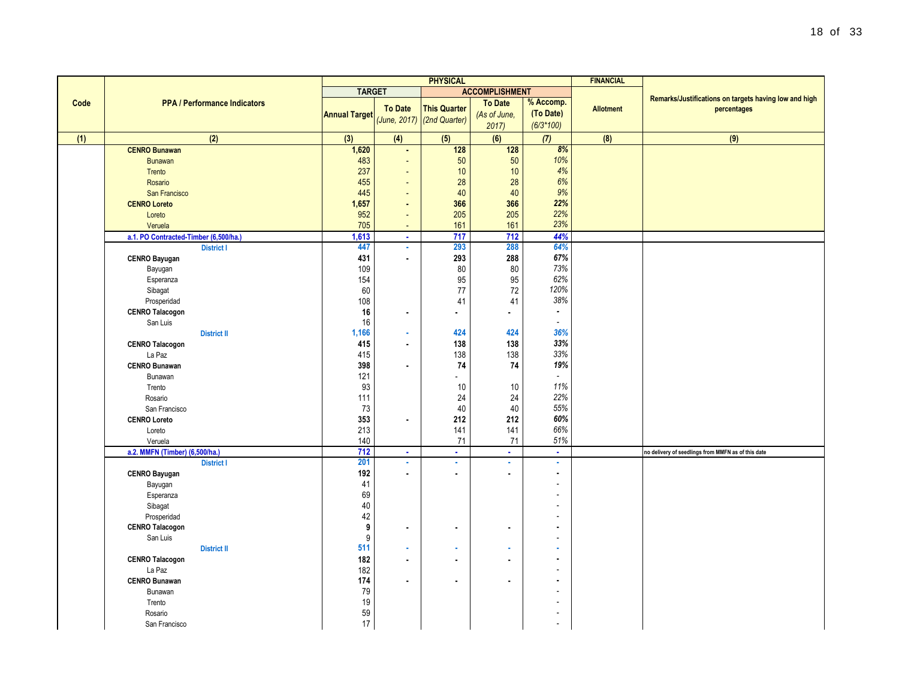|      |                                       | <b>PHYSICAL</b>      |                          |                              |                       |                          | <b>FINANCIAL</b> |                                                       |
|------|---------------------------------------|----------------------|--------------------------|------------------------------|-----------------------|--------------------------|------------------|-------------------------------------------------------|
|      |                                       | <b>TARGET</b>        |                          |                              | <b>ACCOMPLISHMENT</b> |                          |                  |                                                       |
| Code | <b>PPA / Performance Indicators</b>   |                      |                          |                              | <b>To Date</b>        | % Accomp.                |                  | Remarks/Justifications on targets having low and high |
|      |                                       | <b>Annual Target</b> | <b>To Date</b>           | <b>This Quarter</b>          | (As of June,          | (To Date)                | <b>Allotment</b> | percentages                                           |
|      |                                       |                      |                          | $(June, 2017)$ (2nd Quarter) | 2017                  | $(6/3*100)$              |                  |                                                       |
| (1)  | (2)                                   | $(3)$                | (4)                      | (5)                          | (6)                   | (7)                      | (8)              | (9)                                                   |
|      | <b>CENRO Bunawan</b>                  | 1,620                | $\blacksquare$           | 128                          | 128                   | 8%                       |                  |                                                       |
|      | <b>Bunawan</b>                        | 483                  | $\overline{\phantom{a}}$ | 50                           | 50                    | 10%                      |                  |                                                       |
|      | Trento                                | 237                  | $\blacksquare$           | 10                           | 10                    | 4%                       |                  |                                                       |
|      | Rosario                               | 455                  | $\overline{\phantom{a}}$ | 28                           | 28                    | 6%                       |                  |                                                       |
|      | San Francisco                         | 445                  | $\blacksquare$           | 40                           | 40                    | 9%                       |                  |                                                       |
|      | <b>CENRO Loreto</b>                   | 1,657                | $\blacksquare$           | 366                          | 366                   | 22%                      |                  |                                                       |
|      | Loreto                                | 952                  | $\blacksquare$           | 205                          | 205                   | 22%                      |                  |                                                       |
|      | Veruela                               | 705                  | $\blacksquare$           | 161                          | 161                   | 23%                      |                  |                                                       |
|      | a.1. PO Contracted-Timber (6,500/ha.) | 1,613                | $\mathbf{r}$             | 717                          | 712                   | 44%                      |                  |                                                       |
|      | <b>District I</b>                     | 447                  | à,                       | 293                          | 288                   | 64%                      |                  |                                                       |
|      | <b>CENRO Bayugan</b>                  | 431                  | $\blacksquare$           | 293                          | 288                   | 67%                      |                  |                                                       |
|      | Bayugan                               | 109                  |                          | 80                           | 80                    | 73%                      |                  |                                                       |
|      | Esperanza                             | 154                  |                          | 95                           | 95                    | 62%                      |                  |                                                       |
|      | Sibagat                               | 60                   |                          | 77                           | 72                    | 120%                     |                  |                                                       |
|      | Prosperidad                           | 108                  |                          | 41                           | 41                    | 38%                      |                  |                                                       |
|      | <b>CENRO Talacogon</b>                | 16                   | $\blacksquare$           | $\blacksquare$               | ٠                     | $\tilde{\phantom{a}}$    |                  |                                                       |
|      | San Luis                              | 16                   |                          |                              |                       | $\overline{\phantom{a}}$ |                  |                                                       |
|      | <b>District II</b>                    | 1,166                | ×                        | 424                          | 424                   | 36%                      |                  |                                                       |
|      | <b>CENRO Talacogon</b>                | 415                  | $\blacksquare$           | 138                          | 138                   | 33%                      |                  |                                                       |
|      | La Paz                                | 415                  |                          | 138                          | 138                   | 33%                      |                  |                                                       |
|      | <b>CENRO Bunawan</b>                  | 398                  | $\mathbf{r}$             | 74                           | 74                    | 19%                      |                  |                                                       |
|      | Bunawan                               | 121                  |                          | $\overline{\phantom{a}}$     |                       | $\mathbb{Z}^2$           |                  |                                                       |
|      | Trento                                | 93                   |                          | 10                           | $10$                  | 11%                      |                  |                                                       |
|      | Rosario                               | 111                  |                          | 24                           | 24                    | 22%                      |                  |                                                       |
|      | San Francisco                         | 73                   |                          | 40                           | 40                    | 55%                      |                  |                                                       |
|      | <b>CENRO Loreto</b>                   | 353                  | $\blacksquare$           | 212                          | 212                   | 60%                      |                  |                                                       |
|      | Loreto                                | 213                  |                          | 141                          | 141                   | 66%                      |                  |                                                       |
|      | Veruela                               | 140                  |                          | 71                           | 71                    | 51%                      |                  |                                                       |
|      | a.2. MMFN (Timber) (6,500/ha.)        | 712                  | $\sim$                   | $\sim$                       | $\sim$                | $\mathbf{r}$             |                  | no delivery of seedlings from MMFN as of this date    |
|      | <b>District I</b>                     | 201                  | à,                       | ×,                           | ä,                    | ×,                       |                  |                                                       |
|      | <b>CENRO Bayugan</b>                  | 192                  | $\blacksquare$           | $\blacksquare$               | ٠                     | $\blacksquare$           |                  |                                                       |
|      | Bayugan                               | 41                   |                          |                              |                       |                          |                  |                                                       |
|      | Esperanza                             | 69                   |                          |                              |                       |                          |                  |                                                       |
|      | Sibagat                               | 40                   |                          |                              |                       |                          |                  |                                                       |
|      | Prosperidad                           | 42                   |                          |                              |                       |                          |                  |                                                       |
|      | <b>CENRO Talacogon</b>                | 9                    | $\blacksquare$           | $\blacksquare$               | ٠                     |                          |                  |                                                       |
|      | San Luis                              | $\boldsymbol{9}$     |                          |                              |                       |                          |                  |                                                       |
|      | <b>District II</b>                    | 511                  | ä                        | ä,                           |                       |                          |                  |                                                       |
|      | <b>CENRO Talacogon</b>                | 182                  | $\blacksquare$           | $\blacksquare$               | ä,                    |                          |                  |                                                       |
|      | La Paz                                | 182                  |                          |                              |                       |                          |                  |                                                       |
|      | <b>CENRO Bunawan</b>                  | 174                  | ä.                       | $\blacksquare$               |                       |                          |                  |                                                       |
|      | Bunawan                               | 79                   |                          |                              |                       |                          |                  |                                                       |
|      | Trento                                | $19$                 |                          |                              |                       |                          |                  |                                                       |
|      | Rosario                               | 59                   |                          |                              |                       |                          |                  |                                                       |
|      | San Francisco                         | 17                   |                          |                              |                       | ٠                        |                  |                                                       |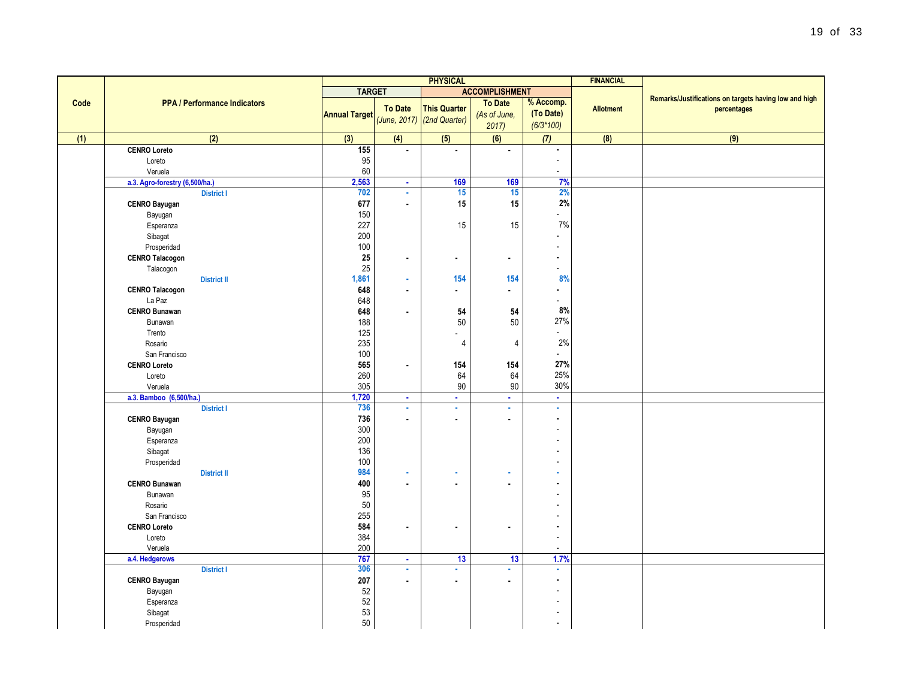|      |                                     | <b>PHYSICAL</b>      |                |                     | <b>FINANCIAL</b>      |                |                  |                                                                      |
|------|-------------------------------------|----------------------|----------------|---------------------|-----------------------|----------------|------------------|----------------------------------------------------------------------|
|      |                                     | <b>TARGET</b>        |                |                     | <b>ACCOMPLISHMENT</b> |                |                  |                                                                      |
| Code | <b>PPA / Performance Indicators</b> |                      | <b>To Date</b> | <b>This Quarter</b> | <b>To Date</b>        | % Accomp.      | <b>Allotment</b> | Remarks/Justifications on targets having low and high<br>percentages |
|      |                                     | <b>Annual Target</b> | (June, 2017)   | (2nd Quarter)       | (As of June,          | (To Date)      |                  |                                                                      |
|      |                                     |                      |                |                     | 2017)                 | $(6/3*100)$    |                  |                                                                      |
| (1)  | (2)                                 | (3)                  | (4)            | (5)                 | (6)                   | (7)            | (8)              | (9)                                                                  |
|      | <b>CENRO Loreto</b>                 | 155                  | $\blacksquare$ | ٠                   | $\blacksquare$        | ×.             |                  |                                                                      |
|      | Loreto                              | 95                   |                |                     |                       | $\sim$         |                  |                                                                      |
|      | Veruela                             | 60                   |                |                     |                       | $\sim$         |                  |                                                                      |
|      | a.3. Agro-forestry (6,500/ha.)      | 2,563                | $\sim$         | 169                 | 169                   | 7%             |                  |                                                                      |
|      | <b>District I</b>                   | 702                  | ä,             | 15                  | 15                    | 2%             |                  |                                                                      |
|      | <b>CENRO Bayugan</b>                | 677                  | $\blacksquare$ | 15                  | 15                    | 2%             |                  |                                                                      |
|      | Bayugan                             | 150                  |                |                     |                       | L.             |                  |                                                                      |
|      | Esperanza                           | 227                  |                | 15                  | 15                    | 7%             |                  |                                                                      |
|      | Sibagat                             | 200                  |                |                     |                       | $\overline{a}$ |                  |                                                                      |
|      | Prosperidad                         | 100                  |                |                     |                       | $\overline{a}$ |                  |                                                                      |
|      | <b>CENRO Talacogon</b>              | 25                   | $\blacksquare$ | $\blacksquare$      | ٠                     | $\blacksquare$ |                  |                                                                      |
|      | Talacogon                           | 25                   |                |                     |                       | ÷.             |                  |                                                                      |
|      | <b>District II</b>                  | 1,861                | $\alpha$       | 154                 | 154                   | 8%             |                  |                                                                      |
|      | <b>CENRO Talacogon</b>              | 648                  | $\blacksquare$ | ×.                  | a.                    | ä,             |                  |                                                                      |
|      | La Paz                              | 648                  |                |                     |                       | ÷.             |                  |                                                                      |
|      | <b>CENRO Bunawan</b>                | 648                  | $\blacksquare$ | 54                  | 54                    | 8%             |                  |                                                                      |
|      | Bunawan                             | 188                  |                | $50\,$              | 50                    | 27%            |                  |                                                                      |
|      | Trento                              | 125                  |                | $\overline{a}$      |                       | $\overline{a}$ |                  |                                                                      |
|      | Rosario                             | 235                  |                | $\overline{4}$      | $\overline{4}$        | 2%             |                  |                                                                      |
|      | San Francisco                       | 100                  |                |                     |                       | $\overline{a}$ |                  |                                                                      |
|      | <b>CENRO Loreto</b>                 | 565                  | $\blacksquare$ | 154                 | 154                   | 27%            |                  |                                                                      |
|      | Loreto                              | 260                  |                | 64                  | 64                    | 25%            |                  |                                                                      |
|      | Veruela                             | 305                  |                | $90\,$              | $90\,$                | 30%            |                  |                                                                      |
|      | a.3. Bamboo (6,500/ha.)             | 1,720                | $\blacksquare$ | ×.                  | $\mathbf{r}$          | $\mathbf{r}$   |                  |                                                                      |
|      | <b>District I</b>                   | 736                  | ä              | ä,                  | ä,                    | $\mathbf{r}$   |                  |                                                                      |
|      | <b>CENRO Bayugan</b>                | 736                  | $\blacksquare$ | $\blacksquare$      | ä.                    |                |                  |                                                                      |
|      | Bayugan                             | 300                  |                |                     |                       |                |                  |                                                                      |
|      | Esperanza                           | 200                  |                |                     |                       |                |                  |                                                                      |
|      | Sibagat                             | 136<br>100           |                |                     |                       |                |                  |                                                                      |
|      | Prosperidad<br><b>District II</b>   | 984                  | ×              | ٠                   | ٠                     |                |                  |                                                                      |
|      |                                     | 400                  | $\blacksquare$ | $\blacksquare$      |                       |                |                  |                                                                      |
|      | <b>CENRO Bunawan</b><br>Bunawan     | 95                   |                |                     |                       |                |                  |                                                                      |
|      | Rosario                             | 50                   |                |                     |                       |                |                  |                                                                      |
|      | San Francisco                       | 255                  |                |                     |                       |                |                  |                                                                      |
|      | <b>CENRO Loreto</b>                 | 584                  | $\blacksquare$ | $\blacksquare$      | ۰                     |                |                  |                                                                      |
|      | Loreto                              | 384                  |                |                     |                       |                |                  |                                                                      |
|      | Veruela                             | 200                  |                |                     |                       | $\sim$         |                  |                                                                      |
|      | a.4. Hedgerows                      | 767                  | $\blacksquare$ | 13                  | 13                    | 1.7%           |                  |                                                                      |
|      | <b>District I</b>                   | 306                  | ×              | ×.                  | ä,                    | ×              |                  |                                                                      |
|      | <b>CENRO Bayugan</b>                | 207                  | $\blacksquare$ | $\blacksquare$      | ٠                     | $\blacksquare$ |                  |                                                                      |
|      | Bayugan                             | 52                   |                |                     |                       |                |                  |                                                                      |
|      | Esperanza                           | 52                   |                |                     |                       |                |                  |                                                                      |
|      | Sibagat                             | 53                   |                |                     |                       |                |                  |                                                                      |
|      | Prosperidad                         | 50                   |                |                     |                       | $\sim$         |                  |                                                                      |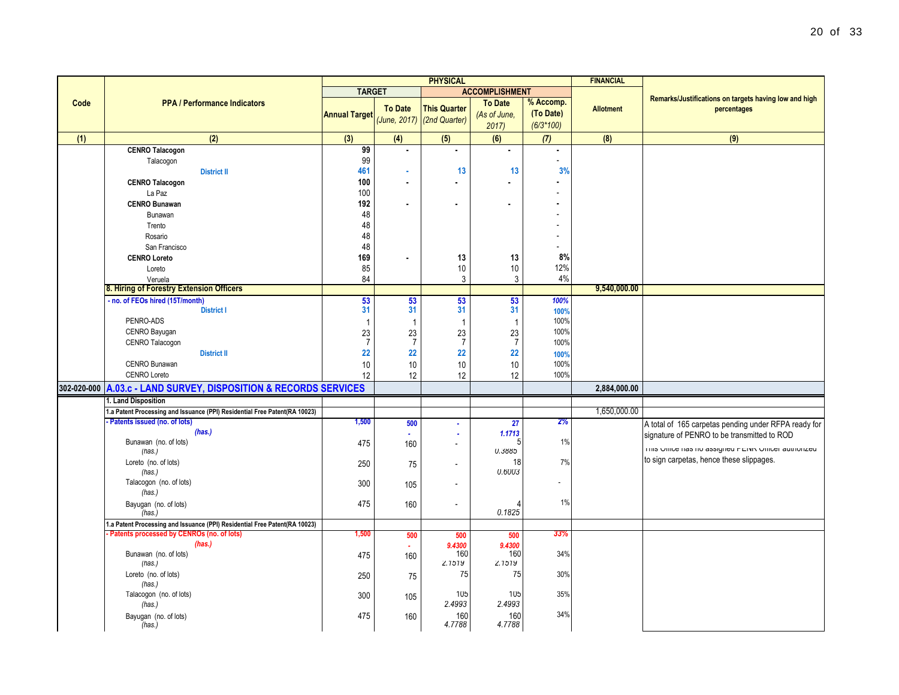|      |                                                                            | <b>PHYSICAL</b>      |                       |                          |                          |             | <b>FINANCIAL</b> |                                                       |
|------|----------------------------------------------------------------------------|----------------------|-----------------------|--------------------------|--------------------------|-------------|------------------|-------------------------------------------------------|
|      |                                                                            | <b>TARGET</b>        |                       |                          | <b>ACCOMPLISHMENT</b>    |             |                  |                                                       |
| Code | <b>PPA / Performance Indicators</b>                                        |                      |                       |                          | <b>To Date</b>           | % Accomp.   |                  | Remarks/Justifications on targets having low and high |
|      |                                                                            | <b>Annual Target</b> | <b>To Date</b>        | <b>This Quarter</b>      | (As of June,             | (To Date)   | <b>Allotment</b> | percentages                                           |
|      |                                                                            |                      | (June, 2017)          | (2nd Quarter)            | 2017                     | $(6/3*100)$ |                  |                                                       |
| (1)  | (2)                                                                        | (3)                  | (4)                   | (5)                      | (6)                      | (7)         | (8)              | (9)                                                   |
|      | <b>CENRO Talacogon</b>                                                     | 99                   |                       | ä,                       | $\mathbf{r}$             |             |                  |                                                       |
|      | Talacogon                                                                  | 99                   |                       |                          |                          |             |                  |                                                       |
|      | <b>District II</b>                                                         | 461                  | ×                     | 13                       | 13                       | 3%          |                  |                                                       |
|      | <b>CENRO Talacogon</b>                                                     | 100                  | $\blacksquare$        | $\blacksquare$           | $\blacksquare$           |             |                  |                                                       |
|      | La Paz                                                                     | 100                  |                       |                          |                          |             |                  |                                                       |
|      | <b>CENRO Bunawan</b>                                                       | 192                  | $\blacksquare$        | $\blacksquare$           | $\mathbf{r}$             |             |                  |                                                       |
|      | Bunawan                                                                    | 48                   |                       |                          |                          |             |                  |                                                       |
|      | Trento                                                                     | 48                   |                       |                          |                          |             |                  |                                                       |
|      | Rosario                                                                    | 48                   |                       |                          |                          |             |                  |                                                       |
|      | San Francisco                                                              | 48                   |                       |                          |                          |             |                  |                                                       |
|      | <b>CENRO Loreto</b>                                                        | 169                  |                       | 13                       | 13                       | 8%          |                  |                                                       |
|      | Loreto                                                                     | 85                   |                       | 10                       | 10                       | 12%         |                  |                                                       |
|      | Veruela                                                                    | 84                   |                       | $\mathbf{3}$             | 3                        | 4%          |                  |                                                       |
|      | 8. Hiring of Forestry Extension Officers                                   |                      |                       |                          |                          |             | 9,540,000.00     |                                                       |
|      | - no. of FEOs hired (15T/month)                                            | 53                   | 53                    | 53                       | 53                       | 100%        |                  |                                                       |
|      | <b>District I</b>                                                          | 31                   | 31                    | 31                       | 31                       | 100%        |                  |                                                       |
|      | PENRO-ADS                                                                  | $\mathbf{1}$         | $\overline{1}$        | $\overline{1}$           | $\overline{\phantom{0}}$ | 100%        |                  |                                                       |
|      | CENRO Bayugan                                                              | 23                   | 23                    | 23                       | 23                       | 100%        |                  |                                                       |
|      | CENRO Talacogon                                                            | $\overline{7}$       | $\overline{7}$        | $\overline{7}$           | $\overline{7}$           | 100%        |                  |                                                       |
|      | <b>District II</b>                                                         | 22                   | 22                    | 22                       | 22                       | 100%        |                  |                                                       |
|      | CENRO Bunawan                                                              | 10                   | 10                    | 10                       | 10                       | 100%        |                  |                                                       |
|      | <b>CENRO Loreto</b>                                                        | 12                   | 12                    | 12                       | 12                       | 100%        |                  |                                                       |
|      | 302-020-000 A.03.c - LAND SURVEY, DISPOSITION & RECORDS SERVICES           |                      |                       |                          |                          |             | 2,884,000.00     |                                                       |
|      | 1. Land Disposition                                                        |                      |                       |                          |                          |             |                  |                                                       |
|      | 1.a Patent Processing and Issuance (PPI) Residential Free Patent(RA 10023) |                      |                       |                          |                          |             | 1,650,000.00     |                                                       |
|      | Patents issued (no. of lots)                                               | 1,500                | 500                   | ÷.                       | 27                       | 2%          |                  | A total of 165 carpetas pending under RFPA ready for  |
|      | (has.)                                                                     |                      | $\tilde{\phantom{a}}$ | ٠                        | 1.1713                   |             |                  | signature of PENRO to be transmitted to ROD           |
|      | Bunawan (no. of lots)                                                      | 475                  | 160                   | $\overline{\phantom{a}}$ |                          | 1%          |                  |                                                       |
|      | (has.)                                                                     |                      |                       |                          | <b>U.3885</b>            |             |                  | This Onlice has no assigned PENR Onlicer authorized   |
|      | Loreto (no. of lots)                                                       | 250                  | 75                    | ÷,                       | 18                       | 7%          |                  | to sign carpetas, hence these slippages.              |
|      | (has.)                                                                     |                      |                       |                          | 0.6003                   |             |                  |                                                       |
|      | Talacogon (no. of lots)                                                    | 300                  | 105                   | $\overline{a}$           |                          |             |                  |                                                       |
|      | (has.)                                                                     |                      |                       |                          |                          |             |                  |                                                       |
|      | Bayugan (no. of lots)<br>(has.)                                            | 475                  | 160                   | $\overline{a}$           | 0.1825                   | 1%          |                  |                                                       |
|      | 1.a Patent Processing and Issuance (PPI) Residential Free Patent(RA 10023) |                      |                       |                          |                          |             |                  |                                                       |
|      | Patents processed by CENROs (no. of lots)                                  | 1,500                | 500                   | 500                      | 500                      | 33%         |                  |                                                       |
|      | (has.)                                                                     |                      | $\blacksquare$        | 9.4300                   | 9,4300                   |             |                  |                                                       |
|      | Bunawan (no. of lots)                                                      | 475                  | 160                   | 160                      | 160                      | 34%         |                  |                                                       |
|      | (has.)                                                                     |                      |                       | 2.1519                   | 2.1519                   |             |                  |                                                       |
|      | Loreto (no. of lots)                                                       | 250                  | 75                    | 75                       | 75                       | 30%         |                  |                                                       |
|      | (has.)                                                                     |                      |                       |                          |                          |             |                  |                                                       |
|      | Talacogon (no. of lots)                                                    | 300                  | 105                   | 105                      | 105                      | 35%         |                  |                                                       |
|      | (has.)                                                                     |                      |                       | 2.4993                   | 2.4993                   |             |                  |                                                       |
|      | Bayugan (no. of lots)                                                      | 475                  | 160                   | 160                      | 160                      | 34%         |                  |                                                       |
|      | (has.)                                                                     |                      |                       | 4.7788                   | 4.7788                   |             |                  |                                                       |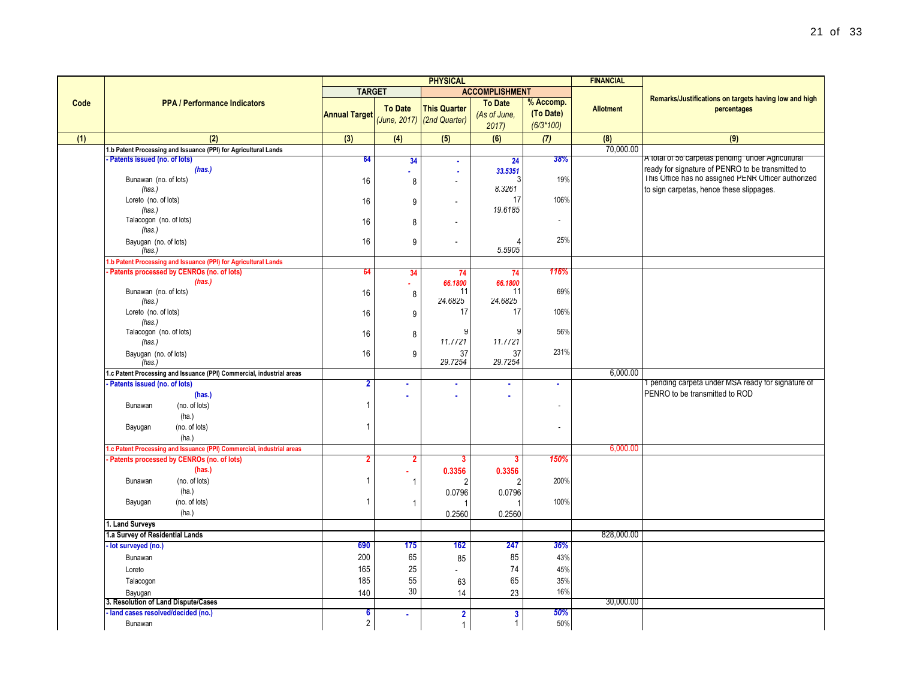|      |                                                                       | <b>PHYSICAL</b>      |                |                            |                       |             | <b>FINANCIAL</b> |                                                                                                 |
|------|-----------------------------------------------------------------------|----------------------|----------------|----------------------------|-----------------------|-------------|------------------|-------------------------------------------------------------------------------------------------|
|      |                                                                       | <b>TARGET</b>        |                |                            | <b>ACCOMPLISHMENT</b> |             |                  |                                                                                                 |
| Code | <b>PPA / Performance Indicators</b>                                   |                      | <b>To Date</b> | <b>This Quarter</b>        | <b>To Date</b>        | % Accomp.   | <b>Allotment</b> | Remarks/Justifications on targets having low and high<br>percentages                            |
|      |                                                                       | <b>Annual Target</b> |                | (June, 2017) (2nd Quarter) | (As of June,          | (To Date)   |                  |                                                                                                 |
|      |                                                                       |                      |                |                            | 2017                  | $(6/3*100)$ |                  |                                                                                                 |
| (1)  | (2)                                                                   | (3)                  | (4)            | (5)                        | (6)                   | (7)         | (8)              | (9)                                                                                             |
|      | 1.b Patent Processing and Issuance (PPI) for Agricultural Lands       |                      |                |                            |                       |             | 70,000.00        |                                                                                                 |
|      | - Patents issued (no. of lots)                                        | 64                   | 34             | $\sim$                     | 24                    | 38%         |                  | A total of 56 carpetas pending under Agricultural                                               |
|      | (has.)                                                                |                      |                |                            | 33.5351               |             |                  | ready for signature of PENRO to be transmitted to                                               |
|      | Bunawan (no. of lots)<br>(has.)                                       | 16                   | $\bf 8$        | ÷,                         | 8.3261                | 19%         |                  | This Office has no assigned PENR Officer authorized<br>to sign carpetas, hence these slippages. |
|      | Loreto (no. of lots)                                                  | 16                   |                |                            | 17                    | 106%        |                  |                                                                                                 |
|      | (has.)                                                                |                      | 9              | $\overline{\phantom{a}}$   | 19.6185               |             |                  |                                                                                                 |
|      | Talacogon (no. of lots)                                               | 16                   | 8              | $\overline{\phantom{a}}$   |                       | ÷,          |                  |                                                                                                 |
|      | (has.)                                                                |                      |                |                            |                       |             |                  |                                                                                                 |
|      | Bayugan (no. of lots)                                                 | 16                   | 9              | $\overline{\phantom{a}}$   |                       | 25%         |                  |                                                                                                 |
|      | (has.)                                                                |                      |                |                            | 5.5905                |             |                  |                                                                                                 |
|      | 1.b Patent Processing and Issuance (PPI) for Agricultural Lands       |                      |                |                            |                       |             |                  |                                                                                                 |
|      | - Patents processed by CENROs (no. of lots)                           | 64                   | 34             | 74                         | 74                    | 116%        |                  |                                                                                                 |
|      | (has.)<br>Bunawan (no. of lots)                                       | 16                   |                | 66.1800<br>11              | 66.1800<br>11         | 69%         |                  |                                                                                                 |
|      | (has.)                                                                |                      | 8              | 24.6825                    | 24.6825               |             |                  |                                                                                                 |
|      | Loreto (no. of lots)                                                  | 16                   | 9              | 17                         | 17                    | 106%        |                  |                                                                                                 |
|      | (has.)                                                                |                      |                |                            |                       |             |                  |                                                                                                 |
|      | Talacogon (no. of lots)                                               | 16                   | 8              |                            | c                     | 56%         |                  |                                                                                                 |
|      | (has.)                                                                |                      |                | 11.7721                    | 11.7721               |             |                  |                                                                                                 |
|      | Bayugan (no. of lots)<br>(has.)                                       | 16                   | 9              | 37<br>29.7254              | 37<br>29.7254         | 231%        |                  |                                                                                                 |
|      | 1.c Patent Processing and Issuance (PPI) Commercial, industrial areas |                      |                |                            |                       |             | 6,000.00         |                                                                                                 |
|      | - Patents issued (no. of lots)                                        | $\mathbf{2}$         | ٠              | ä,                         |                       | $\bullet$   |                  | 1 pending carpeta under MSA ready for signature of                                              |
|      | (has.)                                                                |                      |                |                            |                       |             |                  | PENRO to be transmitted to ROD                                                                  |
|      | (no. of lots)<br>Bunawan                                              | 1                    |                |                            |                       | ٠           |                  |                                                                                                 |
|      | (ha.)                                                                 |                      |                |                            |                       |             |                  |                                                                                                 |
|      | Bayugan<br>(no. of lots)                                              | $\mathbf{1}$         |                |                            |                       |             |                  |                                                                                                 |
|      | (ha.)                                                                 |                      |                |                            |                       |             |                  |                                                                                                 |
|      | 1.c Patent Processing and Issuance (PPI) Commercial, industrial areas |                      |                |                            |                       |             | 6,000.00         |                                                                                                 |
|      | Patents processed by CENROs (no. of lots)                             | 2                    | $\mathbf{2}$   | 3                          | 3                     | 150%        |                  |                                                                                                 |
|      | (has.)                                                                | 1                    |                | 0.3356                     | 0.3356                |             |                  |                                                                                                 |
|      | (no. of lots)<br>Bunawan<br>(ha.)                                     |                      | $\mathbf{1}$   |                            |                       | 200%        |                  |                                                                                                 |
|      | Bayugan<br>(no. of lots)                                              | $\mathbf{1}$         |                | 0.0796                     | 0.0796                | 100%        |                  |                                                                                                 |
|      | (ha.)                                                                 |                      | $\mathbf{1}$   | 0.2560                     | 0.2560                |             |                  |                                                                                                 |
|      | 1. Land Surveys                                                       |                      |                |                            |                       |             |                  |                                                                                                 |
|      | 1.a Survey of Residential Lands                                       |                      |                |                            |                       |             | 828,000.00       |                                                                                                 |
|      | - lot surveyed (no.)                                                  | 690                  | 175            | 162                        | 247                   | 36%         |                  |                                                                                                 |
|      | Bunawan                                                               | 200                  | 65             | 85                         | 85                    | 43%         |                  |                                                                                                 |
|      | Loreto                                                                | 165                  | 25             | $\overline{a}$             | 74                    | 45%         |                  |                                                                                                 |
|      | Talacogon                                                             | 185                  | 55             | 63                         | 65                    | 35%         |                  |                                                                                                 |
|      | Bayugan                                                               | 140                  | 30             | 14                         | 23                    | 16%         |                  |                                                                                                 |
|      | 3. Resolution of Land Dispute/Cases                                   |                      |                |                            |                       |             | 30,000.00        |                                                                                                 |
|      | land cases resolved/decided (no.)                                     | $\boldsymbol{6}$     | a.             | $\overline{2}$             | $\mathbf{3}$          | 50%         |                  |                                                                                                 |
|      | Bunawan                                                               | $\overline{2}$       |                | $\mathbf{1}$               | $\mathbf{1}$          | 50%         |                  |                                                                                                 |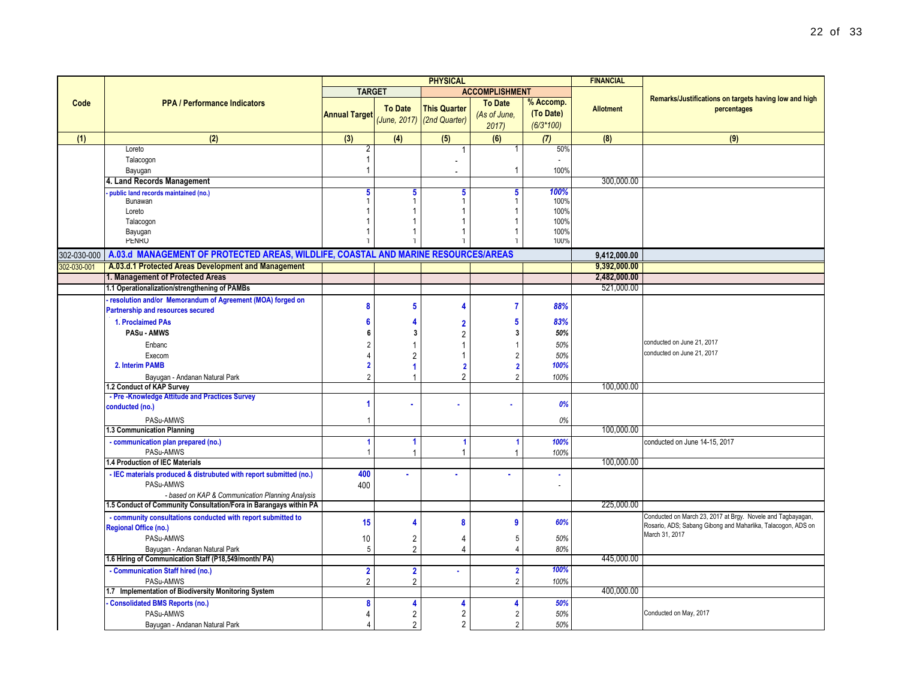|             |                                                                                    |                      |                | <b>PHYSICAL</b>            |                       |                | <b>FINANCIAL</b> |                                                              |
|-------------|------------------------------------------------------------------------------------|----------------------|----------------|----------------------------|-----------------------|----------------|------------------|--------------------------------------------------------------|
|             |                                                                                    | <b>TARGET</b>        |                |                            | <b>ACCOMPLISHMENT</b> |                |                  |                                                              |
| Code        | <b>PPA / Performance Indicators</b>                                                |                      |                |                            | <b>To Date</b>        | % Accomp.      |                  | Remarks/Justifications on targets having low and high        |
|             |                                                                                    | <b>Annual Target</b> | <b>To Date</b> | <b>This Quarter</b>        | (As of June,          | (To Date)      | <b>Allotment</b> | percentages                                                  |
|             |                                                                                    |                      |                | (June, 2017) (2nd Quarter) | 2017                  | $(6/3*100)$    |                  |                                                              |
| (1)         | (2)                                                                                | (3)                  | (4)            | (5)                        | (6)                   | (7)            | (8)              | (9)                                                          |
|             | Loreto                                                                             |                      |                | -1                         |                       | 50%            |                  |                                                              |
|             | Talacogon                                                                          |                      |                |                            |                       |                |                  |                                                              |
|             | Bayugan                                                                            |                      |                |                            | -1                    | 100%           |                  |                                                              |
|             | 4. Land Records Management                                                         |                      |                |                            |                       |                | 300,000.00       |                                                              |
|             | public land records maintained (no.)                                               | 5                    | 5              | 5                          | 5                     | 100%           |                  |                                                              |
|             | Bunawan                                                                            |                      |                | 1                          |                       | 100%           |                  |                                                              |
|             | Loreto                                                                             |                      |                |                            |                       | 100%           |                  |                                                              |
|             | Talacogon                                                                          |                      |                |                            |                       | 100%           |                  |                                                              |
|             | Bayugan                                                                            |                      |                |                            |                       | 100%           |                  |                                                              |
|             | <b>PENRO</b>                                                                       |                      |                |                            |                       | 100%           |                  |                                                              |
| 302-030-000 | A.03.d MANAGEMENT OF PROTECTED AREAS, WILDLIFE, COASTAL AND MARINE RESOURCES/AREAS |                      |                |                            |                       |                | 9,412,000.00     |                                                              |
| 302-030-001 | A.03.d.1 Protected Areas Development and Management                                |                      |                |                            |                       |                | 9,392,000.00     |                                                              |
|             | 1. Management of Protected Areas                                                   |                      |                |                            |                       |                | 2,482,000.00     |                                                              |
|             | 1.1 Operationalization/strengthening of PAMBs                                      |                      |                |                            |                       |                | 521,000.00       |                                                              |
|             | resolution and/or Memorandum of Agreement (MOA) forged on                          |                      |                |                            |                       |                |                  |                                                              |
|             | Partnership and resources secured                                                  |                      | 5              | 4                          |                       | 88%            |                  |                                                              |
|             | 1. Proclaimed PAs                                                                  |                      |                | $\overline{2}$             |                       | 83%            |                  |                                                              |
|             | PASu - AMWS                                                                        |                      | 3              | 2                          |                       | 50%            |                  |                                                              |
|             | Enbanc                                                                             |                      |                |                            |                       | 50%            |                  | conducted on June 21, 2017                                   |
|             | Execom                                                                             |                      |                |                            |                       | 50%            |                  | conducted on June 21, 2017                                   |
|             | 2. Interim PAMB                                                                    |                      |                | $\overline{2}$             |                       | 100%           |                  |                                                              |
|             | Bayugan - Andanan Natural Park                                                     |                      |                | $\overline{2}$             |                       | 100%           |                  |                                                              |
|             | 1.2 Conduct of KAP Survey                                                          |                      |                |                            |                       |                | 100,000.00       |                                                              |
|             | - Pre-Knowledge Attitude and Practices Survey                                      |                      |                |                            |                       |                |                  |                                                              |
|             | conducted (no.)                                                                    |                      |                |                            |                       | 0%             |                  |                                                              |
|             | PASu-AMWS                                                                          |                      |                |                            |                       | 0%             |                  |                                                              |
|             | 1.3 Communication Planning                                                         |                      |                |                            |                       |                | 100,000.00       |                                                              |
|             | - communication plan prepared (no.)                                                |                      | -1             | - 1                        |                       | 100%           |                  | conducted on June 14-15, 2017                                |
|             | PASu-AMWS                                                                          |                      |                | $\overline{1}$             |                       | 100%           |                  |                                                              |
|             | 1.4 Production of IEC Materials                                                    |                      |                |                            |                       |                | 100.000.00       |                                                              |
|             | - IEC materials produced & distrubuted with report submitted (no.)                 | 400                  |                |                            |                       | $\blacksquare$ |                  |                                                              |
|             | PASu-AMWS                                                                          | 400                  |                |                            |                       |                |                  |                                                              |
|             | - based on KAP & Communication Planning Analysis                                   |                      |                |                            |                       |                |                  |                                                              |
|             | 1.5 Conduct of Community Consultation/Fora in Barangays within PA                  |                      |                |                            |                       |                | 225,000.00       |                                                              |
|             | - community consultations conducted with report submitted to                       | 15                   |                | 8                          | g                     | 60%            |                  | Conducted on March 23, 2017 at Brgy. Novele and Tagbayagan,  |
|             | <b>Regional Office (no.)</b>                                                       |                      |                |                            |                       |                |                  | Rosario, ADS; Sabang Gibong and Maharlika, Talacogon, ADS on |
|             | PASu-AMWS                                                                          | 10                   | $\overline{2}$ | 4                          |                       | 50%            |                  | March 31, 2017                                               |
|             | Bayugan - Andanan Natural Park                                                     | 5                    | $\overline{2}$ | 4                          |                       | 80%            |                  |                                                              |
|             | 1.6 Hiring of Communication Staff (P18,549/month/ PA)                              |                      |                |                            |                       |                | 445,000.00       |                                                              |
|             | - Communication Staff hired (no.)                                                  | $\overline{2}$       | $\overline{2}$ | $\mathbf{r}$               | $\overline{2}$        | 100%           |                  |                                                              |
|             | PASu-AMWS                                                                          | $\overline{2}$       | $\overline{2}$ |                            | $\overline{2}$        | 100%           |                  |                                                              |
|             | 1.7 Implementation of Biodiversity Monitoring System                               |                      |                |                            |                       |                | 400,000.00       |                                                              |

**- Consolidated BMS Reports (no.) 8 4 4 4** *50%*

Bayugan - Andanan Natural Park 4 2 2 2 *50%*

PASu-AMWS 4 2 2 2 *50%* Conducted on May, 2017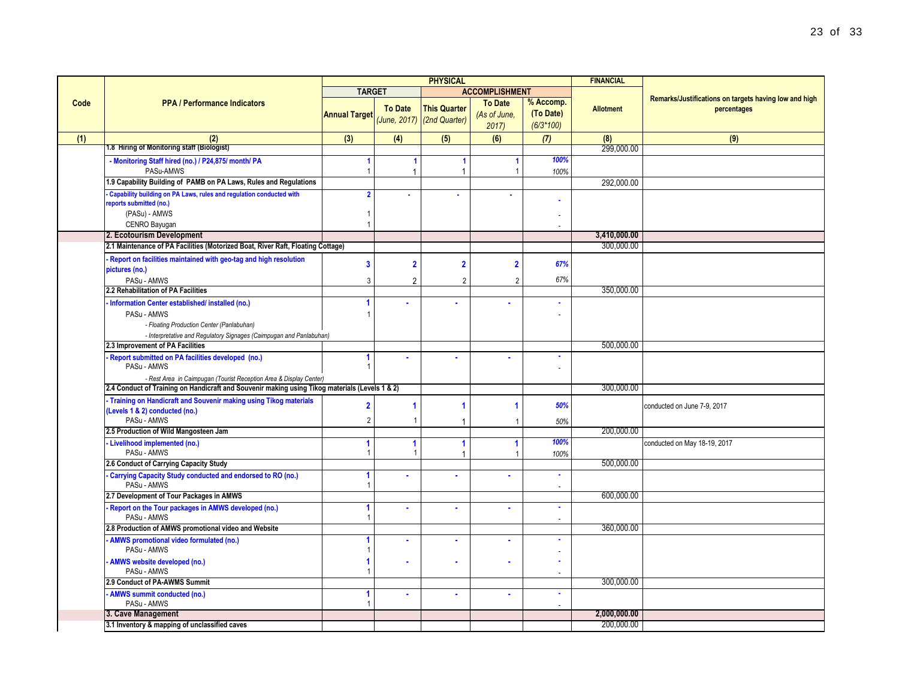|      |                                                                                                |                         |                         | <b>PHYSICAL</b>            |                         |                       | <b>FINANCIAL</b> |                                                       |
|------|------------------------------------------------------------------------------------------------|-------------------------|-------------------------|----------------------------|-------------------------|-----------------------|------------------|-------------------------------------------------------|
|      |                                                                                                | <b>TARGET</b>           |                         |                            | <b>ACCOMPLISHMENT</b>   |                       |                  |                                                       |
| Code | <b>PPA / Performance Indicators</b>                                                            |                         |                         |                            | <b>To Date</b>          | % Accomp.             |                  | Remarks/Justifications on targets having low and high |
|      |                                                                                                | <b>Annual Target</b>    | <b>To Date</b>          | <b>This Quarter</b>        | (As of June,            | (To Date)             | <b>Allotment</b> | percentages                                           |
|      |                                                                                                |                         |                         | (June, 2017) (2nd Quarter) | 2017                    | $(6/3*100)$           |                  |                                                       |
| (1)  | (2)                                                                                            | (3)                     | (4)                     | (5)                        | (6)                     | (7)                   | (8)              | (9)                                                   |
|      | 1.8 Hiring of Monitoring staff (Biologist)                                                     |                         |                         |                            |                         |                       | 299,000.00       |                                                       |
|      | - Monitoring Staff hired (no.) / P24,875/ month/ PA                                            | $\blacktriangleleft$    | $\overline{1}$          | 1                          | -1                      | 100%                  |                  |                                                       |
|      | PASu-AMWS                                                                                      | $\overline{1}$          | $\overline{1}$          |                            | $\overline{1}$          | 100%                  |                  |                                                       |
|      | 1.9 Capability Building of PAMB on PA Laws, Rules and Regulations                              |                         |                         |                            |                         |                       | 292,000.00       |                                                       |
|      | Capability building on PA Laws, rules and regulation conducted with                            | $\overline{2}$          |                         |                            |                         |                       |                  |                                                       |
|      | reports submitted (no.)                                                                        |                         |                         |                            |                         |                       |                  |                                                       |
|      | (PASu) - AMWS                                                                                  | $\overline{1}$          |                         |                            |                         |                       |                  |                                                       |
|      | CENRO Bayugan                                                                                  | $\overline{1}$          |                         |                            |                         |                       |                  |                                                       |
|      | 2. Ecotourism Development                                                                      |                         |                         |                            |                         |                       | 3,410,000.00     |                                                       |
|      | 2.1 Maintenance of PA Facilities (Motorized Boat, River Raft, Floating Cottage)                |                         |                         |                            |                         |                       | 300,000.00       |                                                       |
|      | Report on facilities maintained with geo-tag and high resolution                               |                         |                         |                            |                         |                       |                  |                                                       |
|      | pictures (no.)                                                                                 | $\overline{\mathbf{3}}$ | $\overline{\mathbf{2}}$ | $\overline{2}$             | $\overline{\mathbf{2}}$ | 67%                   |                  |                                                       |
|      | PASu - AMWS                                                                                    | 3                       | $\overline{2}$          | $\overline{2}$             | $\overline{2}$          | 67%                   |                  |                                                       |
|      | 2.2 Rehabilitation of PA Facilities                                                            |                         |                         |                            |                         |                       | 350,000.00       |                                                       |
|      | - Information Center established/ installed (no.)                                              | 1                       |                         |                            |                         | $\mathbf{r}$          |                  |                                                       |
|      | PASu - AMWS                                                                                    | -1                      |                         |                            |                         |                       |                  |                                                       |
|      | - Floating Production Center (Panlabuhan)                                                      |                         |                         |                            |                         |                       |                  |                                                       |
|      | - Interpretative and Regulatory Signages (Caimpugan and Panlabuhan)                            |                         |                         |                            |                         |                       |                  |                                                       |
|      | 2.3 Improvement of PA Facilities                                                               |                         |                         |                            |                         |                       | 500.000.00       |                                                       |
|      | Report submitted on PA facilities developed (no.)                                              | 1                       | ×                       |                            |                         | $\tilde{\phantom{a}}$ |                  |                                                       |
|      | PASu - AMWS                                                                                    | -1                      |                         |                            |                         | $\ddot{\phantom{a}}$  |                  |                                                       |
|      | - Rest Area in Caimpugan (Tourist Reception Area & Display Center)                             |                         |                         |                            |                         |                       |                  |                                                       |
|      | 2.4 Conduct of Training on Handicraft and Souvenir making using Tikog materials (Levels 1 & 2) |                         |                         |                            |                         |                       | 300,000.00       |                                                       |
|      | - Training on Handicraft and Souvenir making using Tikog materials                             |                         |                         |                            |                         |                       |                  |                                                       |
|      | (Levels 1 & 2) conducted (no.)                                                                 | $\overline{2}$          | -1                      |                            | 1                       | 50%                   |                  | conducted on June 7-9, 2017                           |
|      | PASu - AMWS                                                                                    | $\overline{2}$          |                         |                            | $\overline{1}$          | 50%                   |                  |                                                       |
|      | 2.5 Production of Wild Mangosteen Jam                                                          |                         |                         |                            |                         |                       | 200,000.00       |                                                       |
|      | Livelihood implemented (no.)                                                                   | 1                       | $\overline{1}$          | 1                          | 1                       | 100%                  |                  | conducted on May 18-19, 2017                          |
|      | PASu - AMWS                                                                                    | -1                      | -1                      | $\overline{1}$             | $\overline{1}$          | 100%                  |                  |                                                       |
|      | 2.6 Conduct of Carrying Capacity Study                                                         |                         |                         |                            |                         |                       | 500,000.00       |                                                       |
|      | Carrying Capacity Study conducted and endorsed to RO (no.)                                     | 1                       | ä                       |                            |                         | $\blacksquare$        |                  |                                                       |
|      | PASu - AMWS                                                                                    | $\overline{1}$          |                         |                            |                         | $\sim$                |                  |                                                       |
|      | 2.7 Development of Tour Packages in AMWS                                                       |                         |                         |                            |                         |                       | 600,000.00       |                                                       |
|      | Report on the Tour packages in AMWS developed (no.)                                            | 1                       |                         |                            |                         | $\blacksquare$        |                  |                                                       |
|      | PASu - AMWS<br>2.8 Production of AMWS promotional video and Website                            |                         |                         |                            |                         | $\tilde{\phantom{a}}$ | 360,000.00       |                                                       |
|      |                                                                                                |                         |                         |                            |                         |                       |                  |                                                       |
|      | AMWS promotional video formulated (no.)<br>PASu - AMWS                                         | 1<br>-1                 | ×                       |                            |                         |                       |                  |                                                       |
|      |                                                                                                |                         |                         |                            |                         |                       |                  |                                                       |
|      | AMWS website developed (no.)<br>PASu - AMWS                                                    | 1<br>$\overline{1}$     | ×,                      |                            |                         |                       |                  |                                                       |
|      | 2.9 Conduct of PA-AWMS Summit                                                                  |                         |                         |                            |                         |                       | 300,000.00       |                                                       |
|      | <b>AMWS</b> summit conducted (no.)                                                             | 1                       |                         |                            |                         | $\bullet$             |                  |                                                       |
|      | PASu - AMWS                                                                                    |                         |                         |                            |                         | $\tilde{\phantom{a}}$ |                  |                                                       |
|      | 3. Cave Management                                                                             |                         |                         |                            |                         |                       | 2,000,000.00     |                                                       |
|      | 3.1 Inventory & mapping of unclassified caves                                                  |                         |                         |                            |                         |                       | 200,000.00       |                                                       |
|      |                                                                                                |                         |                         |                            |                         |                       |                  |                                                       |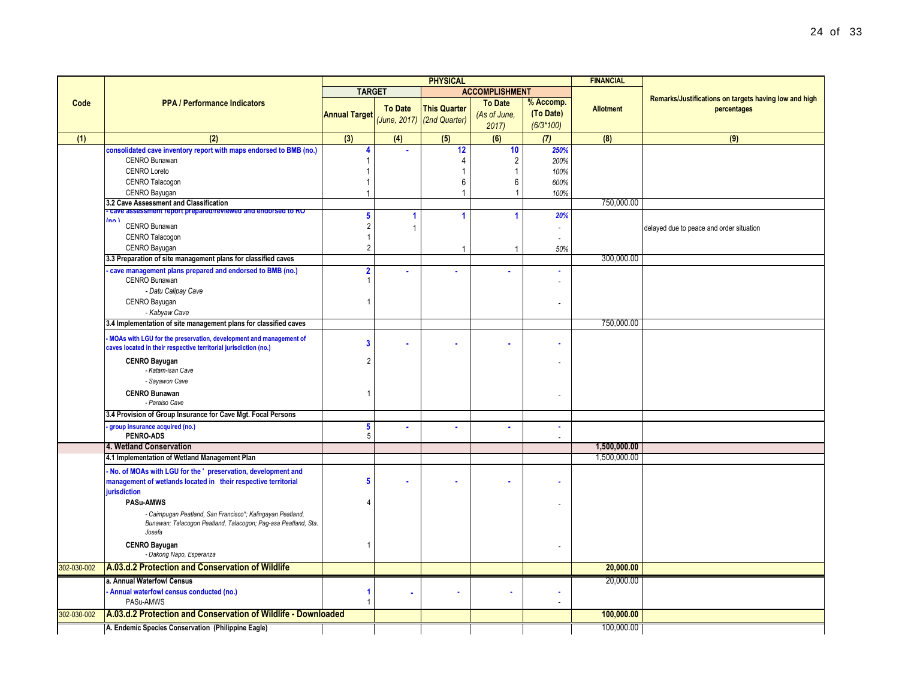|             |                                                                                                                                                                                                           | <b>PHYSICAL</b>      |                |                                                   |                                        |                                       | <b>FINANCIAL</b> |                                                                      |
|-------------|-----------------------------------------------------------------------------------------------------------------------------------------------------------------------------------------------------------|----------------------|----------------|---------------------------------------------------|----------------------------------------|---------------------------------------|------------------|----------------------------------------------------------------------|
|             |                                                                                                                                                                                                           | <b>TARGET</b>        |                |                                                   | <b>ACCOMPLISHMENT</b>                  |                                       |                  |                                                                      |
| Code        | <b>PPA / Performance Indicators</b>                                                                                                                                                                       | <b>Annual Target</b> | <b>To Date</b> | <b>This Quarter</b><br>(June, 2017) (2nd Quarter) | <b>To Date</b><br>(As of June,<br>2017 | % Accomp.<br>(To Date)<br>$(6/3*100)$ | <b>Allotment</b> | Remarks/Justifications on targets having low and high<br>percentages |
| (1)         | (2)                                                                                                                                                                                                       | (3)                  | (4)            | (5)                                               | (6)                                    | (7)                                   | (8)              | (9)                                                                  |
|             | consolidated cave inventory report with maps endorsed to BMB (no.)<br><b>CENRO Bunawan</b><br><b>CENRO Loreto</b><br>CENRO Talacogon                                                                      | Δ                    |                | 12<br>4<br>6                                      | 10<br>$\overline{2}$<br>6              | 250%<br>200%<br>100%<br>600%          |                  |                                                                      |
|             | CENRO Bayugan                                                                                                                                                                                             |                      |                | 1                                                 |                                        | 100%                                  |                  |                                                                      |
|             | 3.2 Cave Assessment and Classification                                                                                                                                                                    |                      |                |                                                   |                                        |                                       | 750,000.00       |                                                                      |
|             | - cave assessment report prepared/reviewed and endorsed to RO<br>(nn)<br>CENRO Bunawan<br>CENRO Talacogon                                                                                                 | 5                    | 4              | 1                                                 |                                        | 20%<br>$\overline{\phantom{a}}$       |                  | delayed due to peace and order situation                             |
|             | CENRO Bayugan<br>3.3 Preparation of site management plans for classified caves                                                                                                                            | $\overline{2}$       |                |                                                   |                                        | 50%                                   | 300,000.00       |                                                                      |
|             | cave management plans prepared and endorsed to BMB (no.)<br>CENRO Bunawan<br>- Datu Calipay Cave<br>CENRO Bayugan                                                                                         | $\overline{2}$       |                |                                                   |                                        | $\overline{\phantom{a}}$              |                  |                                                                      |
|             | - Kabyaw Cave                                                                                                                                                                                             |                      |                |                                                   |                                        |                                       | 750,000.00       |                                                                      |
|             | 3.4 Implementation of site management plans for classified caves<br>MOAs with LGU for the preservation, development and management of<br>caves located in their respective territorial jurisdiction (no.) | 3                    |                |                                                   |                                        |                                       |                  |                                                                      |
|             | <b>CENRO Bayugan</b><br>- Katam-isan Cave<br>- Sayawon Cave                                                                                                                                               |                      |                |                                                   |                                        |                                       |                  |                                                                      |
|             | <b>CENRO Bunawan</b><br>- Paraiso Cave                                                                                                                                                                    |                      |                |                                                   |                                        |                                       |                  |                                                                      |
|             | 3.4 Provision of Group Insurance for Cave Mgt. Focal Persons                                                                                                                                              |                      |                |                                                   |                                        |                                       |                  |                                                                      |
|             | group insurance acquired (no.)<br>PENRO-ADS                                                                                                                                                               | 5<br>5               |                |                                                   |                                        | $\sim$                                |                  |                                                                      |
|             | 4. Wetland Conservation                                                                                                                                                                                   |                      |                |                                                   |                                        |                                       | 1,500,000.00     |                                                                      |
|             | 4.1 Implementation of Wetland Management Plan                                                                                                                                                             |                      |                |                                                   |                                        |                                       | 1,500,000.00     |                                                                      |
|             | No. of MOAs with LGU for the ' preservation, development and<br>management of wetlands located in their respective territorial<br>jurisdiction                                                            | 5                    |                |                                                   |                                        |                                       |                  |                                                                      |
|             | PASu-AMWS<br>- Caimpugan Peatland, San Francisco*; Kalingayan Peatland,<br>Bunawan; Talacogon Peatland, Talacogon; Pag-asa Peatland, Sta.<br>Josefa                                                       |                      |                |                                                   |                                        |                                       |                  |                                                                      |
|             | <b>CENRO Bayugan</b><br>- Dakong Napo, Esperanza                                                                                                                                                          |                      |                |                                                   |                                        |                                       |                  |                                                                      |
| 302-030-002 | A.03.d.2 Protection and Conservation of Wildlife                                                                                                                                                          |                      |                |                                                   |                                        |                                       | 20,000.00        |                                                                      |
|             | a. Annual Waterfowl Census<br>Annual waterfowl census conducted (no.)<br>PASu-AMWS                                                                                                                        |                      |                |                                                   |                                        | $\sim$                                | 20,000.00        |                                                                      |
| 302-030-002 | A.03.d.2 Protection and Conservation of Wildlife - Downloaded                                                                                                                                             |                      |                |                                                   |                                        |                                       | 100.000.00       |                                                                      |

**A. Endemic Species Conservation (Philippine Eagle)** 100,000.00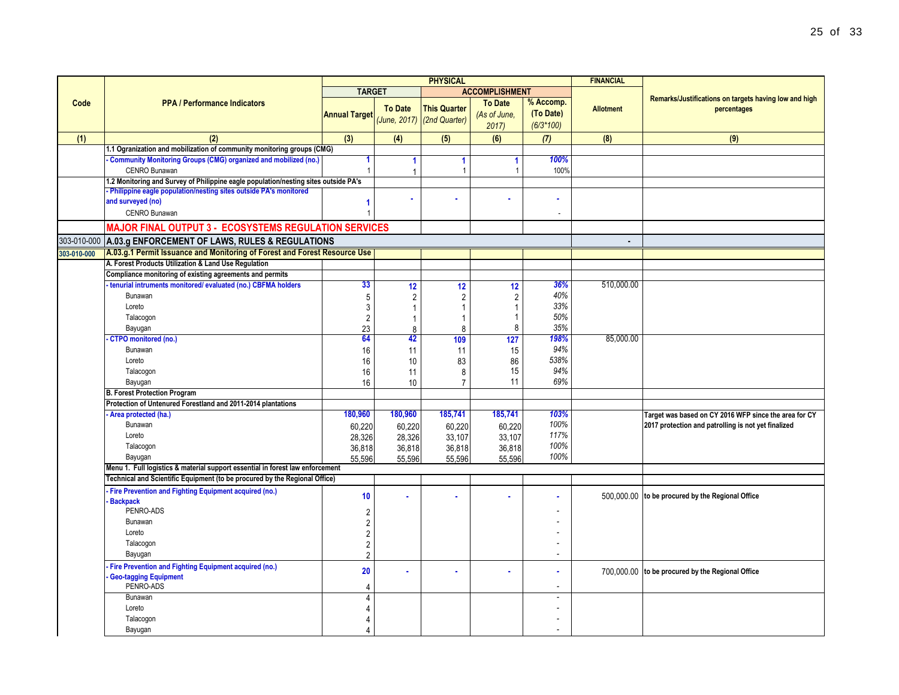|             |                                                                                          | <b>PHYSICAL</b>      |                            |                     |                       |                          | <b>FINANCIAL</b> |                                                       |
|-------------|------------------------------------------------------------------------------------------|----------------------|----------------------------|---------------------|-----------------------|--------------------------|------------------|-------------------------------------------------------|
|             |                                                                                          | <b>TARGET</b>        |                            |                     | <b>ACCOMPLISHMENT</b> |                          |                  |                                                       |
| Code        | <b>PPA / Performance Indicators</b>                                                      |                      |                            |                     | <b>To Date</b>        | % Accomp.                |                  | Remarks/Justifications on targets having low and high |
|             |                                                                                          | <b>Annual Target</b> | <b>To Date</b>             | <b>This Quarter</b> | (As of June,          | (To Date)                | <b>Allotment</b> | percentages                                           |
|             |                                                                                          |                      | (June, 2017) (2nd Quarter) |                     | 2017                  | $(6/3*100)$              |                  |                                                       |
| (1)         | (2)                                                                                      | (3)                  | (4)                        | (5)                 | (6)                   | (7)                      | (8)              | (9)                                                   |
|             | 1.1 Ogranization and mobilization of community monitoring groups (CMG)                   |                      |                            |                     |                       |                          |                  |                                                       |
|             | <b>Community Monitoring Groups (CMG) organized and mobilized (no.)</b>                   | $\mathbf{1}$         | 1                          | 1                   | $\blacktriangleleft$  | 100%                     |                  |                                                       |
|             | CENRO Bunawan                                                                            | $\mathbf{1}$         | 1                          | $\overline{1}$      |                       | 100%                     |                  |                                                       |
|             | 1.2 Monitoring and Survey of Philippine eagle population/nesting sites outside PA's      |                      |                            |                     |                       |                          |                  |                                                       |
|             | - Philippine eagle population/nesting sites outside PA's monitored                       |                      | ×                          |                     |                       |                          |                  |                                                       |
|             | and surveyed (no)                                                                        | 1                    |                            |                     |                       |                          |                  |                                                       |
|             | <b>CENRO Bunawan</b>                                                                     |                      |                            |                     |                       | $\overline{\phantom{a}}$ |                  |                                                       |
|             | <b>MAJOR FINAL OUTPUT 3 - ECOSYSTEMS REGULATION SERVICES</b>                             |                      |                            |                     |                       |                          |                  |                                                       |
| 303-010-000 | A.03.g ENFORCEMENT OF LAWS, RULES & REGULATIONS                                          |                      |                            |                     |                       |                          |                  |                                                       |
| 303-010-000 | A.03.g.1 Permit Issuance and Monitoring of Forest and Forest Resource Use                |                      |                            |                     |                       |                          |                  |                                                       |
|             | A. Forest Products Utilization & Land Use Regulation                                     |                      |                            |                     |                       |                          |                  |                                                       |
|             | Compliance monitoring of existing agreements and permits                                 |                      |                            |                     |                       |                          |                  |                                                       |
|             | tenurial intruments monitored/ evaluated (no.) CBFMA holders                             | 33                   | 12                         | 12                  | 12                    | 36%                      | 510,000.00       |                                                       |
|             | Bunawan                                                                                  | 5                    | $\overline{2}$             | $\overline{2}$      | $\overline{2}$        | 40%                      |                  |                                                       |
|             | Loreto                                                                                   | 3                    | $\overline{1}$             | 1                   | -1                    | 33%                      |                  |                                                       |
|             | Talacogon                                                                                | $\overline{2}$       | 1                          | 1                   | -1                    | 50%                      |                  |                                                       |
|             | Bayugan                                                                                  | 23                   | 8                          | 8                   | 8                     | 35%                      |                  |                                                       |
|             | <b>CTPO</b> monitored (no.)                                                              | 64                   | 42                         | 109                 | 127                   | 198%                     | 85,000.00        |                                                       |
|             | Bunawan                                                                                  | 16                   | 11                         | 11                  | 15                    | 94%                      |                  |                                                       |
|             | Loreto                                                                                   | 16                   | 10                         | 83                  | 86                    | 538%                     |                  |                                                       |
|             | Talacogon                                                                                | 16                   | 11                         | 8                   | 15                    | 94%                      |                  |                                                       |
|             | Bayugan                                                                                  | 16                   | 10                         | $\overline{7}$      | 11                    | 69%                      |                  |                                                       |
|             | <b>B. Forest Protection Program</b>                                                      |                      |                            |                     |                       |                          |                  |                                                       |
|             | Protection of Untenured Forestland and 2011-2014 plantations                             |                      |                            |                     |                       |                          |                  |                                                       |
|             | Area protected (ha.)                                                                     | 180,960              | 180,960                    | 185,741             | 185,741               | 103%                     |                  | Target was based on CY 2016 WFP since the area for CY |
|             | Bunawan                                                                                  | 60,220               | 60,220                     | 60,220              | 60,220                | 100%                     |                  | 2017 protection and patrolling is not yet finalized   |
|             | Loreto                                                                                   | 28,326               | 28,326                     | 33,107              | 33,107                | 117%                     |                  |                                                       |
|             | Talacogon                                                                                | 36,818               | 36,818                     | 36,818              | 36,818                | 100%<br>100%             |                  |                                                       |
|             | Bayugan<br>Menu 1. Full logistics & material support essential in forest law enforcement | 55,596               | 55,596                     | 55,596              | 55.596                |                          |                  |                                                       |
|             | Technical and Scientific Equipment (to be procured by the Regional Office)               |                      |                            |                     |                       |                          |                  |                                                       |
|             |                                                                                          |                      |                            |                     |                       |                          |                  |                                                       |
|             | Fire Prevention and Fighting Equipment acquired (no.)<br><b>Backpack</b>                 | 10                   |                            |                     |                       |                          |                  | 500,000.00 to be procured by the Regional Office      |
|             | PENRO-ADS                                                                                | $\overline{2}$       |                            |                     |                       |                          |                  |                                                       |
|             | Bunawan                                                                                  | $\overline{2}$       |                            |                     |                       |                          |                  |                                                       |
|             | Loreto                                                                                   | $\overline{2}$       |                            |                     |                       |                          |                  |                                                       |
|             | Talacogon                                                                                | $\overline{2}$       |                            |                     |                       |                          |                  |                                                       |
|             | Bayugan                                                                                  | $\overline{2}$       |                            |                     |                       | $\overline{\phantom{a}}$ |                  |                                                       |
|             | Fire Prevention and Fighting Equipment acquired (no.)                                    |                      |                            |                     |                       |                          |                  |                                                       |
|             | <b>Geo-tagging Equipment</b>                                                             | 20                   |                            |                     |                       |                          |                  | 700,000.00 to be procured by the Regional Office      |
|             | PENRO-ADS                                                                                | $\overline{4}$       |                            |                     |                       | $\overline{a}$           |                  |                                                       |
|             | Bunawan                                                                                  | $\overline{4}$       |                            |                     |                       | $\overline{a}$           |                  |                                                       |
|             | Loreto                                                                                   | $\overline{4}$       |                            |                     |                       |                          |                  |                                                       |
|             | Talacogon                                                                                | $\overline{4}$       |                            |                     |                       |                          |                  |                                                       |
|             | Bayugan                                                                                  | 4                    |                            |                     |                       |                          |                  |                                                       |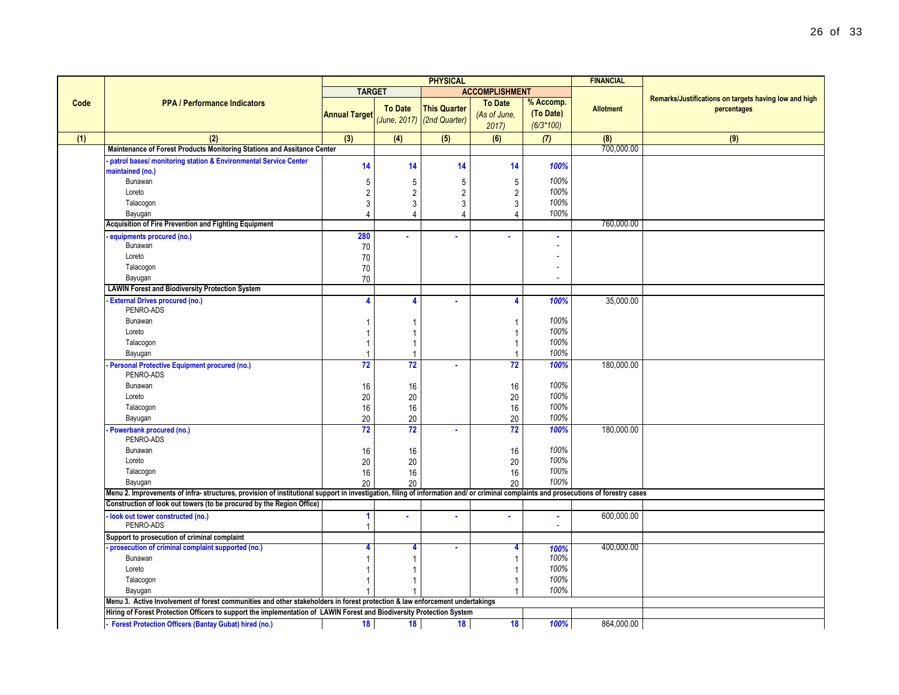|      |                                                                                                                                                                                     | <b>PHYSICAL</b><br><b>FINANCIAL</b> |                |                            |                       |                               |                  |                                                       |
|------|-------------------------------------------------------------------------------------------------------------------------------------------------------------------------------------|-------------------------------------|----------------|----------------------------|-----------------------|-------------------------------|------------------|-------------------------------------------------------|
|      |                                                                                                                                                                                     | <b>TARGET</b>                       |                |                            | <b>ACCOMPLISHMENT</b> |                               |                  |                                                       |
| Code | <b>PPA / Performance Indicators</b>                                                                                                                                                 |                                     | <b>To Date</b> | <b>This Quarter</b>        | <b>To Date</b>        | % Accomp.                     |                  | Remarks/Justifications on targets having low and high |
|      |                                                                                                                                                                                     | <b>Annual Target</b>                |                | (June, 2017) (2nd Quarter) | (As of June,          | (To Date)                     | <b>Allotment</b> | percentages                                           |
|      |                                                                                                                                                                                     |                                     |                |                            | 2017                  | $(6/3*100)$                   |                  |                                                       |
| (1)  | (2)                                                                                                                                                                                 | (3)                                 | (4)            | (5)                        | (6)                   | (7)                           | (8)              | (9)                                                   |
|      | Maintenance of Forest Products Monitoring Stations and Assitance Center                                                                                                             |                                     |                |                            |                       |                               | 700,000.00       |                                                       |
|      | patrol bases/ monitoring station & Environmental Service Center                                                                                                                     |                                     |                |                            |                       |                               |                  |                                                       |
|      | maintained (no.)                                                                                                                                                                    | 14                                  | 14             | 14                         | 14                    | 100%                          |                  |                                                       |
|      | Bunawan                                                                                                                                                                             | 5                                   | 5              | 5                          | 5                     | 100%                          |                  |                                                       |
|      | Loreto                                                                                                                                                                              | $\sqrt{2}$                          | $\sqrt{2}$     | $\overline{2}$             | $\sqrt{2}$            | 100%                          |                  |                                                       |
|      | Talacogon                                                                                                                                                                           | 3                                   | $\mathbf{3}$   | 3                          | 3                     | 100%                          |                  |                                                       |
|      | Bayugan                                                                                                                                                                             | $\Delta$                            | $\overline{4}$ | 4                          | $\overline{4}$        | 100%                          |                  |                                                       |
|      | Acquisition of Fire Prevention and Fighting Equipment                                                                                                                               |                                     |                |                            |                       |                               | 760,000.00       |                                                       |
|      | equipments procured (no.)                                                                                                                                                           | 280                                 | ä              |                            |                       |                               |                  |                                                       |
|      | Bunawan                                                                                                                                                                             | 70                                  |                |                            |                       |                               |                  |                                                       |
|      | Loreto                                                                                                                                                                              | 70                                  |                |                            |                       |                               |                  |                                                       |
|      | Talacogon                                                                                                                                                                           | 70                                  |                |                            |                       |                               |                  |                                                       |
|      | Bayugan                                                                                                                                                                             | 70                                  |                |                            |                       |                               |                  |                                                       |
|      | <b>LAWIN Forest and Biodiversity Protection System</b>                                                                                                                              |                                     |                |                            |                       |                               |                  |                                                       |
|      | <b>External Drives procured (no.)</b>                                                                                                                                               | 4                                   | 4              |                            | 4                     | 100%                          | 35,000.00        |                                                       |
|      | PENRO-ADS                                                                                                                                                                           |                                     |                |                            |                       |                               |                  |                                                       |
|      | Bunawan                                                                                                                                                                             | $\mathbf{1}$                        | $\mathbf{1}$   |                            | 1                     | 100%                          |                  |                                                       |
|      | Loreto                                                                                                                                                                              | $\mathbf{1}$                        | $\mathbf{1}$   |                            | 1                     | 100%                          |                  |                                                       |
|      | Talacogon                                                                                                                                                                           | 1                                   | $\mathbf{1}$   |                            | 1                     | 100%                          |                  |                                                       |
|      | Bayugan                                                                                                                                                                             | 1                                   | $\mathbf{1}$   |                            | 1                     | 100%                          |                  |                                                       |
|      | <b>Personal Protective Equipment procured (no.)</b><br>PENRO-ADS                                                                                                                    | 72                                  | 72             |                            | 72                    | 100%                          | 180,000.00       |                                                       |
|      | Bunawan                                                                                                                                                                             | 16                                  | 16             |                            | 16                    | 100%                          |                  |                                                       |
|      | Loreto                                                                                                                                                                              | 20                                  | 20             |                            | $20\,$                | 100%                          |                  |                                                       |
|      | Talacogon                                                                                                                                                                           | 16                                  | 16             |                            | 16                    | 100%                          |                  |                                                       |
|      | Bayugan                                                                                                                                                                             | 20                                  | 20             |                            | 20                    | 100%                          |                  |                                                       |
|      | Powerbank procured (no.)<br>PENRO-ADS                                                                                                                                               | $\overline{72}$                     | 72             | ä.                         | 72                    | 100%                          | 180,000.00       |                                                       |
|      | Bunawan                                                                                                                                                                             | 16                                  | 16             |                            | 16                    | 100%                          |                  |                                                       |
|      | Loreto                                                                                                                                                                              | 20                                  | 20             |                            | 20                    | 100%                          |                  |                                                       |
|      | Talacogon                                                                                                                                                                           | 16                                  | 16             |                            | 16                    | 100%                          |                  |                                                       |
|      | Bayugan                                                                                                                                                                             | 20                                  | 20             |                            | 20                    | 100%                          |                  |                                                       |
|      | Menu 2. Improvements of infra-structures, provision of institutional support in investigation, filing of information and/ or criminal complaints and prosecutions of forestry cases |                                     |                |                            |                       |                               |                  |                                                       |
|      | Construction of look out towers (to be procured by the Region Office)                                                                                                               |                                     |                |                            |                       |                               |                  |                                                       |
|      | look out tower constructed (no.)<br>PENRO-ADS                                                                                                                                       | 1<br>$\mathbf{1}$                   | ä              |                            |                       | ×<br>$\overline{\phantom{a}}$ | 600,000.00       |                                                       |
|      | Support to prosecution of criminal complaint                                                                                                                                        |                                     |                |                            |                       |                               |                  |                                                       |
|      | - prosecution of criminal complaint supported (no.)                                                                                                                                 | 4                                   | 4              |                            | 4                     | 100%                          | 400,000.00       |                                                       |
|      | Bunawan                                                                                                                                                                             | 1                                   | $\mathbf{1}$   |                            | 1                     | 100%                          |                  |                                                       |
|      | Loreto                                                                                                                                                                              | 1                                   | $\mathbf{1}$   |                            | 1                     | 100%                          |                  |                                                       |
|      | Talacogon                                                                                                                                                                           | 1                                   | $\mathbf{1}$   |                            | 1                     | 100%                          |                  |                                                       |
|      | Bayugan                                                                                                                                                                             |                                     |                |                            | $\mathbf{1}$          | 100%                          |                  |                                                       |
|      | Menu 3. Active Involvement of forest communities and other stakeholders in forest protection & law enforcement undertakings                                                         |                                     |                |                            |                       |                               |                  |                                                       |
|      | Hiring of Forest Protection Officers to support the implementation of LAWIN Forest and Biodiversity Protection System                                                               |                                     |                |                            |                       |                               |                  |                                                       |
|      | - Forest Protection Officers (Bantay Gubat) hired (no.)                                                                                                                             | 18                                  | 18             | 18                         | 18                    | 100%                          | 864,000.00       |                                                       |
|      |                                                                                                                                                                                     |                                     |                |                            |                       |                               |                  |                                                       |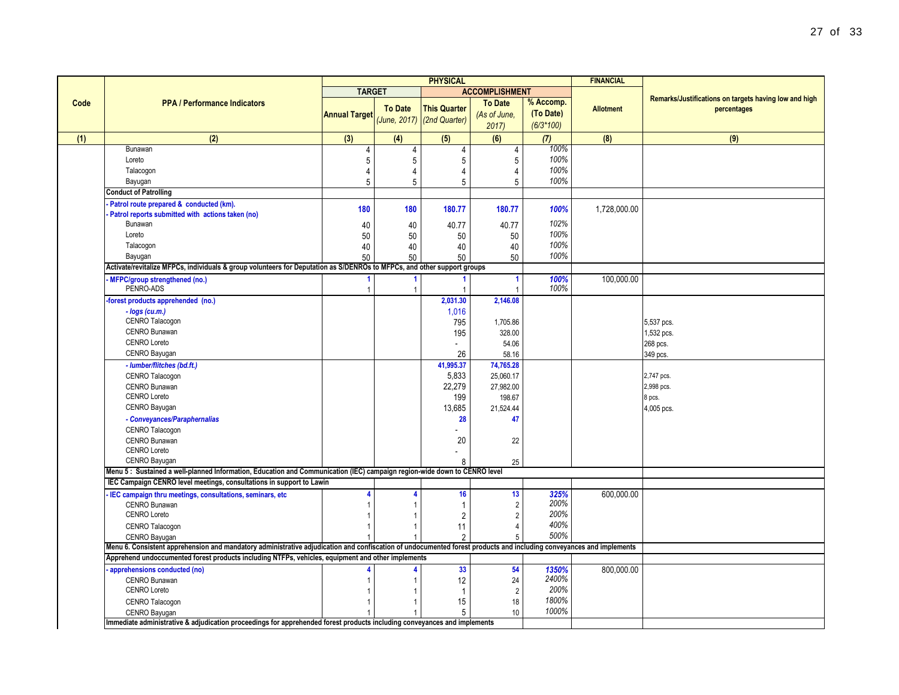|      |                                                                                                                                                                     | <b>PHYSICAL</b>      |                |                                                   |                                        |                                       | <b>FINANCIAL</b> |                                                                      |  |
|------|---------------------------------------------------------------------------------------------------------------------------------------------------------------------|----------------------|----------------|---------------------------------------------------|----------------------------------------|---------------------------------------|------------------|----------------------------------------------------------------------|--|
|      |                                                                                                                                                                     | <b>TARGET</b>        |                |                                                   | <b>ACCOMPLISHMENT</b>                  |                                       |                  |                                                                      |  |
| Code | <b>PPA / Performance Indicators</b>                                                                                                                                 | <b>Annual Target</b> | <b>To Date</b> | <b>This Quarter</b><br>(June, 2017) (2nd Quarter) | <b>To Date</b><br>(As of June,<br>2017 | % Accomp.<br>(To Date)<br>$(6/3*100)$ | <b>Allotment</b> | Remarks/Justifications on targets having low and high<br>percentages |  |
|      | (2)                                                                                                                                                                 | (3)                  | (4)            | (5)                                               | (6)                                    | (7)                                   | (8)              | (9)                                                                  |  |
|      | Bunawan                                                                                                                                                             | 4                    | 4              | 4                                                 | 4                                      | 100%                                  |                  |                                                                      |  |
|      | Loreto                                                                                                                                                              | 5                    | 5              | 5                                                 | 5                                      | 100%                                  |                  |                                                                      |  |
|      | Talacogon                                                                                                                                                           | 4                    | 4              | 4                                                 | 4                                      | 100%                                  |                  |                                                                      |  |
|      | Bayugan                                                                                                                                                             | 5                    | 5              | 5                                                 | 5                                      | 100%                                  |                  |                                                                      |  |
|      | <b>Conduct of Patrolling</b>                                                                                                                                        |                      |                |                                                   |                                        |                                       |                  |                                                                      |  |
|      | Patrol route prepared & conducted (km).<br>Patrol reports submitted with actions taken (no)<br>Bunawan                                                              | 180                  | 180            | 180.77                                            | 180.77<br>40.77                        | 100%<br>102%                          | 1,728,000.00     |                                                                      |  |
|      | Loreto                                                                                                                                                              | 40<br>50             | 40<br>50       | 40.77<br>50                                       |                                        | 100%                                  |                  |                                                                      |  |
|      | Talacogon                                                                                                                                                           | 40                   | 40             | 40                                                | 50<br>40                               | 100%                                  |                  |                                                                      |  |
|      | Bayugan                                                                                                                                                             | 50                   | 50             | 50                                                | 50                                     | 100%                                  |                  |                                                                      |  |
|      | Activate/revitalize MFPCs, individuals & group volunteers for Deputation as S/DENROs to MFPCs, and other support groups                                             |                      |                |                                                   |                                        |                                       |                  |                                                                      |  |
|      | <b>MFPC/group strengthened (no.)</b>                                                                                                                                |                      | $\mathbf{1}$   |                                                   | 1                                      | 100%                                  | 100,000.00       |                                                                      |  |
|      | PENRO-ADS                                                                                                                                                           |                      | $\mathbf{1}$   |                                                   |                                        | 100%                                  |                  |                                                                      |  |
|      | forest products apprehended (no.)                                                                                                                                   |                      |                | 2,031.30                                          | 2,146.08                               |                                       |                  |                                                                      |  |
|      | - logs (cu.m.)<br>CENRO Talacogon                                                                                                                                   |                      |                | 1,016<br>795                                      | 1,705.86                               |                                       |                  | 5,537 pcs.                                                           |  |
|      | CENRO Bunawan                                                                                                                                                       |                      |                | 195                                               | 328.00                                 |                                       |                  | 1,532 pcs.                                                           |  |
|      | <b>CENRO Loreto</b>                                                                                                                                                 |                      |                |                                                   | 54.06                                  |                                       |                  | 268 pcs.                                                             |  |
|      | CENRO Bayugan                                                                                                                                                       |                      |                | 26                                                | 58.16                                  |                                       |                  | 349 pcs.                                                             |  |
|      | - lumber/flitches (bd.ft.)                                                                                                                                          |                      |                | 41,995.37                                         | 74,765.28                              |                                       |                  |                                                                      |  |
|      | CENRO Talacogon                                                                                                                                                     |                      |                | 5,833                                             | 25,060.17                              |                                       |                  | 2,747 pcs.                                                           |  |
|      | CENRO Bunawan                                                                                                                                                       |                      |                | 22,279                                            | 27,982.00                              |                                       |                  | 2,998 pcs.                                                           |  |
|      | <b>CENRO Loreto</b>                                                                                                                                                 |                      |                | 199                                               | 198.67                                 |                                       |                  | 8 pcs.                                                               |  |
|      | CENRO Bayugan                                                                                                                                                       |                      |                | 13,685                                            | 21,524.44                              |                                       |                  | 4,005 pcs.                                                           |  |
|      | - Conveyances/Paraphernalias                                                                                                                                        |                      |                | 28                                                | 47                                     |                                       |                  |                                                                      |  |
|      | CENRO Talacogon                                                                                                                                                     |                      |                |                                                   |                                        |                                       |                  |                                                                      |  |
|      | CENRO Bunawan<br><b>CENRO Loreto</b>                                                                                                                                |                      |                | 20                                                | 22                                     |                                       |                  |                                                                      |  |
|      | CENRO Bayugan                                                                                                                                                       |                      |                |                                                   |                                        |                                       |                  |                                                                      |  |
|      | Menu 5: Sustained a well-planned Information, Education and Communication (IEC) campaign region-wide down to CENRO level                                            |                      |                | 8                                                 | 25                                     |                                       |                  |                                                                      |  |
|      | IEC Campaign CENRO level meetings, consultations in support to Lawin                                                                                                |                      |                |                                                   |                                        |                                       |                  |                                                                      |  |
|      | IEC campaign thru meetings, consultations, seminars, etc.                                                                                                           |                      | 4              | 16                                                | 13                                     | 325%                                  | 600.000.00       |                                                                      |  |
|      | CENRO Bunawan                                                                                                                                                       |                      | $\mathbf{1}$   | $\overline{1}$                                    | $\overline{\mathbf{c}}$                | 200%                                  |                  |                                                                      |  |
|      | <b>CENRO Loreto</b>                                                                                                                                                 |                      | $\mathbf{1}$   | $\overline{2}$                                    | $\sqrt{2}$                             | 200%                                  |                  |                                                                      |  |
|      | CENRO Talacogon                                                                                                                                                     |                      | $\mathbf{1}$   | 11                                                | 4                                      | 400%                                  |                  |                                                                      |  |
|      | CENRO Bayugan                                                                                                                                                       |                      | $\mathbf{1}$   | $\overline{2}$                                    | 5                                      | 500%                                  |                  |                                                                      |  |
|      | Menu 6. Consistent apprehension and mandatory administrative adjudication and confiscation of undocumented forest products and including conveyances and implements |                      |                |                                                   |                                        |                                       |                  |                                                                      |  |
|      | Apprehend undoccumented forest products including NTFPs, vehicles, equipment and other implements                                                                   |                      |                |                                                   |                                        |                                       |                  |                                                                      |  |
|      | apprehensions conducted (no)                                                                                                                                        |                      | 4              | 33                                                | 54                                     | 1350%                                 | 800,000.00       |                                                                      |  |
|      | CENRO Bunawan                                                                                                                                                       |                      | 1              | 12                                                | 24                                     | 2400%                                 |                  |                                                                      |  |
|      | <b>CENRO Loreto</b>                                                                                                                                                 |                      | 1              | $\overline{1}$                                    | $\overline{2}$                         | 200%                                  |                  |                                                                      |  |
|      | CENRO Talacogon                                                                                                                                                     |                      | 1              | 15                                                | 18                                     | 1800%                                 |                  |                                                                      |  |
|      | CENRO Bayugan                                                                                                                                                       |                      | $\mathbf{1}$   | 5                                                 | $10$                                   | 1000%                                 |                  |                                                                      |  |
|      | Immediate administrative & adjudication proceedings for apprehended forest products including conveyances and implements                                            |                      |                |                                                   |                                        |                                       |                  |                                                                      |  |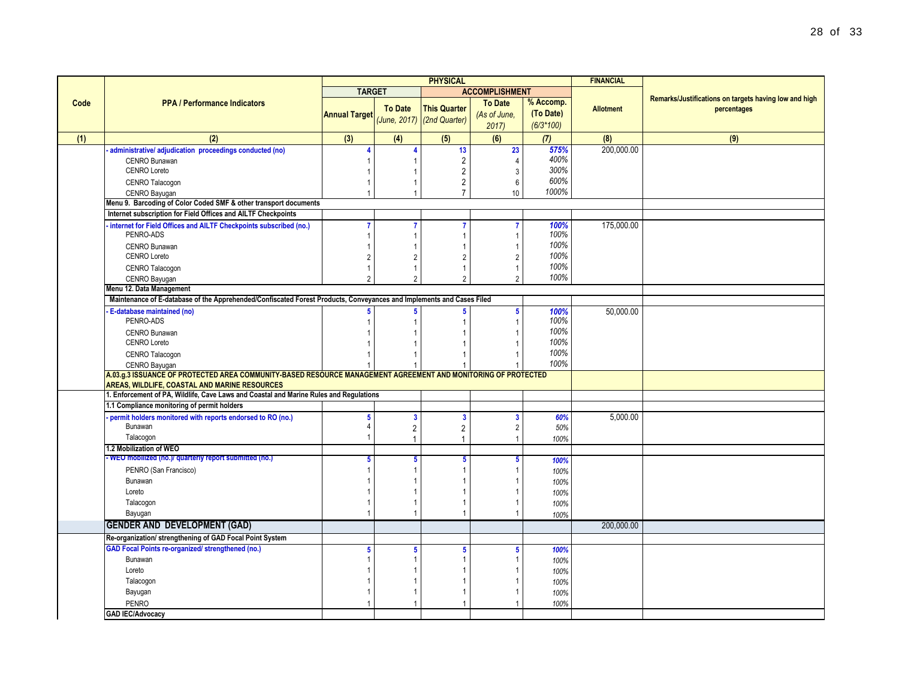|      |                                                                                                                      | <b>PHYSICAL</b>      |                         |                              |                       |             | <b>FINANCIAL</b> |                                                       |
|------|----------------------------------------------------------------------------------------------------------------------|----------------------|-------------------------|------------------------------|-----------------------|-------------|------------------|-------------------------------------------------------|
|      |                                                                                                                      | <b>TARGET</b>        |                         |                              | <b>ACCOMPLISHMENT</b> |             |                  |                                                       |
| Code | <b>PPA / Performance Indicators</b>                                                                                  |                      |                         |                              | <b>To Date</b>        | % Accomp.   |                  | Remarks/Justifications on targets having low and high |
|      |                                                                                                                      | <b>Annual Target</b> | <b>To Date</b>          | <b>This Quarter</b>          | (As of June,          | (To Date)   | <b>Allotment</b> | percentages                                           |
|      |                                                                                                                      |                      |                         | $(June, 2017)$ (2nd Quarter) | 2017                  | $(6/3*100)$ |                  |                                                       |
| (1)  | (2)                                                                                                                  | (3)                  | (4)                     | (5)                          | (6)                   | (7)         | (8)              | (9)                                                   |
|      | administrative/ adjudication proceedings conducted (no)                                                              | $\overline{A}$       |                         | 13                           | 23                    | 575%        | 200,000.00       |                                                       |
|      | CENRO Bunawan                                                                                                        |                      |                         | $\overline{c}$               | $\Delta$              | 400%        |                  |                                                       |
|      | <b>CENRO Loreto</b>                                                                                                  |                      |                         | $\overline{2}$               | 3                     | 300%        |                  |                                                       |
|      | <b>CENRO Talacogon</b>                                                                                               |                      |                         | 2                            | 6                     | 600%        |                  |                                                       |
|      | CENRO Bayugan                                                                                                        |                      |                         | $\overline{7}$               | 10                    | 1000%       |                  |                                                       |
|      | Menu 9. Barcoding of Color Coded SMF & other transport documents                                                     |                      |                         |                              |                       |             |                  |                                                       |
|      | Internet subscription for Field Offices and AILTF Checkpoints                                                        |                      |                         |                              |                       |             |                  |                                                       |
|      | internet for Field Offices and AILTF Checkpoints subscribed (no.)                                                    | $\overline{7}$       |                         | 7                            |                       | 100%        | 175,000.00       |                                                       |
|      | PENRO-ADS                                                                                                            |                      |                         |                              |                       | 100%        |                  |                                                       |
|      | <b>CENRO Bunawan</b>                                                                                                 |                      |                         |                              |                       | 100%        |                  |                                                       |
|      | <b>CENRO Loreto</b>                                                                                                  | 2                    | $\overline{2}$          | $\overline{2}$               | $\mathfrak{p}$        | 100%        |                  |                                                       |
|      | CENRO Talacogon                                                                                                      |                      |                         |                              |                       | 100%        |                  |                                                       |
|      | CENRO Bayugan                                                                                                        | $\mathfrak{p}$       | $\mathfrak{p}$          | $\mathfrak{p}$               | $\mathfrak{p}$        | 100%        |                  |                                                       |
|      | Menu 12. Data Management                                                                                             |                      |                         |                              |                       |             |                  |                                                       |
|      | Maintenance of E-database of the Apprehended/Confiscated Forest Products, Conveyances and Implements and Cases Filed |                      |                         |                              |                       |             |                  |                                                       |
|      | E-database maintained (no)                                                                                           |                      | 5                       |                              | 5                     | 100%        | 50,000.00        |                                                       |
|      | PENRO-ADS                                                                                                            |                      |                         |                              |                       | 100%        |                  |                                                       |
|      | <b>CENRO Bunawan</b>                                                                                                 |                      |                         |                              |                       | 100%        |                  |                                                       |
|      | <b>CENRO Loreto</b>                                                                                                  |                      |                         |                              |                       | 100%        |                  |                                                       |
|      | CENRO Talacogon                                                                                                      |                      |                         |                              |                       | 100%        |                  |                                                       |
|      | CENRO Bayugan                                                                                                        |                      |                         |                              |                       | 100%        |                  |                                                       |
|      | A.03.g.3 ISSUANCE OF PROTECTED AREA COMMUNITY-BASED RESOURCE MANAGEMENT AGREEMENT AND MONITORING OF PROTECTED        |                      |                         |                              |                       |             |                  |                                                       |
|      | AREAS, WILDLIFE, COASTAL AND MARINE RESOURCES                                                                        |                      |                         |                              |                       |             |                  |                                                       |
|      | 1. Enforcement of PA, Wildlife, Cave Laws and Coastal and Marine Rules and Regulations                               |                      |                         |                              |                       |             |                  |                                                       |
|      | 1.1 Compliance monitoring of permit holders                                                                          |                      |                         |                              |                       |             |                  |                                                       |
|      | permit holders monitored with reports endorsed to RO (no.)                                                           | 5                    | $\overline{\mathbf{3}}$ | $\overline{\mathbf{3}}$      | 3                     | 60%         | 5.000.00         |                                                       |
|      | Bunawan                                                                                                              | 4                    | 2                       | $\overline{c}$               |                       | 50%         |                  |                                                       |
|      | Talacogon                                                                                                            |                      | $\overline{1}$          | 1                            | -1                    | 100%        |                  |                                                       |
|      | 1.2 Mobilization of WEO                                                                                              |                      |                         |                              |                       |             |                  |                                                       |
|      | - WEO mobilized (no.)/ quarterly report submitted (no.)                                                              | 5                    | 5                       | 5                            | 5                     | 100%        |                  |                                                       |
|      | PENRO (San Francisco)                                                                                                |                      |                         |                              |                       | 100%        |                  |                                                       |
|      | Bunawan                                                                                                              |                      |                         |                              |                       | 100%        |                  |                                                       |
|      | Loreto                                                                                                               |                      |                         |                              |                       | 100%        |                  |                                                       |
|      | Talacogon                                                                                                            |                      |                         |                              |                       | 100%        |                  |                                                       |
|      | Bayugan                                                                                                              |                      |                         |                              |                       | 100%        |                  |                                                       |
|      | <b>GENDER AND DEVELOPMENT (GAD)</b>                                                                                  |                      |                         |                              |                       |             | 200.000.00       |                                                       |
|      | Re-organization/ strengthening of GAD Focal Point System                                                             |                      |                         |                              |                       |             |                  |                                                       |
|      | <b>GAD Focal Points re-organized/ strengthened (no.)</b>                                                             | 5                    | 5                       | 5                            |                       | 100%        |                  |                                                       |
|      | Bunawan                                                                                                              |                      |                         |                              |                       | 100%        |                  |                                                       |
|      | Loreto                                                                                                               |                      |                         |                              |                       | 100%        |                  |                                                       |
|      | Talacogon                                                                                                            |                      |                         |                              |                       | 100%        |                  |                                                       |
|      | Bayugan                                                                                                              |                      |                         |                              |                       | 100%        |                  |                                                       |
|      | <b>PENRO</b>                                                                                                         |                      |                         |                              |                       | 100%        |                  |                                                       |
|      | <b>GAD IEC/Advocacy</b>                                                                                              |                      |                         |                              |                       |             |                  |                                                       |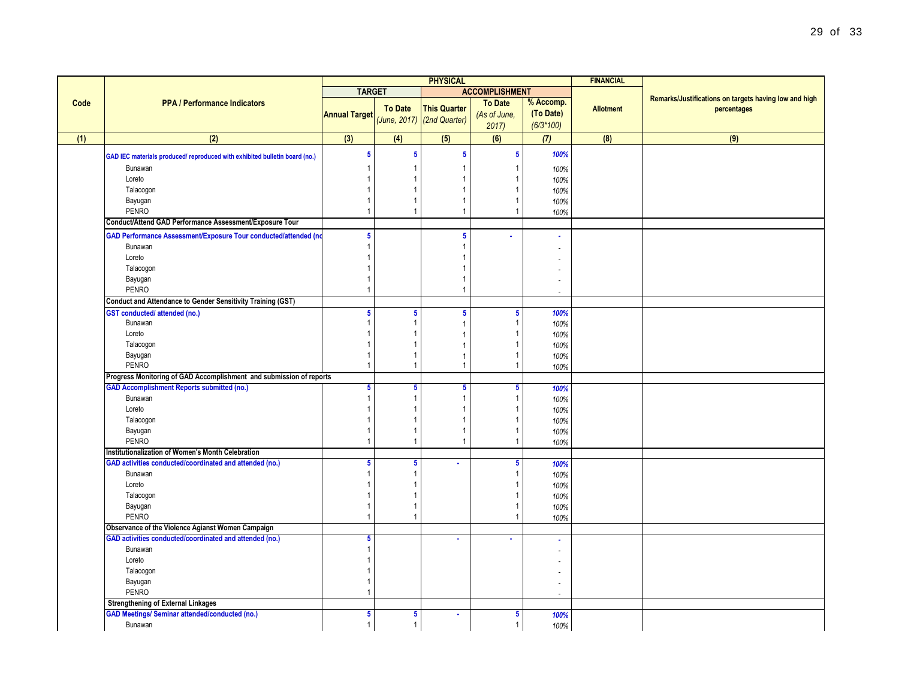|      |                                                                                                              | <b>PHYSICAL</b>                |                               |                                                   |                                        | <b>FINANCIAL</b>                      |                  |                                                                      |
|------|--------------------------------------------------------------------------------------------------------------|--------------------------------|-------------------------------|---------------------------------------------------|----------------------------------------|---------------------------------------|------------------|----------------------------------------------------------------------|
|      |                                                                                                              | <b>TARGET</b>                  |                               |                                                   | <b>ACCOMPLISHMENT</b>                  |                                       |                  |                                                                      |
| Code | <b>PPA / Performance Indicators</b>                                                                          | <b>Annual Target</b>           | <b>To Date</b>                | <b>This Quarter</b><br>(June, 2017) (2nd Quarter) | <b>To Date</b><br>(As of June,<br>2017 | % Accomp.<br>(To Date)<br>$(6/3*100)$ | <b>Allotment</b> | Remarks/Justifications on targets having low and high<br>percentages |
| (1)  | (2)                                                                                                          | $\overline{3}$                 | (4)                           | (5)                                               | (6)                                    | (7)                                   | (8)              | (9)                                                                  |
|      | GAD IEC materials produced/ reproduced with exhibited bulletin board (no.)                                   | $\sqrt{5}$                     | $5\phantom{a}$                | 5                                                 | $\overline{\mathbf{5}}$                | 100%                                  |                  |                                                                      |
|      | Bunawan                                                                                                      | -1                             | $\overline{1}$                |                                                   | -1                                     | 100%                                  |                  |                                                                      |
|      | Loreto                                                                                                       | $\overline{1}$                 |                               |                                                   |                                        | 100%                                  |                  |                                                                      |
|      | Talacogon                                                                                                    | $\mathbf{1}$                   | -1                            |                                                   | -1                                     | 100%                                  |                  |                                                                      |
|      | Bayugan                                                                                                      | $\mathbf{1}$                   | $\overline{1}$                |                                                   | $\overline{1}$                         | 100%                                  |                  |                                                                      |
|      | PENRO                                                                                                        | $\overline{1}$                 | $\overline{1}$                |                                                   | $\overline{1}$                         | 100%                                  |                  |                                                                      |
|      | Conduct/Attend GAD Performance Assessment/Exposure Tour                                                      |                                |                               |                                                   |                                        |                                       |                  |                                                                      |
|      | GAD Performance Assessment/Exposure Tour conducted/attended (no                                              | $\sqrt{5}$                     |                               | 5                                                 |                                        |                                       |                  |                                                                      |
|      | Bunawan                                                                                                      | $\overline{1}$                 |                               |                                                   |                                        |                                       |                  |                                                                      |
|      | Loreto                                                                                                       | $\overline{1}$                 |                               |                                                   |                                        |                                       |                  |                                                                      |
|      | Talacogon                                                                                                    | $\overline{1}$                 |                               |                                                   |                                        |                                       |                  |                                                                      |
|      | Bayugan                                                                                                      | $\overline{1}$                 |                               |                                                   |                                        |                                       |                  |                                                                      |
|      | <b>PENRO</b>                                                                                                 | $\mathbf{1}$                   |                               |                                                   |                                        |                                       |                  |                                                                      |
|      | <b>Conduct and Attendance to Gender Sensitivity Training (GST)</b>                                           |                                |                               |                                                   |                                        |                                       |                  |                                                                      |
|      | <b>GST</b> conducted/attended (no.)<br>Bunawan                                                               | $5\phantom{a}$<br>$\mathbf{1}$ | $5\phantom{a}$<br>$\mathbf 1$ | 5                                                 | $\overline{\mathbf{5}}$<br>-1          | 100%                                  |                  |                                                                      |
|      | Loreto                                                                                                       | $\mathbf{1}$                   | $\mathbf 1$                   |                                                   | -1                                     | 100%<br>100%                          |                  |                                                                      |
|      | Talacogon                                                                                                    | $\overline{1}$                 |                               |                                                   |                                        | 100%                                  |                  |                                                                      |
|      | Bayugan                                                                                                      | $\overline{1}$                 |                               |                                                   |                                        | 100%                                  |                  |                                                                      |
|      | <b>PENRO</b>                                                                                                 | $\overline{1}$                 | $\overline{1}$                |                                                   | $\overline{1}$                         | 100%                                  |                  |                                                                      |
|      | Progress Monitoring of GAD Accomplishment and submission of reports                                          |                                |                               |                                                   |                                        |                                       |                  |                                                                      |
|      | <b>GAD Accomplishment Reports submitted (no.)</b>                                                            | $5\phantom{.0}$                | $5\phantom{.0}$               | 5                                                 | $\overline{\mathbf{5}}$                | 100%                                  |                  |                                                                      |
|      | Bunawan                                                                                                      | $\mathbf{1}$                   | $\overline{1}$                |                                                   | $\overline{1}$                         | 100%                                  |                  |                                                                      |
|      | Loreto                                                                                                       | $\mathbf{1}$                   | $\overline{1}$                |                                                   | -1                                     | 100%                                  |                  |                                                                      |
|      | Talacogon                                                                                                    | $\overline{1}$                 |                               |                                                   |                                        | 100%                                  |                  |                                                                      |
|      | Bayugan                                                                                                      | $\mathbf{1}$                   | -1                            |                                                   | -1<br>$\overline{1}$                   | 100%                                  |                  |                                                                      |
|      | PENRO                                                                                                        | $\overline{1}$                 | $\overline{1}$                |                                                   |                                        | 100%                                  |                  |                                                                      |
|      | Institutionalization of Women's Month Celebration<br>GAD activities conducted/coordinated and attended (no.) | $5\phantom{.0}$                | 5                             |                                                   | 5                                      | 100%                                  |                  |                                                                      |
|      | Bunawan                                                                                                      | $\mathbf{1}$                   | $\overline{1}$                |                                                   | $\overline{1}$                         | 100%                                  |                  |                                                                      |
|      | Loreto                                                                                                       | $\overline{1}$                 | $\overline{1}$                |                                                   |                                        | 100%                                  |                  |                                                                      |
|      | Talacogon                                                                                                    | -1                             | $\overline{1}$                |                                                   |                                        | 100%                                  |                  |                                                                      |
|      | Bayugan                                                                                                      | $\mathbf{1}$                   | -1                            |                                                   | -1                                     | 100%                                  |                  |                                                                      |
|      | <b>PENRO</b>                                                                                                 | $\mathbf{1}$                   | $\overline{1}$                |                                                   | $\overline{1}$                         | 100%                                  |                  |                                                                      |
|      | Observance of the Violence Agianst Women Campaign                                                            |                                |                               |                                                   |                                        |                                       |                  |                                                                      |
|      | GAD activities conducted/coordinated and attended (no.)                                                      | $5\phantom{.0}$                |                               |                                                   |                                        |                                       |                  |                                                                      |
|      | Bunawan                                                                                                      | $\mathbf{1}$                   |                               |                                                   |                                        |                                       |                  |                                                                      |
|      | Loreto                                                                                                       | $\overline{1}$                 |                               |                                                   |                                        |                                       |                  |                                                                      |
|      | Talacogon                                                                                                    | $\overline{1}$                 |                               |                                                   |                                        |                                       |                  |                                                                      |
|      | Bayugan<br><b>PENRO</b>                                                                                      | $\mathbf{1}$<br>$\mathbf{1}$   |                               |                                                   |                                        |                                       |                  |                                                                      |
|      | <b>Strengthening of External Linkages</b>                                                                    |                                |                               |                                                   |                                        | $\overline{a}$                        |                  |                                                                      |
|      | <b>GAD Meetings/ Seminar attended/conducted (no.)</b>                                                        | $\sqrt{5}$                     | 5                             | $\sim$                                            | 5                                      | 100%                                  |                  |                                                                      |
|      | Bunawan                                                                                                      | $\mathbf{1}$                   | $\overline{1}$                |                                                   | $\overline{1}$                         | 100%                                  |                  |                                                                      |
|      |                                                                                                              |                                |                               |                                                   |                                        |                                       |                  |                                                                      |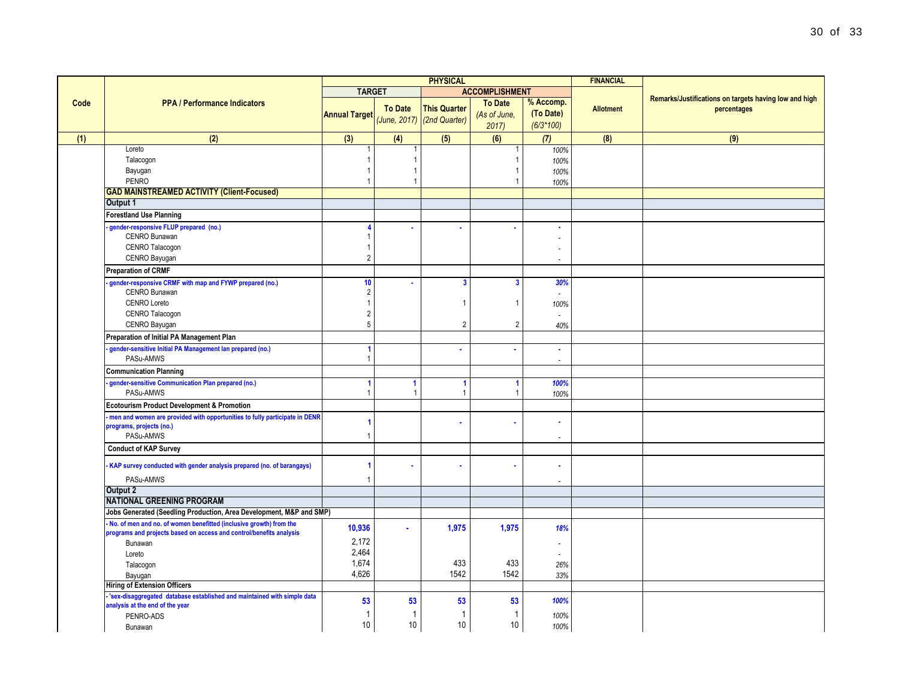|      |                                                                                                                                           | <b>PHYSICAL</b>                        |                          |                            |                |                | <b>FINANCIAL</b> |                                                       |
|------|-------------------------------------------------------------------------------------------------------------------------------------------|----------------------------------------|--------------------------|----------------------------|----------------|----------------|------------------|-------------------------------------------------------|
|      | <b>PPA / Performance Indicators</b>                                                                                                       | <b>TARGET</b><br><b>ACCOMPLISHMENT</b> |                          |                            |                |                |                  |                                                       |
| Code |                                                                                                                                           |                                        |                          |                            | <b>To Date</b> | % Accomp.      |                  | Remarks/Justifications on targets having low and high |
|      |                                                                                                                                           | <b>Annual Target</b>                   | <b>To Date</b>           | <b>This Quarter</b>        | (As of June,   | (To Date)      | <b>Allotment</b> | percentages                                           |
|      |                                                                                                                                           |                                        |                          | (June, 2017) (2nd Quarter) | 2017           | $(6/3*100)$    |                  |                                                       |
| (1)  | (2)                                                                                                                                       | (3)                                    | (4)                      | (5)                        | (6)            | (7)            | (8)              | (9)                                                   |
|      | Loreto                                                                                                                                    |                                        |                          |                            |                | 100%           |                  |                                                       |
|      | Talacogon                                                                                                                                 |                                        | $\overline{1}$           |                            |                | 100%           |                  |                                                       |
|      | Bayugan                                                                                                                                   |                                        | $\mathbf{1}$             |                            |                | 100%           |                  |                                                       |
|      | <b>PENRO</b>                                                                                                                              | 1                                      | $\overline{\phantom{a}}$ |                            |                | 100%           |                  |                                                       |
|      | <b>GAD MAINSTREAMED ACTIVITY (Client-Focused)</b>                                                                                         |                                        |                          |                            |                |                |                  |                                                       |
|      | Output 1                                                                                                                                  |                                        |                          |                            |                |                |                  |                                                       |
|      | <b>Forestland Use Planning</b>                                                                                                            |                                        |                          |                            |                |                |                  |                                                       |
|      | gender-responsive FLUP prepared (no.)                                                                                                     |                                        |                          |                            |                | ٠              |                  |                                                       |
|      | CENRO Bunawan<br>CENRO Talacogon                                                                                                          | $\mathbf{1}$                           |                          |                            |                |                |                  |                                                       |
|      | CENRO Bayugan                                                                                                                             | $\overline{2}$                         |                          |                            |                |                |                  |                                                       |
|      |                                                                                                                                           |                                        |                          |                            |                | ÷,             |                  |                                                       |
|      | <b>Preparation of CRMF</b>                                                                                                                |                                        |                          |                            |                |                |                  |                                                       |
|      | gender-responsive CRMF with map and FYWP prepared (no.)<br>CENRO Bunawan                                                                  | 10                                     |                          | $\mathbf{3}$               | $\mathbf{3}$   | 30%            |                  |                                                       |
|      | <b>CENRO Loreto</b>                                                                                                                       | $\overline{2}$<br>$\mathbf{1}$         |                          |                            |                | ÷.             |                  |                                                       |
|      | CENRO Talacogon                                                                                                                           | $\overline{c}$                         |                          |                            | -1             | 100%           |                  |                                                       |
|      | CENRO Bayugan                                                                                                                             | 5                                      |                          | $\overline{2}$             | $\overline{2}$ | 40%            |                  |                                                       |
|      | Preparation of Initial PA Management Plan                                                                                                 |                                        |                          |                            |                |                |                  |                                                       |
|      |                                                                                                                                           |                                        |                          |                            | i.             | ÷              |                  |                                                       |
|      | gender-sensitive Initial PA Management lan prepared (no.)<br>PASu-AMWS                                                                    | 1                                      |                          | ٠                          |                |                |                  |                                                       |
|      | <b>Communication Planning</b>                                                                                                             |                                        |                          |                            |                |                |                  |                                                       |
|      | gender-sensitive Communication Plan prepared (no.)                                                                                        |                                        | $\mathbf{1}$             | $\blacktriangleleft$       | $\mathbf{1}$   | 100%           |                  |                                                       |
|      | PASu-AMWS                                                                                                                                 | 1                                      | $\overline{1}$           | $\mathbf{1}$               | $\overline{1}$ | 100%           |                  |                                                       |
|      | <b>Ecotourism Product Development &amp; Promotion</b>                                                                                     |                                        |                          |                            |                |                |                  |                                                       |
|      | men and women are provided with opportunities to fully participate in DENR                                                                | 1                                      |                          |                            | ÷              |                |                  |                                                       |
|      | programs, projects (no.)<br>PASu-AMWS                                                                                                     | 1                                      |                          |                            |                |                |                  |                                                       |
|      |                                                                                                                                           |                                        |                          |                            |                | $\overline{a}$ |                  |                                                       |
|      | <b>Conduct of KAP Survey</b>                                                                                                              |                                        |                          |                            |                |                |                  |                                                       |
|      | KAP survey conducted with gender analysis prepared (no. of barangays)                                                                     |                                        |                          | ×                          | $\bullet$      |                |                  |                                                       |
|      | PASu-AMWS                                                                                                                                 | 1                                      |                          |                            |                |                |                  |                                                       |
|      | Output 2                                                                                                                                  |                                        |                          |                            |                |                |                  |                                                       |
|      | <b>NATIONAL GREENING PROGRAM</b>                                                                                                          |                                        |                          |                            |                |                |                  |                                                       |
|      | Jobs Generated (Seedling Production, Area Development, M&P and SMP)                                                                       |                                        |                          |                            |                |                |                  |                                                       |
|      | No. of men and no. of women benefitted (inclusive growth) from the<br>programs and projects based on access and control/benefits analysis | 10,936                                 | $\mathbf{r}$             | 1,975                      | 1,975          | 18%            |                  |                                                       |
|      | Bunawan                                                                                                                                   | 2,172                                  |                          |                            |                |                |                  |                                                       |
|      | Loreto                                                                                                                                    | 2,464                                  |                          |                            |                |                |                  |                                                       |
|      | Talacogon                                                                                                                                 | 1,674                                  |                          | 433                        | 433            | 26%            |                  |                                                       |
|      | Bayugan                                                                                                                                   | 4,626                                  |                          | 1542                       | 1542           | 33%            |                  |                                                       |
|      | <b>Hiring of Extension Officers</b>                                                                                                       |                                        |                          |                            |                |                |                  |                                                       |
|      | 'sex-disaggregated database established and maintained with simple data                                                                   | 53                                     | 53                       | 53                         | 53             | 100%           |                  |                                                       |
|      | analysis at the end of the year                                                                                                           |                                        |                          |                            |                |                |                  |                                                       |
|      | PENRO-ADS                                                                                                                                 |                                        | -1                       | -1                         | -1             | 100%           |                  |                                                       |
|      | Bunawan                                                                                                                                   | 10                                     | 10                       | 10                         | 10             | 100%           |                  |                                                       |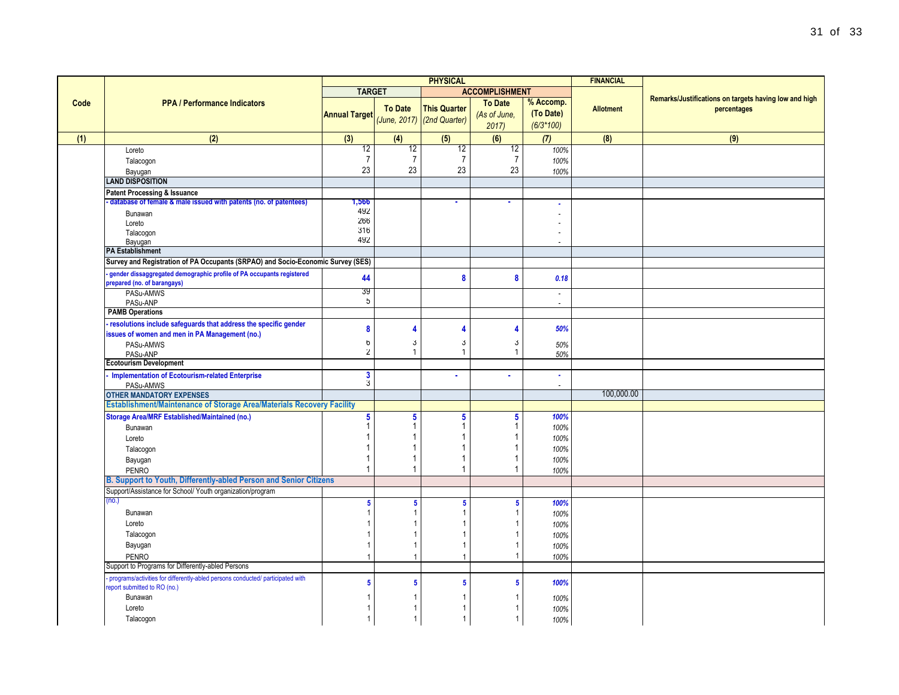|      |                                                                                                                | <b>PHYSICAL</b>         |                         |                            |                       |                       | <b>FINANCIAL</b> |                                                                      |
|------|----------------------------------------------------------------------------------------------------------------|-------------------------|-------------------------|----------------------------|-----------------------|-----------------------|------------------|----------------------------------------------------------------------|
|      |                                                                                                                | <b>TARGET</b>           |                         |                            | <b>ACCOMPLISHMENT</b> |                       |                  |                                                                      |
| Code | <b>PPA / Performance Indicators</b>                                                                            |                         | <b>To Date</b>          | <b>This Quarter</b>        | <b>To Date</b>        | % Accomp.             | <b>Allotment</b> | Remarks/Justifications on targets having low and high<br>percentages |
|      |                                                                                                                | <b>Annual Target</b>    |                         | (June, 2017) (2nd Quarter) | (As of June,          | (To Date)             |                  |                                                                      |
|      |                                                                                                                |                         |                         |                            | 2017                  | $(6/3*100)$           |                  |                                                                      |
| (1)  | (2)                                                                                                            | (3)                     | (4)                     | (5)                        | (6)                   | (7)                   | (8)              | (9)                                                                  |
|      | Loreto                                                                                                         | $\overline{12}$         | 12                      | $\overline{12}$            | 12                    | 100%                  |                  |                                                                      |
|      | Talacogon                                                                                                      | $\overline{7}$          | $\overline{7}$          | $\overline{7}$             | $\overline{7}$        | 100%                  |                  |                                                                      |
|      | Bayugan                                                                                                        | 23                      | 23                      | 23                         | 23                    | 100%                  |                  |                                                                      |
|      | <b>LAND DISPOSITION</b>                                                                                        |                         |                         |                            |                       |                       |                  |                                                                      |
|      | Patent Processing & Issuance                                                                                   |                         |                         |                            |                       |                       |                  |                                                                      |
|      | database of female & male issued with patents (no. of patentees)                                               | 1,566                   |                         |                            |                       | $\mathbf{r}$          |                  |                                                                      |
|      | Bunawan                                                                                                        | 492<br>266              |                         |                            |                       |                       |                  |                                                                      |
|      | Loreto<br>Talacogon                                                                                            | 316                     |                         |                            |                       | $\tilde{\phantom{a}}$ |                  |                                                                      |
|      | Bayugan                                                                                                        | 492                     |                         |                            |                       | $\overline{a}$        |                  |                                                                      |
|      | <b>PA Establishment</b>                                                                                        |                         |                         |                            |                       |                       |                  |                                                                      |
|      | Survey and Registration of PA Occupants (SRPAO) and Socio-Economic Survey (SES)                                |                         |                         |                            |                       |                       |                  |                                                                      |
|      | gender dissaggregated demographic profile of PA occupants registered                                           |                         |                         |                            |                       |                       |                  |                                                                      |
|      | prepared (no. of barangays)                                                                                    | 44                      |                         | 8                          | 8                     | 0.18                  |                  |                                                                      |
|      | PASu-AMWS                                                                                                      | 39                      |                         |                            |                       | $\tilde{\phantom{a}}$ |                  |                                                                      |
|      | PASu-ANP                                                                                                       | $\mathfrak b$           |                         |                            |                       | $\tilde{\phantom{a}}$ |                  |                                                                      |
|      | <b>PAMB Operations</b>                                                                                         |                         |                         |                            |                       |                       |                  |                                                                      |
|      | - resolutions include safeguards that address the specific gender                                              | 8                       | 4                       | $\overline{\mathbf{4}}$    | Δ                     | 50%                   |                  |                                                                      |
|      | issues of women and men in PA Management (no.)                                                                 | 6                       | 3                       | 3                          | 3                     |                       |                  |                                                                      |
|      | PASu-AMWS<br>PASu-ANP                                                                                          | $\overline{\mathbf{2}}$ | $\mathbf{1}$            | $\mathbf{1}$               | $\mathbf{1}$          | 50%<br>50%            |                  |                                                                      |
|      | <b>Ecotourism Development</b>                                                                                  |                         |                         |                            |                       |                       |                  |                                                                      |
|      | <b>Implementation of Ecotourism-related Enterprise</b>                                                         | 3                       |                         |                            | ٠                     | $\blacksquare$        |                  |                                                                      |
|      | PASu-AMWS                                                                                                      | 3                       |                         |                            |                       | $\sim$                |                  |                                                                      |
|      | <b>OTHER MANDATORY EXPENSES</b>                                                                                |                         |                         |                            |                       |                       | 100,000.00       |                                                                      |
|      | Establishment/Maintenance of Storage Area/Materials Recovery Facility                                          |                         |                         |                            |                       |                       |                  |                                                                      |
|      | <b>Storage Area/MRF Established/Maintained (no.)</b>                                                           | 5                       | $\overline{\mathbf{5}}$ | 5                          | 5                     | 100%                  |                  |                                                                      |
|      | Bunawan                                                                                                        | 1                       |                         | 1                          |                       | 100%                  |                  |                                                                      |
|      | Loreto                                                                                                         |                         |                         | 1                          |                       | 100%                  |                  |                                                                      |
|      | Talacogon                                                                                                      |                         |                         | 1                          |                       | 100%                  |                  |                                                                      |
|      | Bayugan                                                                                                        |                         |                         | 1                          |                       | 100%                  |                  |                                                                      |
|      | <b>PENRO</b>                                                                                                   |                         |                         | $\overline{1}$             | 1                     | 100%                  |                  |                                                                      |
|      | B. Support to Youth, Differently-abled Person and Senior Citizens                                              |                         |                         |                            |                       |                       |                  |                                                                      |
|      | Support/Assistance for School/ Youth organization/program                                                      |                         |                         |                            |                       |                       |                  |                                                                      |
|      | no.                                                                                                            | $\overline{\mathbf{5}}$ | 5                       | $\sqrt{5}$                 | 5                     | 100%                  |                  |                                                                      |
|      | Bunawan                                                                                                        |                         |                         | $\overline{1}$             |                       | 100%                  |                  |                                                                      |
|      | Loreto                                                                                                         |                         |                         |                            |                       | 100%                  |                  |                                                                      |
|      | Talacogon                                                                                                      |                         |                         | $\overline{1}$             |                       | 100%                  |                  |                                                                      |
|      | Bayugan                                                                                                        |                         | 1                       | $\overline{1}$             |                       | 100%                  |                  |                                                                      |
|      | <b>PENRO</b><br>Support to Programs for Differently-abled Persons                                              |                         | 1                       | $\overline{1}$             |                       | 100%                  |                  |                                                                      |
|      |                                                                                                                |                         |                         |                            |                       |                       |                  |                                                                      |
|      | programs/activities for differently-abled persons conducted/ participated with<br>report submitted to RO (no.) | 5                       | 5                       | $\sqrt{5}$                 | 5                     | 100%                  |                  |                                                                      |
|      | Bunawan                                                                                                        |                         | 1                       |                            |                       | 100%                  |                  |                                                                      |
|      | Loreto                                                                                                         |                         | -1                      |                            |                       | 100%                  |                  |                                                                      |
|      | Talacogon                                                                                                      |                         | $\overline{1}$          | $\mathbf{1}$               |                       | 100%                  |                  |                                                                      |
|      |                                                                                                                |                         |                         |                            |                       |                       |                  |                                                                      |

e<br>Se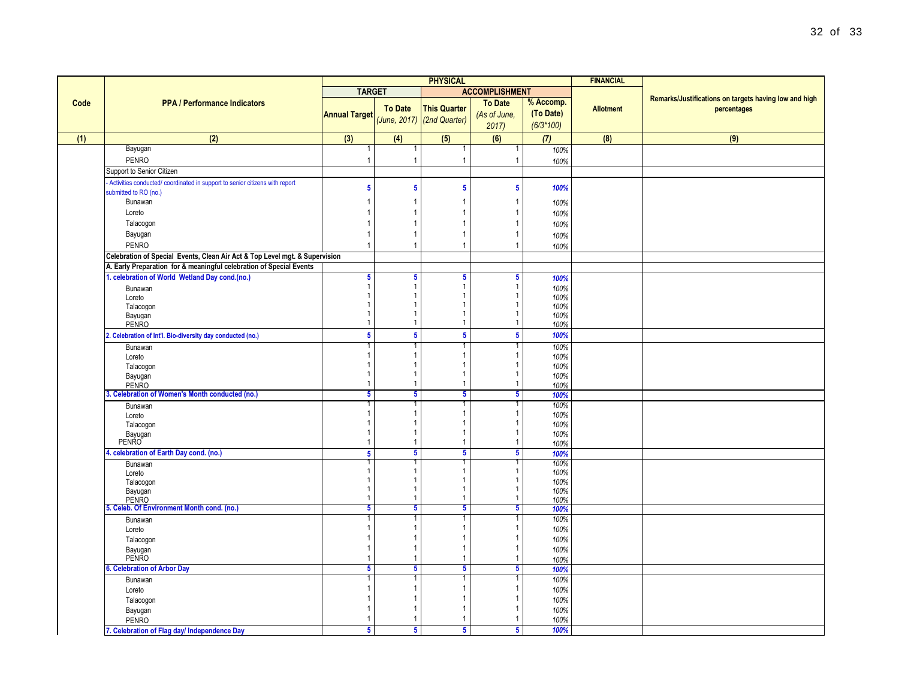|      |                                                                             | <b>PHYSICAL</b>              |                                  |                              |                                 |              | <b>FINANCIAL</b> |                                                       |
|------|-----------------------------------------------------------------------------|------------------------------|----------------------------------|------------------------------|---------------------------------|--------------|------------------|-------------------------------------------------------|
|      |                                                                             | <b>TARGET</b>                |                                  |                              | <b>ACCOMPLISHMENT</b>           |              |                  |                                                       |
| Code | <b>PPA / Performance Indicators</b>                                         |                              |                                  |                              | <b>To Date</b>                  | % Accomp.    |                  | Remarks/Justifications on targets having low and high |
|      |                                                                             | <b>Annual Target</b>         | <b>To Date</b>                   | <b>This Quarter</b>          | (As of June,                    | (To Date)    | <b>Allotment</b> | percentages                                           |
|      |                                                                             |                              |                                  | $(June, 2017)$ (2nd Quarter) | 2017)                           | $(6/3*100)$  |                  |                                                       |
| (1)  | (2)                                                                         | (3)                          | (4)                              | (5)                          | (6)                             | (7)          | (8)              | (9)                                                   |
|      | Bayugan                                                                     |                              |                                  |                              |                                 | 100%         |                  |                                                       |
|      | <b>PENRO</b>                                                                |                              | $\overline{1}$                   | $\mathbf{1}$                 | $\overline{1}$                  | 100%         |                  |                                                       |
|      | Support to Senior Citizen                                                   |                              |                                  |                              |                                 |              |                  |                                                       |
|      | Activities conducted/ coordinated in support to senior citizens with report |                              |                                  |                              |                                 |              |                  |                                                       |
|      | submitted to RO (no.)                                                       | $\sqrt{5}$                   | $\overline{\mathbf{5}}$          | 5                            | $5\phantom{.0}$                 | 100%         |                  |                                                       |
|      | Bunawan                                                                     | -1                           | -1                               |                              | -1                              | 100%         |                  |                                                       |
|      | Loreto                                                                      | -1                           | -1                               |                              | -1                              | 100%         |                  |                                                       |
|      | Talacogon                                                                   | $\overline{1}$               | $\overline{1}$                   |                              | $\overline{1}$                  | 100%         |                  |                                                       |
|      | Bayugan                                                                     | -1                           | $\overline{1}$                   |                              | -1                              | 100%         |                  |                                                       |
|      | <b>PENRO</b>                                                                | $\overline{1}$               | $\overline{1}$                   |                              | $\overline{1}$                  | 100%         |                  |                                                       |
|      | Celebration of Special Events, Clean Air Act & Top Level mgt. & Supervision |                              |                                  |                              |                                 |              |                  |                                                       |
|      | A. Early Preparation for & meaningful celebration of Special Events         |                              |                                  |                              |                                 |              |                  |                                                       |
|      | 1. celebration of World Wetland Day cond.(no.)                              | $\sqrt{5}$                   | 5                                | 5 <sub>5</sub>               | -5                              | 100%         |                  |                                                       |
|      | Bunawan                                                                     | $\mathbf{1}$                 | $\mathbf{1}$                     | 1                            | $\mathbf{1}$                    | 100%         |                  |                                                       |
|      | Loreto                                                                      | $\mathbf{1}$<br>$\mathbf{1}$ | $\overline{1}$<br>$\overline{1}$ | $\mathbf{1}$<br>$\mathbf{1}$ | $\mathbf{1}$<br>$\mathbf{1}$    | 100%         |                  |                                                       |
|      | Talacogon<br>Bayugan                                                        | $\mathbf{1}$                 | $\overline{1}$                   | 1                            | $\mathbf{1}$                    | 100%<br>100% |                  |                                                       |
|      | <b>PENRO</b>                                                                | $\mathbf{1}$                 | $\mathbf{1}$                     | $\mathbf{1}$                 | $\mathbf{1}$                    | 100%         |                  |                                                       |
|      | 2. Celebration of Int'l. Bio-diversity day conducted (no.)                  | $\overline{\mathbf{5}}$      | $\overline{\mathbf{5}}$          | $\overline{\mathbf{5}}$      | $\overline{\mathbf{5}}$         | 100%         |                  |                                                       |
|      | Bunawan                                                                     |                              |                                  |                              |                                 | 100%         |                  |                                                       |
|      | Loreto                                                                      | -1                           | $\overline{1}$                   |                              | $\mathbf{1}$                    | 100%         |                  |                                                       |
|      | Talacogon                                                                   | -1<br>$\mathbf{1}$           | $\overline{1}$<br>$\overline{1}$ | 1                            | -1<br>$\mathbf{1}$              | 100%         |                  |                                                       |
|      | Bayugan<br><b>PENRO</b>                                                     | $\mathbf{1}$                 | $\overline{1}$                   | $\mathbf{1}$                 | $\mathbf{1}$                    | 100%<br>100% |                  |                                                       |
|      | 3. Celebration of Women's Month conducted (no.)                             | 5                            | 5                                | $5\overline{)}$              | $\overline{\mathbf{5}}$         | 100%         |                  |                                                       |
|      | Bunawan                                                                     |                              |                                  |                              |                                 | 100%         |                  |                                                       |
|      | Loreto                                                                      | $\mathbf{1}$                 | $\overline{1}$                   | 1                            | $\mathbf{1}$                    | 100%         |                  |                                                       |
|      | Talacogon                                                                   | $\mathbf 1$                  | $\overline{1}$                   |                              |                                 | 100%         |                  |                                                       |
|      | Bayugan<br>PENRO                                                            | $\mathbf{1}$                 | $\overline{1}$                   | 1                            | $\mathbf{1}$                    | 100%         |                  |                                                       |
|      |                                                                             | $\mathbf 1$                  | $\overline{1}$<br>5              | 1<br>$5\overline{)}$         | $\mathbf{1}$<br>$5\overline{5}$ | 100%         |                  |                                                       |
|      | 4. celebration of Earth Day cond. (no.)                                     | $\overline{\mathbf{5}}$<br>1 |                                  |                              |                                 | 100%<br>100% |                  |                                                       |
|      | Bunawan<br>Loreto                                                           | $\mathbf{1}$                 | $\overline{1}$                   | $\mathbf{1}$                 | $\mathbf{1}$                    | 100%         |                  |                                                       |
|      | Talacogon                                                                   | $\mathbf{1}$                 | $\overline{1}$                   | 1                            | $\mathbf{1}$                    | 100%         |                  |                                                       |
|      | Bayugan                                                                     | $\mathbf{1}$                 | $\mathbf{1}$                     | 1                            | $\mathbf{1}$                    | 100%         |                  |                                                       |
|      | <b>PENRO</b>                                                                | $\overline{1}$               | $\overline{1}$                   | $\mathbf{1}$                 | $\overline{1}$                  | 100%         |                  |                                                       |
|      | 5. Celeb. Of Environment Month cond. (no.)                                  | 5<br>-1                      | 5<br>-1                          | $5\overline{)}$              | 5<br>-1                         | 100%         |                  |                                                       |
|      | Bunawan<br>Loreto                                                           | -1                           | $\overline{1}$                   |                              |                                 | 100%<br>100% |                  |                                                       |
|      | Talacogon                                                                   | $\mathbf{1}$                 | $\mathbf{1}$                     |                              | $\overline{1}$                  | 100%         |                  |                                                       |
|      | Bayugan                                                                     | $\mathbf{1}$                 | $\overline{1}$                   | 1                            | $\mathbf{1}$                    | 100%         |                  |                                                       |
|      | <b>PENRO</b>                                                                | $\overline{1}$               | $\overline{1}$                   | 1                            | $\overline{1}$                  | 100%         |                  |                                                       |
|      | 6. Celebration of Arbor Day                                                 | 5                            | 5                                | $5\overline{)}$              | 5                               | 100%         |                  |                                                       |
|      | Bunawan                                                                     |                              | -1                               |                              |                                 | 100%         |                  |                                                       |
|      | Loreto                                                                      | -1                           | -1                               |                              |                                 | 100%         |                  |                                                       |
|      | Talacogon                                                                   | $\mathbf{1}$                 | $\mathbf{1}$                     |                              | $\mathbf 1$                     | 100%         |                  |                                                       |
|      | Bayugan                                                                     | $\mathbf{1}$                 | -1                               |                              | $\mathbf 1$                     | 100%         |                  |                                                       |
|      | <b>PENRO</b>                                                                |                              | -1                               |                              | -1                              | 100%         |                  |                                                       |
|      | 7. Celebration of Flag day/ Independence Day                                | $5\phantom{.0}$              | $5\phantom{.0}$                  | 5 <sup>5</sup>               | $\overline{\mathbf{5}}$         | 100%         |                  |                                                       |